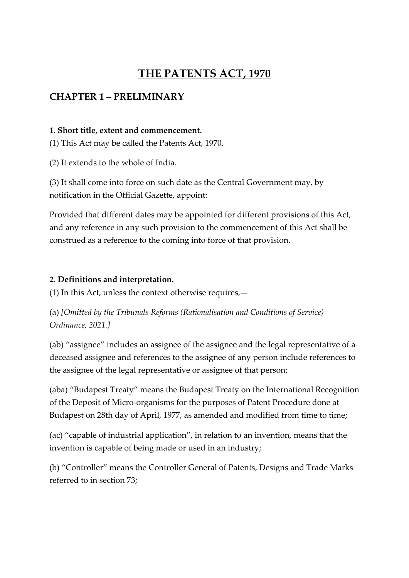# **THE PATENTS ACT, 1970**

# **CHAPTER 1 – PRELIMINARY**

#### **1. Short title, extent and commencement.**

(1) This Act may be called the Patents Act, 1970.

(2) It extends to the whole of India.

(3) It shall come into force on such date as the Central Government may, by notification in the Official Gazette, appoint:

Provided that different dates may be appointed for different provisions of this Act, and any reference in any such provision to the commencement of this Act shall be construed as a reference to the coming into force of that provision.

#### **2. Definitions and interpretation.**

(1) In this Act, unless the context otherwise requires,—

(a) *[Omitted by the Tribunals Reforms (Rationalisation and Conditions of Service) Ordinance, 2021.]*

(ab) "assignee" includes an assignee of the assignee and the legal representative of a deceased assignee and references to the assignee of any person include references to the assignee of the legal representative or assignee of that person;

(aba) "Budapest Treaty" means the Budapest Treaty on the International Recognition of the Deposit of Micro-organisms for the purposes of Patent Procedure done at Budapest on 28th day of April, 1977, as amended and modified from time to time;

(ac) "capable of industrial application", in relation to an invention, means that the invention is capable of being made or used in an industry;

(b) "Controller" means the Controller General of Patents, Designs and Trade Marks referred to in section 73;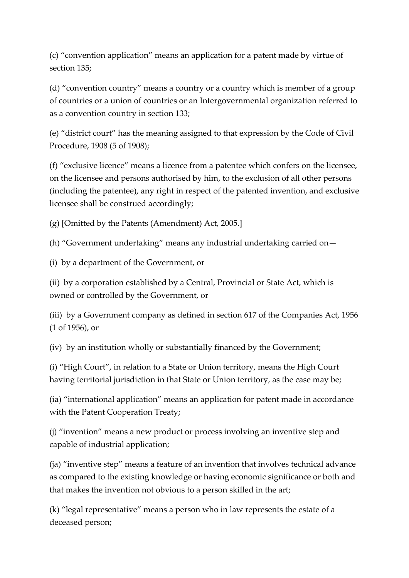(c) "convention application" means an application for a patent made by virtue of section 135;

(d) "convention country" means a country or a country which is member of a group of countries or a union of countries or an Intergovernmental organization referred to as a convention country in section 133;

(e) "district court" has the meaning assigned to that expression by the Code of Civil Procedure, 1908 (5 of 1908);

(f) "exclusive licence" means a licence from a patentee which confers on the licensee, on the licensee and persons authorised by him, to the exclusion of all other persons (including the patentee), any right in respect of the patented invention, and exclusive licensee shall be construed accordingly;

(g) [Omitted by the Patents (Amendment) Act, 2005.]

(h) "Government undertaking" means any industrial undertaking carried on—

(i) by a department of the Government, or

(ii) by a corporation established by a Central, Provincial or State Act, which is owned or controlled by the Government, or

(iii) by a Government company as defined in section 617 of the Companies Act, 1956 (1 of 1956), or

(iv) by an institution wholly or substantially financed by the Government;

(i) "High Court", in relation to a State or Union territory, means the High Court having territorial jurisdiction in that State or Union territory, as the case may be;

(ia) "international application" means an application for patent made in accordance with the Patent Cooperation Treaty;

(j) "invention" means a new product or process involving an inventive step and capable of industrial application;

(ja) "inventive step" means a feature of an invention that involves technical advance as compared to the existing knowledge or having economic significance or both and that makes the invention not obvious to a person skilled in the art;

(k) "legal representative" means a person who in law represents the estate of a deceased person;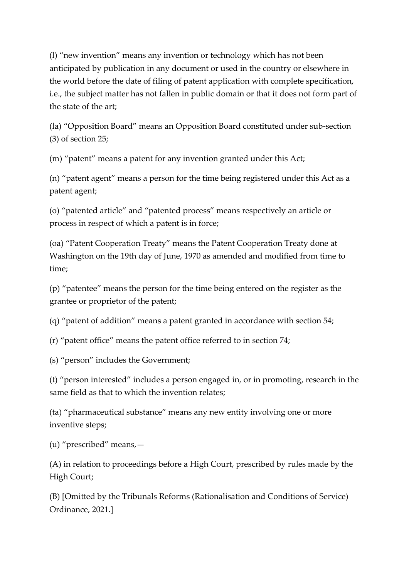(l) "new invention" means any invention or technology which has not been anticipated by publication in any document or used in the country or elsewhere in the world before the date of filing of patent application with complete specification, i.e., the subject matter has not fallen in public domain or that it does not form part of the state of the art;

(la) "Opposition Board" means an Opposition Board constituted under sub-section (3) of section 25;

(m) "patent" means a patent for any invention granted under this Act;

(n) "patent agent" means a person for the time being registered under this Act as a patent agent;

(o) "patented article" and "patented process" means respectively an article or process in respect of which a patent is in force;

(oa) "Patent Cooperation Treaty" means the Patent Cooperation Treaty done at Washington on the 19th day of June, 1970 as amended and modified from time to time;

(p) "patentee" means the person for the time being entered on the register as the grantee or proprietor of the patent;

(q) "patent of addition" means a patent granted in accordance with section 54;

(r) "patent office" means the patent office referred to in section 74;

(s) "person" includes the Government;

(t) "person interested" includes a person engaged in, or in promoting, research in the same field as that to which the invention relates;

(ta) "pharmaceutical substance" means any new entity involving one or more inventive steps;

(u) "prescribed" means,—

(A) in relation to proceedings before a High Court, prescribed by rules made by the High Court;

(B) [Omitted by the Tribunals Reforms (Rationalisation and Conditions of Service) Ordinance, 2021.]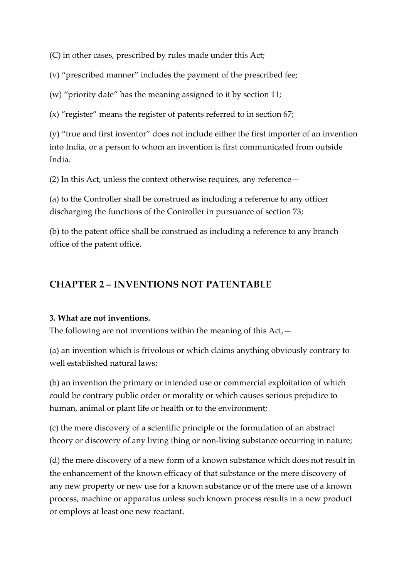(C) in other cases, prescribed by rules made under this Act;

(v) "prescribed manner" includes the payment of the prescribed fee;

(w) "priority date" has the meaning assigned to it by section 11;

(x) "register" means the register of patents referred to in section 67;

(y) "true and first inventor" does not include either the first importer of an invention into India, or a person to whom an invention is first communicated from outside India.

(2) In this Act, unless the context otherwise requires, any reference—

(a) to the Controller shall be construed as including a reference to any officer discharging the functions of the Controller in pursuance of section 73;

(b) to the patent office shall be construed as including a reference to any branch office of the patent office.

# **CHAPTER 2 – INVENTIONS NOT PATENTABLE**

#### **3. What are not inventions.**

The following are not inventions within the meaning of this  $Act,$   $-$ 

(a) an invention which is frivolous or which claims anything obviously contrary to well established natural laws;

(b) an invention the primary or intended use or commercial exploitation of which could be contrary public order or morality or which causes serious prejudice to human, animal or plant life or health or to the environment;

(c) the mere discovery of a scientific principle or the formulation of an abstract theory or discovery of any living thing or non-living substance occurring in nature;

(d) the mere discovery of a new form of a known substance which does not result in the enhancement of the known efficacy of that substance or the mere discovery of any new property or new use for a known substance or of the mere use of a known process, machine or apparatus unless such known process results in a new product or employs at least one new reactant.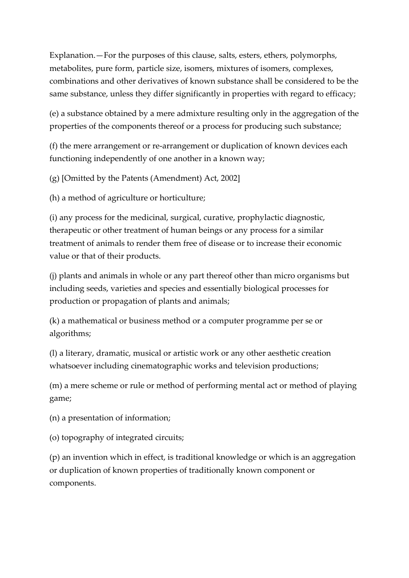Explanation.—For the purposes of this clause, salts, esters, ethers, polymorphs, metabolites, pure form, particle size, isomers, mixtures of isomers, complexes, combinations and other derivatives of known substance shall be considered to be the same substance, unless they differ significantly in properties with regard to efficacy;

(e) a substance obtained by a mere admixture resulting only in the aggregation of the properties of the components thereof or a process for producing such substance;

(f) the mere arrangement or re-arrangement or duplication of known devices each functioning independently of one another in a known way;

(g) [Omitted by the Patents (Amendment) Act, 2002]

(h) a method of agriculture or horticulture;

(i) any process for the medicinal, surgical, curative, prophylactic diagnostic, therapeutic or other treatment of human beings or any process for a similar treatment of animals to render them free of disease or to increase their economic value or that of their products.

(j) plants and animals in whole or any part thereof other than micro organisms but including seeds, varieties and species and essentially biological processes for production or propagation of plants and animals;

(k) a mathematical or business method or a computer programme per se or algorithms;

(l) a literary, dramatic, musical or artistic work or any other aesthetic creation whatsoever including cinematographic works and television productions;

(m) a mere scheme or rule or method of performing mental act or method of playing game;

(n) a presentation of information;

(o) topography of integrated circuits;

(p) an invention which in effect, is traditional knowledge or which is an aggregation or duplication of known properties of traditionally known component or components.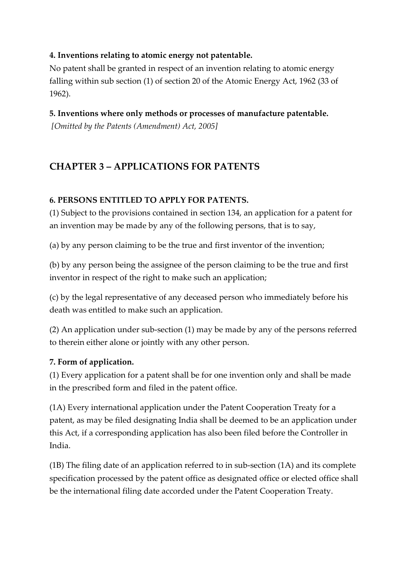# **4. Inventions relating to atomic energy not patentable.**

No patent shall be granted in respect of an invention relating to atomic energy falling within sub section (1) of section 20 of the Atomic Energy Act, 1962 (33 of 1962).

#### **5. Inventions where only methods or processes of manufacture patentable.**

*[Omitted by the Patents (Amendment) Act, 2005]*

# **CHAPTER 3 – APPLICATIONS FOR PATENTS**

#### **6. PERSONS ENTITLED TO APPLY FOR PATENTS.**

(1) Subject to the provisions contained in section 134, an application for a patent for an invention may be made by any of the following persons, that is to say,

(a) by any person claiming to be the true and first inventor of the invention;

(b) by any person being the assignee of the person claiming to be the true and first inventor in respect of the right to make such an application;

(c) by the legal representative of any deceased person who immediately before his death was entitled to make such an application.

(2) An application under sub-section (1) may be made by any of the persons referred to therein either alone or jointly with any other person.

# **7. Form of application.**

(1) Every application for a patent shall be for one invention only and shall be made in the prescribed form and filed in the patent office.

(1A) Every international application under the Patent Cooperation Treaty for a patent, as may be filed designating India shall be deemed to be an application under this Act, if a corresponding application has also been filed before the Controller in India.

(1B) The filing date of an application referred to in sub-section (1A) and its complete specification processed by the patent office as designated office or elected office shall be the international filing date accorded under the Patent Cooperation Treaty.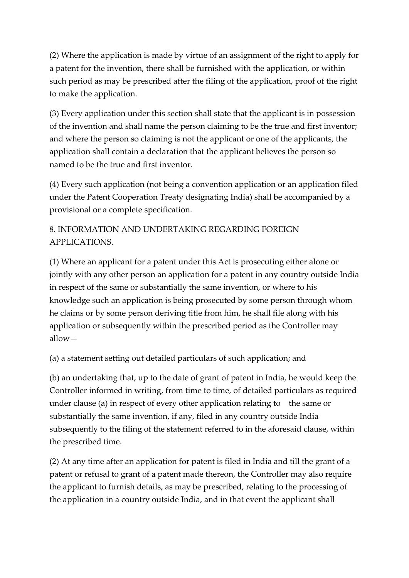(2) Where the application is made by virtue of an assignment of the right to apply for a patent for the invention, there shall be furnished with the application, or within such period as may be prescribed after the filing of the application, proof of the right to make the application.

(3) Every application under this section shall state that the applicant is in possession of the invention and shall name the person claiming to be the true and first inventor; and where the person so claiming is not the applicant or one of the applicants, the application shall contain a declaration that the applicant believes the person so named to be the true and first inventor.

(4) Every such application (not being a convention application or an application filed under the Patent Cooperation Treaty designating India) shall be accompanied by a provisional or a complete specification.

# 8. INFORMATION AND UNDERTAKING REGARDING FOREIGN APPLICATIONS.

(1) Where an applicant for a patent under this Act is prosecuting either alone or jointly with any other person an application for a patent in any country outside India in respect of the same or substantially the same invention, or where to his knowledge such an application is being prosecuted by some person through whom he claims or by some person deriving title from him, he shall file along with his application or subsequently within the prescribed period as the Controller may allow—

(a) a statement setting out detailed particulars of such application; and

(b) an undertaking that, up to the date of grant of patent in India, he would keep the Controller informed in writing, from time to time, of detailed particulars as required under clause (a) in respect of every other application relating to the same or substantially the same invention, if any, filed in any country outside India subsequently to the filing of the statement referred to in the aforesaid clause, within the prescribed time.

(2) At any time after an application for patent is filed in India and till the grant of a patent or refusal to grant of a patent made thereon, the Controller may also require the applicant to furnish details, as may be prescribed, relating to the processing of the application in a country outside India, and in that event the applicant shall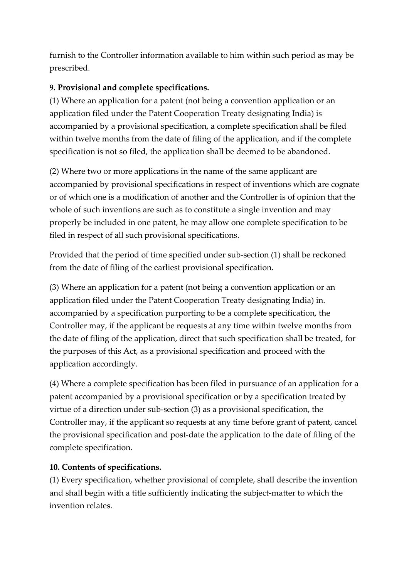furnish to the Controller information available to him within such period as may be prescribed.

# **9. Provisional and complete specifications.**

(1) Where an application for a patent (not being a convention application or an application filed under the Patent Cooperation Treaty designating India) is accompanied by a provisional specification, a complete specification shall be filed within twelve months from the date of filing of the application, and if the complete specification is not so filed, the application shall be deemed to be abandoned.

(2) Where two or more applications in the name of the same applicant are accompanied by provisional specifications in respect of inventions which are cognate or of which one is a modification of another and the Controller is of opinion that the whole of such inventions are such as to constitute a single invention and may properly be included in one patent, he may allow one complete specification to be filed in respect of all such provisional specifications.

Provided that the period of time specified under sub-section (1) shall be reckoned from the date of filing of the earliest provisional specification.

(3) Where an application for a patent (not being a convention application or an application filed under the Patent Cooperation Treaty designating India) in. accompanied by a specification purporting to be a complete specification, the Controller may, if the applicant be requests at any time within twelve months from the date of filing of the application, direct that such specification shall be treated, for the purposes of this Act, as a provisional specification and proceed with the application accordingly.

(4) Where a complete specification has been filed in pursuance of an application for a patent accompanied by a provisional specification or by a specification treated by virtue of a direction under sub-section (3) as a provisional specification, the Controller may, if the applicant so requests at any time before grant of patent, cancel the provisional specification and post-date the application to the date of filing of the complete specification.

# **10. Contents of specifications.**

(1) Every specification, whether provisional of complete, shall describe the invention and shall begin with a title sufficiently indicating the subject-matter to which the invention relates.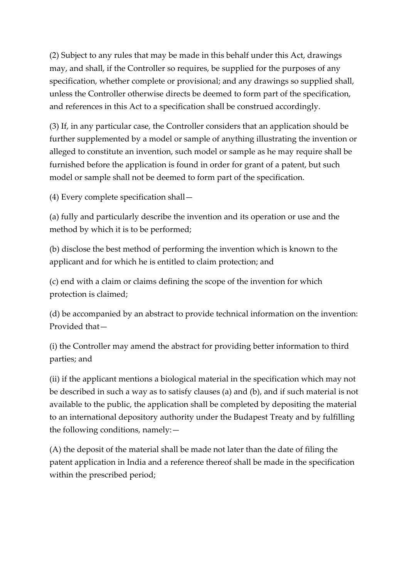(2) Subject to any rules that may be made in this behalf under this Act, drawings may, and shall, if the Controller so requires, be supplied for the purposes of any specification, whether complete or provisional; and any drawings so supplied shall, unless the Controller otherwise directs be deemed to form part of the specification, and references in this Act to a specification shall be construed accordingly.

(3) If, in any particular case, the Controller considers that an application should be further supplemented by a model or sample of anything illustrating the invention or alleged to constitute an invention, such model or sample as he may require shall be furnished before the application is found in order for grant of a patent, but such model or sample shall not be deemed to form part of the specification.

(4) Every complete specification shall—

(a) fully and particularly describe the invention and its operation or use and the method by which it is to be performed;

(b) disclose the best method of performing the invention which is known to the applicant and for which he is entitled to claim protection; and

(c) end with a claim or claims defining the scope of the invention for which protection is claimed;

(d) be accompanied by an abstract to provide technical information on the invention: Provided that—

(i) the Controller may amend the abstract for providing better information to third parties; and

(ii) if the applicant mentions a biological material in the specification which may not be described in such a way as to satisfy clauses (a) and (b), and if such material is not available to the public, the application shall be completed by depositing the material to an international depository authority under the Budapest Treaty and by fulfilling the following conditions, namely:—

(A) the deposit of the material shall be made not later than the date of filing the patent application in India and a reference thereof shall be made in the specification within the prescribed period;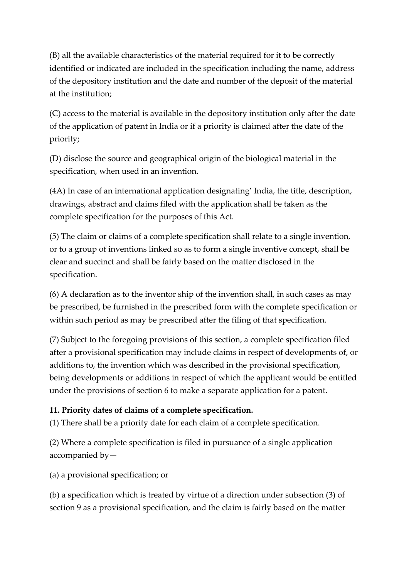(B) all the available characteristics of the material required for it to be correctly identified or indicated are included in the specification including the name, address of the depository institution and the date and number of the deposit of the material at the institution;

(C) access to the material is available in the depository institution only after the date of the application of patent in India or if a priority is claimed after the date of the priority;

(D) disclose the source and geographical origin of the biological material in the specification, when used in an invention.

(4A) In case of an international application designating' India, the title, description, drawings, abstract and claims filed with the application shall be taken as the complete specification for the purposes of this Act.

(5) The claim or claims of a complete specification shall relate to a single invention, or to a group of inventions linked so as to form a single inventive concept, shall be clear and succinct and shall be fairly based on the matter disclosed in the specification.

(6) A declaration as to the inventor ship of the invention shall, in such cases as may be prescribed, be furnished in the prescribed form with the complete specification or within such period as may be prescribed after the filing of that specification.

(7) Subject to the foregoing provisions of this section, a complete specification filed after a provisional specification may include claims in respect of developments of, or additions to, the invention which was described in the provisional specification, being developments or additions in respect of which the applicant would be entitled under the provisions of section 6 to make a separate application for a patent.

# **11. Priority dates of claims of a complete specification.**

(1) There shall be a priority date for each claim of a complete specification.

(2) Where a complete specification is filed in pursuance of a single application accompanied by—

(a) a provisional specification; or

(b) a specification which is treated by virtue of a direction under subsection (3) of section 9 as a provisional specification, and the claim is fairly based on the matter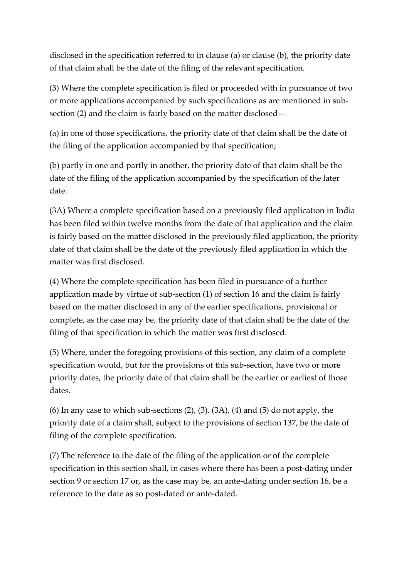disclosed in the specification referred to in clause (a) or clause (b), the priority date of that claim shall be the date of the filing of the relevant specification.

(3) Where the complete specification is filed or proceeded with in pursuance of two or more applications accompanied by such specifications as are mentioned in subsection (2) and the claim is fairly based on the matter disclosed—

(a) in one of those specifications, the priority date of that claim shall be the date of the filing of the application accompanied by that specification;

(b) partly in one and partly in another, the priority date of that claim shall be the date of the filing of the application accompanied by the specification of the later date.

(3A) Where a complete specification based on a previously filed application in India has been filed within twelve months from the date of that application and the claim is fairly based on the matter disclosed in the previously filed application, the priority date of that claim shall be the date of the previously filed application in which the matter was first disclosed.

(4) Where the complete specification has been filed in pursuance of a further application made by virtue of sub-section (1) of section 16 and the claim is fairly based on the matter disclosed in any of the earlier specifications, provisional or complete, as the case may be, the priority date of that claim shall be the date of the filing of that specification in which the matter was first disclosed.

(5) Where, under the foregoing provisions of this section, any claim of a complete specification would, but for the provisions of this sub-section, have two or more priority dates, the priority date of that claim shall be the earlier or earliest of those dates.

(6) In any case to which sub-sections  $(2)$ ,  $(3)$ ,  $(3A)$ ,  $(4)$  and  $(5)$  do not apply, the priority date of a claim shall, subject to the provisions of section 137, be the date of filing of the complete specification.

(7) The reference to the date of the filing of the application or of the complete specification in this section shall, in cases where there has been a post-dating under section 9 or section 17 or, as the case may be, an ante-dating under section 16, be a reference to the date as so post-dated or ante-dated.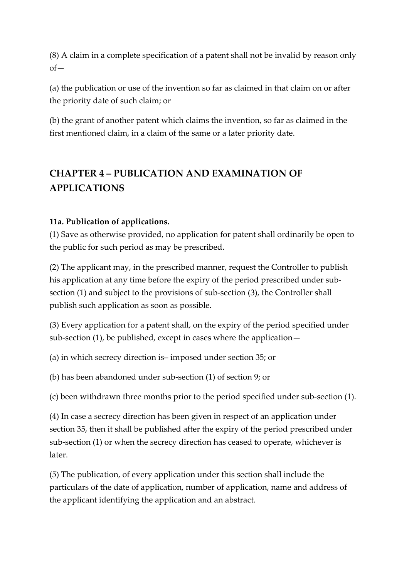(8) A claim in a complete specification of a patent shall not be invalid by reason only  $of$ 

(a) the publication or use of the invention so far as claimed in that claim on or after the priority date of such claim; or

(b) the grant of another patent which claims the invention, so far as claimed in the first mentioned claim, in a claim of the same or a later priority date.

# **CHAPTER 4 – PUBLICATION AND EXAMINATION OF APPLICATIONS**

# **11a. Publication of applications.**

(1) Save as otherwise provided, no application for patent shall ordinarily be open to the public for such period as may be prescribed.

(2) The applicant may, in the prescribed manner, request the Controller to publish his application at any time before the expiry of the period prescribed under subsection (1) and subject to the provisions of sub-section (3), the Controller shall publish such application as soon as possible.

(3) Every application for a patent shall, on the expiry of the period specified under sub-section (1), be published, except in cases where the application—

(a) in which secrecy direction is– imposed under section 35; or

(b) has been abandoned under sub-section (1) of section 9; or

(c) been withdrawn three months prior to the period specified under sub-section (1).

(4) In case a secrecy direction has been given in respect of an application under section 35, then it shall be published after the expiry of the period prescribed under sub-section (1) or when the secrecy direction has ceased to operate, whichever is later.

(5) The publication, of every application under this section shall include the particulars of the date of application, number of application, name and address of the applicant identifying the application and an abstract.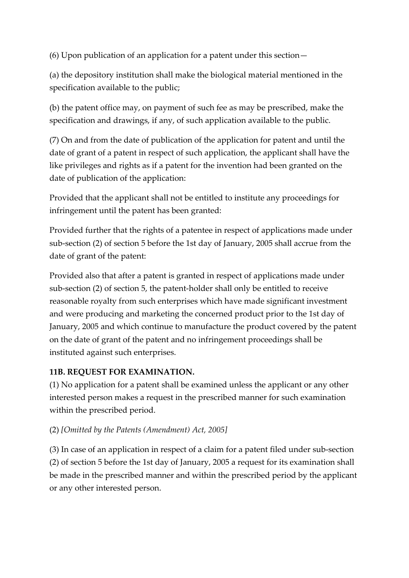(6) Upon publication of an application for a patent under this section—

(a) the depository institution shall make the biological material mentioned in the specification available to the public;

(b) the patent office may, on payment of such fee as may be prescribed, make the specification and drawings, if any, of such application available to the public.

(7) On and from the date of publication of the application for patent and until the date of grant of a patent in respect of such application, the applicant shall have the like privileges and rights as if a patent for the invention had been granted on the date of publication of the application:

Provided that the applicant shall not be entitled to institute any proceedings for infringement until the patent has been granted:

Provided further that the rights of a patentee in respect of applications made under sub-section (2) of section 5 before the 1st day of January, 2005 shall accrue from the date of grant of the patent:

Provided also that after a patent is granted in respect of applications made under sub-section (2) of section 5, the patent-holder shall only be entitled to receive reasonable royalty from such enterprises which have made significant investment and were producing and marketing the concerned product prior to the 1st day of January, 2005 and which continue to manufacture the product covered by the patent on the date of grant of the patent and no infringement proceedings shall be instituted against such enterprises.

# **11B. REQUEST FOR EXAMINATION.**

(1) No application for a patent shall be examined unless the applicant or any other interested person makes a request in the prescribed manner for such examination within the prescribed period.

# (2) *[Omitted by the Patents (Amendment) Act, 2005]*

(3) In case of an application in respect of a claim for a patent filed under sub-section (2) of section 5 before the 1st day of January, 2005 a request for its examination shall be made in the prescribed manner and within the prescribed period by the applicant or any other interested person.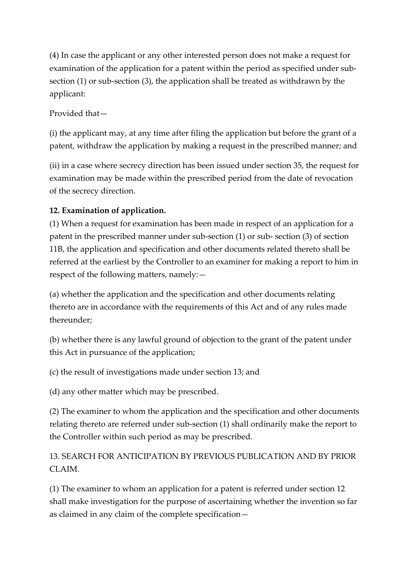(4) In case the applicant or any other interested person does not make a request for examination of the application for a patent within the period as specified under subsection (1) or sub-section (3), the application shall be treated as withdrawn by the applicant:

Provided that—

(i) the applicant may, at any time after filing the application but before the grant of a patent, withdraw the application by making a request in the prescribed manner; and

(ii) in a case where secrecy direction has been issued under section 35, the request for examination may be made within the prescribed period from the date of revocation of the secrecy direction.

# **12. Examination of application.**

(1) When a request for examination has been made in respect of an application for a patent in the prescribed manner under sub-section (1) or sub- section (3) of section 11B, the application and specification and other documents related thereto shall be referred at the earliest by the Controller to an examiner for making a report to him in respect of the following matters, namely:—

(a) whether the application and the specification and other documents relating thereto are in accordance with the requirements of this Act and of any rules made thereunder;

(b) whether there is any lawful ground of objection to the grant of the patent under this Act in pursuance of the application;

(c) the result of investigations made under section 13; and

(d) any other matter which may be prescribed.

(2) The examiner to whom the application and the specification and other documents relating thereto are referred under sub-section (1) shall ordinarily make the report to the Controller within such period as may be prescribed.

13. SEARCH FOR ANTICIPATION BY PREVIOUS PUBLICATION AND BY PRIOR CLAIM.

(1) The examiner to whom an application for a patent is referred under section 12 shall make investigation for the purpose of ascertaining whether the invention so far as claimed in any claim of the complete specification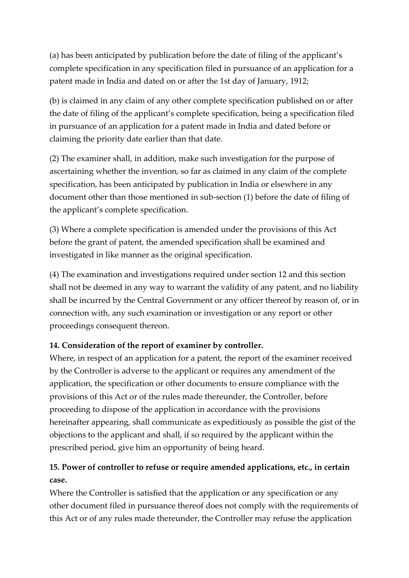(a) has been anticipated by publication before the date of filing of the applicant's complete specification in any specification filed in pursuance of an application for a patent made in India and dated on or after the 1st day of January, 1912;

(b) is claimed in any claim of any other complete specification published on or after the date of filing of the applicant's complete specification, being a specification filed in pursuance of an application for a patent made in India and dated before or claiming the priority date earlier than that date.

(2) The examiner shall, in addition, make such investigation for the purpose of ascertaining whether the invention, so far as claimed in any claim of the complete specification, has been anticipated by publication in India or elsewhere in any document other than those mentioned in sub-section (1) before the date of filing of the applicant's complete specification.

(3) Where a complete specification is amended under the provisions of this Act before the grant of patent, the amended specification shall be examined and investigated in like manner as the original specification.

(4) The examination and investigations required under section 12 and this section shall not be deemed in any way to warrant the validity of any patent, and no liability shall be incurred by the Central Government or any officer thereof by reason of, or in connection with, any such examination or investigation or any report or other proceedings consequent thereon.

# **14. Consideration of the report of examiner by controller.**

Where, in respect of an application for a patent, the report of the examiner received by the Controller is adverse to the applicant or requires any amendment of the application, the specification or other documents to ensure compliance with the provisions of this Act or of the rules made thereunder, the Controller, before proceeding to dispose of the application in accordance with the provisions hereinafter appearing, shall communicate as expeditiously as possible the gist of the objections to the applicant and shall, if so required by the applicant within the prescribed period, give him an opportunity of being heard.

# **15. Power of controller to refuse or require amended applications, etc., in certain case.**

Where the Controller is satisfied that the application or any specification or any other document filed in pursuance thereof does not comply with the requirements of this Act or of any rules made thereunder, the Controller may refuse the application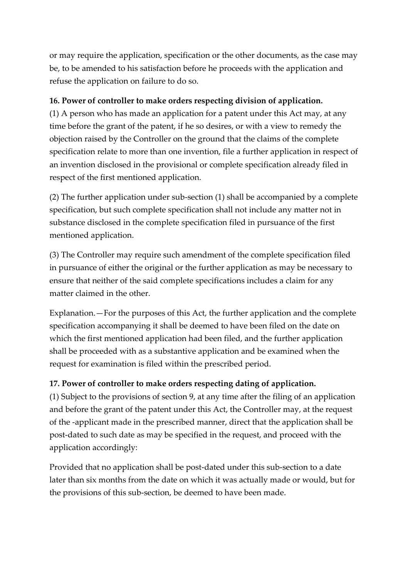or may require the application, specification or the other documents, as the case may be, to be amended to his satisfaction before he proceeds with the application and refuse the application on failure to do so.

#### **16. Power of controller to make orders respecting division of application.**

(1) A person who has made an application for a patent under this Act may, at any time before the grant of the patent, if he so desires, or with a view to remedy the objection raised by the Controller on the ground that the claims of the complete specification relate to more than one invention, file a further application in respect of an invention disclosed in the provisional or complete specification already filed in respect of the first mentioned application.

(2) The further application under sub-section (1) shall be accompanied by a complete specification, but such complete specification shall not include any matter not in substance disclosed in the complete specification filed in pursuance of the first mentioned application.

(3) The Controller may require such amendment of the complete specification filed in pursuance of either the original or the further application as may be necessary to ensure that neither of the said complete specifications includes a claim for any matter claimed in the other.

Explanation.—For the purposes of this Act, the further application and the complete specification accompanying it shall be deemed to have been filed on the date on which the first mentioned application had been filed, and the further application shall be proceeded with as a substantive application and be examined when the request for examination is filed within the prescribed period.

# **17. Power of controller to make orders respecting dating of application.**

(1) Subject to the provisions of section 9, at any time after the filing of an application and before the grant of the patent under this Act, the Controller may, at the request of the -applicant made in the prescribed manner, direct that the application shall be post-dated to such date as may be specified in the request, and proceed with the application accordingly:

Provided that no application shall be post-dated under this sub-section to a date later than six months from the date on which it was actually made or would, but for the provisions of this sub-section, be deemed to have been made.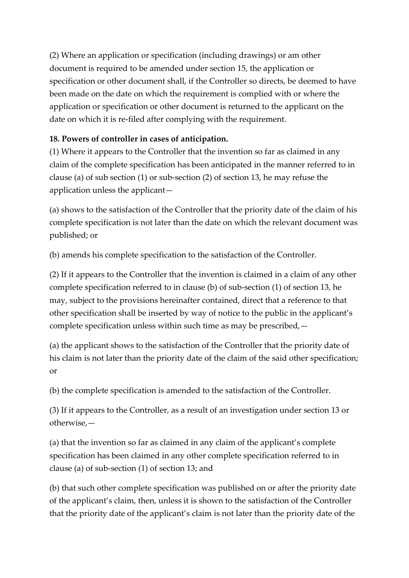(2) Where an application or specification (including drawings) or am other document is required to be amended under section 15, the application or specification or other document shall, if the Controller so directs, be deemed to have been made on the date on which the requirement is complied with or where the application or specification or other document is returned to the applicant on the date on which it is re-filed after complying with the requirement.

# **18. Powers of controller in cases of anticipation.**

(1) Where it appears to the Controller that the invention so far as claimed in any claim of the complete specification has been anticipated in the manner referred to in clause (a) of sub section (1) or sub-section (2) of section 13, he may refuse the application unless the applicant—

(a) shows to the satisfaction of the Controller that the priority date of the claim of his complete specification is not later than the date on which the relevant document was published; or

(b) amends his complete specification to the satisfaction of the Controller.

(2) If it appears to the Controller that the invention is claimed in a claim of any other complete specification referred to in clause (b) of sub-section (1) of section 13, he may, subject to the provisions hereinafter contained, direct that a reference to that other specification shall be inserted by way of notice to the public in the applicant's complete specification unless within such time as may be prescribed,—

(a) the applicant shows to the satisfaction of the Controller that the priority date of his claim is not later than the priority date of the claim of the said other specification; or

(b) the complete specification is amended to the satisfaction of the Controller.

(3) If it appears to the Controller, as a result of an investigation under section 13 or otherwise,—

(a) that the invention so far as claimed in any claim of the applicant's complete specification has been claimed in any other complete specification referred to in clause (a) of sub-section (1) of section 13; and

(b) that such other complete specification was published on or after the priority date of the applicant's claim, then, unless it is shown to the satisfaction of the Controller that the priority date of the applicant's claim is not later than the priority date of the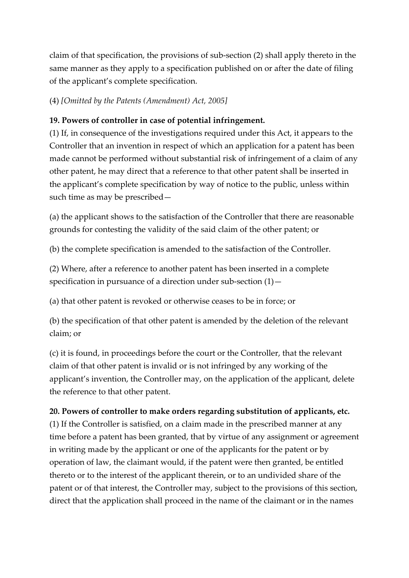claim of that specification, the provisions of sub-section (2) shall apply thereto in the same manner as they apply to a specification published on or after the date of filing of the applicant's complete specification.

(4) *[Omitted by the Patents (Amendment) Act, 2005]*

# **19. Powers of controller in case of potential infringement.**

(1) If, in consequence of the investigations required under this Act, it appears to the Controller that an invention in respect of which an application for a patent has been made cannot be performed without substantial risk of infringement of a claim of any other patent, he may direct that a reference to that other patent shall be inserted in the applicant's complete specification by way of notice to the public, unless within such time as may be prescribed—

(a) the applicant shows to the satisfaction of the Controller that there are reasonable grounds for contesting the validity of the said claim of the other patent; or

(b) the complete specification is amended to the satisfaction of the Controller.

(2) Where, after a reference to another patent has been inserted in a complete specification in pursuance of a direction under sub-section  $(1)$  -

(a) that other patent is revoked or otherwise ceases to be in force; or

(b) the specification of that other patent is amended by the deletion of the relevant claim; or

(c) it is found, in proceedings before the court or the Controller, that the relevant claim of that other patent is invalid or is not infringed by any working of the applicant's invention, the Controller may, on the application of the applicant, delete the reference to that other patent.

# **20. Powers of controller to make orders regarding substitution of applicants, etc.**

(1) If the Controller is satisfied, on a claim made in the prescribed manner at any time before a patent has been granted, that by virtue of any assignment or agreement in writing made by the applicant or one of the applicants for the patent or by operation of law, the claimant would, if the patent were then granted, be entitled thereto or to the interest of the applicant therein, or to an undivided share of the patent or of that interest, the Controller may, subject to the provisions of this section, direct that the application shall proceed in the name of the claimant or in the names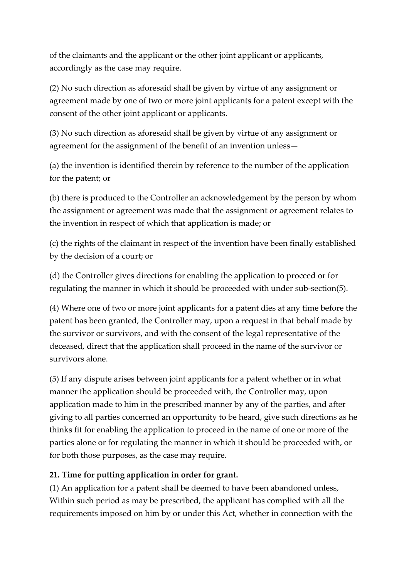of the claimants and the applicant or the other joint applicant or applicants, accordingly as the case may require.

(2) No such direction as aforesaid shall be given by virtue of any assignment or agreement made by one of two or more joint applicants for a patent except with the consent of the other joint applicant or applicants.

(3) No such direction as aforesaid shall be given by virtue of any assignment or agreement for the assignment of the benefit of an invention unless—

(a) the invention is identified therein by reference to the number of the application for the patent; or

(b) there is produced to the Controller an acknowledgement by the person by whom the assignment or agreement was made that the assignment or agreement relates to the invention in respect of which that application is made; or

(c) the rights of the claimant in respect of the invention have been finally established by the decision of a court; or

(d) the Controller gives directions for enabling the application to proceed or for regulating the manner in which it should be proceeded with under sub-section(5).

(4) Where one of two or more joint applicants for a patent dies at any time before the patent has been granted, the Controller may, upon a request in that behalf made by the survivor or survivors, and with the consent of the legal representative of the deceased, direct that the application shall proceed in the name of the survivor or survivors alone.

(5) If any dispute arises between joint applicants for a patent whether or in what manner the application should be proceeded with, the Controller may, upon application made to him in the prescribed manner by any of the parties, and after giving to all parties concerned an opportunity to be heard, give such directions as he thinks fit for enabling the application to proceed in the name of one or more of the parties alone or for regulating the manner in which it should be proceeded with, or for both those purposes, as the case may require.

# **21. Time for putting application in order for grant.**

(1) An application for a patent shall be deemed to have been abandoned unless, Within such period as may be prescribed, the applicant has complied with all the requirements imposed on him by or under this Act, whether in connection with the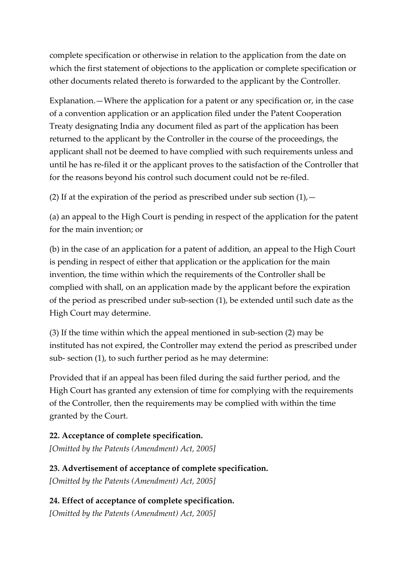complete specification or otherwise in relation to the application from the date on which the first statement of objections to the application or complete specification or other documents related thereto is forwarded to the applicant by the Controller.

Explanation.—Where the application for a patent or any specification or, in the case of a convention application or an application filed under the Patent Cooperation Treaty designating India any document filed as part of the application has been returned to the applicant by the Controller in the course of the proceedings, the applicant shall not be deemed to have complied with such requirements unless and until he has re-filed it or the applicant proves to the satisfaction of the Controller that for the reasons beyond his control such document could not be re-filed.

(2) If at the expiration of the period as prescribed under sub section  $(1)$ , -

(a) an appeal to the High Court is pending in respect of the application for the patent for the main invention; or

(b) in the case of an application for a patent of addition, an appeal to the High Court is pending in respect of either that application or the application for the main invention, the time within which the requirements of the Controller shall be complied with shall, on an application made by the applicant before the expiration of the period as prescribed under sub-section (1), be extended until such date as the High Court may determine.

(3) If the time within which the appeal mentioned in sub-section (2) may be instituted has not expired, the Controller may extend the period as prescribed under sub- section (1), to such further period as he may determine:

Provided that if an appeal has been filed during the said further period, and the High Court has granted any extension of time for complying with the requirements of the Controller, then the requirements may be complied with within the time granted by the Court.

**22. Acceptance of complete specification.** *[Omitted by the Patents (Amendment) Act, 2005]*

**23. Advertisement of acceptance of complete specification.** *[Omitted by the Patents (Amendment) Act, 2005]*

**24. Effect of acceptance of complete specification.** *[Omitted by the Patents (Amendment) Act, 2005]*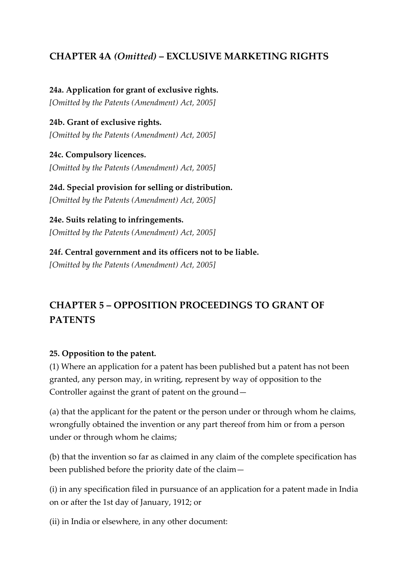# **CHAPTER 4A** *(Omitted)* **– EXCLUSIVE MARKETING RIGHTS**

**24a. Application for grant of exclusive rights.** *[Omitted by the Patents (Amendment) Act, 2005]*

**24b. Grant of exclusive rights.** *[Omitted by the Patents (Amendment) Act, 2005]*

**24c. Compulsory licences.** *[Omitted by the Patents (Amendment) Act, 2005]*

**24d. Special provision for selling or distribution.** *[Omitted by the Patents (Amendment) Act, 2005]*

**24e. Suits relating to infringements.** *[Omitted by the Patents (Amendment) Act, 2005]*

**24f. Central government and its officers not to be liable.** *[Omitted by the Patents (Amendment) Act, 2005]*

# **CHAPTER 5 – OPPOSITION PROCEEDINGS TO GRANT OF PATENTS**

#### **25. Opposition to the patent.**

(1) Where an application for a patent has been published but a patent has not been granted, any person may, in writing, represent by way of opposition to the Controller against the grant of patent on the ground—

(a) that the applicant for the patent or the person under or through whom he claims, wrongfully obtained the invention or any part thereof from him or from a person under or through whom he claims;

(b) that the invention so far as claimed in any claim of the complete specification has been published before the priority date of the claim—

(i) in any specification filed in pursuance of an application for a patent made in India on or after the 1st day of January, 1912; or

(ii) in India or elsewhere, in any other document: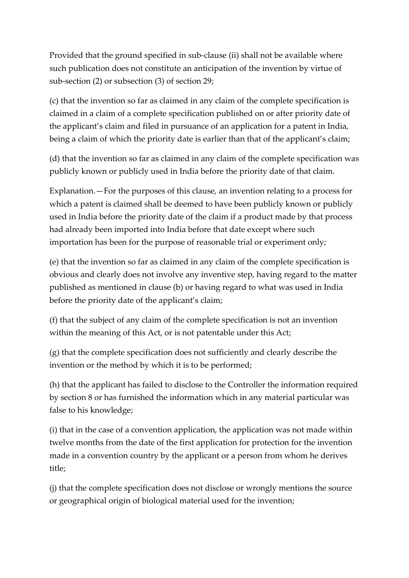Provided that the ground specified in sub-clause (ii) shall not be available where such publication does not constitute an anticipation of the invention by virtue of sub-section (2) or subsection (3) of section 29;

(c) that the invention so far as claimed in any claim of the complete specification is claimed in a claim of a complete specification published on or after priority date of the applicant's claim and filed in pursuance of an application for a patent in India, being a claim of which the priority date is earlier than that of the applicant's claim;

(d) that the invention so far as claimed in any claim of the complete specification was publicly known or publicly used in India before the priority date of that claim.

Explanation.—For the purposes of this clause, an invention relating to a process for which a patent is claimed shall be deemed to have been publicly known or publicly used in India before the priority date of the claim if a product made by that process had already been imported into India before that date except where such importation has been for the purpose of reasonable trial or experiment only;

(e) that the invention so far as claimed in any claim of the complete specification is obvious and clearly does not involve any inventive step, having regard to the matter published as mentioned in clause (b) or having regard to what was used in India before the priority date of the applicant's claim;

(f) that the subject of any claim of the complete specification is not an invention within the meaning of this Act, or is not patentable under this Act;

(g) that the complete specification does not sufficiently and clearly describe the invention or the method by which it is to be performed;

(h) that the applicant has failed to disclose to the Controller the information required by section 8 or has furnished the information which in any material particular was false to his knowledge;

(i) that in the case of a convention application, the application was not made within twelve months from the date of the first application for protection for the invention made in a convention country by the applicant or a person from whom he derives title;

(j) that the complete specification does not disclose or wrongly mentions the source or geographical origin of biological material used for the invention;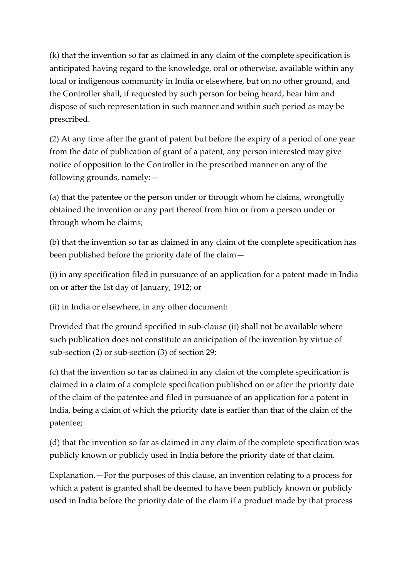(k) that the invention so far as claimed in any claim of the complete specification is anticipated having regard to the knowledge, oral or otherwise, available within any local or indigenous community in India or elsewhere, but on no other ground, and the Controller shall, if requested by such person for being heard, hear him and dispose of such representation in such manner and within such period as may be prescribed.

(2) At any time after the grant of patent but before the expiry of a period of one year from the date of publication of grant of a patent, any person interested may give notice of opposition to the Controller in the prescribed manner on any of the following grounds, namely:—

(a) that the patentee or the person under or through whom he claims, wrongfully obtained the invention or any part thereof from him or from a person under or through whom he claims;

(b) that the invention so far as claimed in any claim of the complete specification has been published before the priority date of the claim—

(i) in any specification filed in pursuance of an application for a patent made in India on or after the 1st day of January, 1912; or

(ii) in India or elsewhere, in any other document:

Provided that the ground specified in sub-clause (ii) shall not be available where such publication does not constitute an anticipation of the invention by virtue of sub-section (2) or sub-section (3) of section 29;

(c) that the invention so far as claimed in any claim of the complete specification is claimed in a claim of a complete specification published on or after the priority date of the claim of the patentee and filed in pursuance of an application for a patent in India, being a claim of which the priority date is earlier than that of the claim of the patentee;

(d) that the invention so far as claimed in any claim of the complete specification was publicly known or publicly used in India before the priority date of that claim.

Explanation.—For the purposes of this clause, an invention relating to a process for which a patent is granted shall be deemed to have been publicly known or publicly used in India before the priority date of the claim if a product made by that process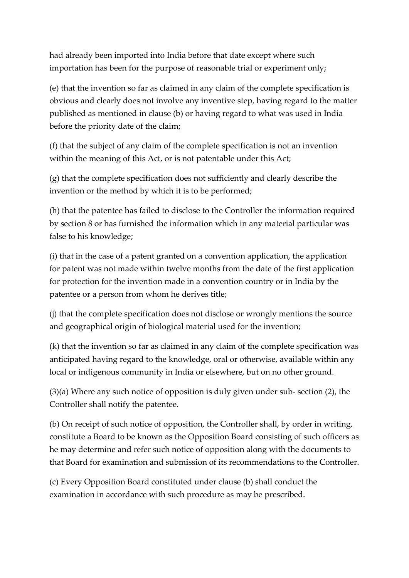had already been imported into India before that date except where such importation has been for the purpose of reasonable trial or experiment only;

(e) that the invention so far as claimed in any claim of the complete specification is obvious and clearly does not involve any inventive step, having regard to the matter published as mentioned in clause (b) or having regard to what was used in India before the priority date of the claim;

(f) that the subject of any claim of the complete specification is not an invention within the meaning of this Act, or is not patentable under this Act;

(g) that the complete specification does not sufficiently and clearly describe the invention or the method by which it is to be performed;

(h) that the patentee has failed to disclose to the Controller the information required by section 8 or has furnished the information which in any material particular was false to his knowledge;

(i) that in the case of a patent granted on a convention application, the application for patent was not made within twelve months from the date of the first application for protection for the invention made in a convention country or in India by the patentee or a person from whom he derives title;

(j) that the complete specification does not disclose or wrongly mentions the source and geographical origin of biological material used for the invention;

(k) that the invention so far as claimed in any claim of the complete specification was anticipated having regard to the knowledge, oral or otherwise, available within any local or indigenous community in India or elsewhere, but on no other ground.

(3)(a) Where any such notice of opposition is duly given under sub- section (2), the Controller shall notify the patentee.

(b) On receipt of such notice of opposition, the Controller shall, by order in writing, constitute a Board to be known as the Opposition Board consisting of such officers as he may determine and refer such notice of opposition along with the documents to that Board for examination and submission of its recommendations to the Controller.

(c) Every Opposition Board constituted under clause (b) shall conduct the examination in accordance with such procedure as may be prescribed.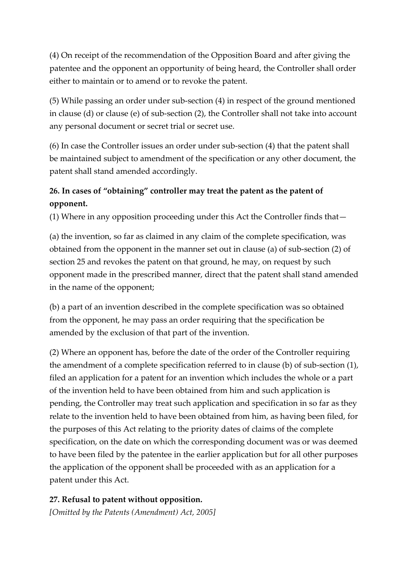(4) On receipt of the recommendation of the Opposition Board and after giving the patentee and the opponent an opportunity of being heard, the Controller shall order either to maintain or to amend or to revoke the patent.

(5) While passing an order under sub-section (4) in respect of the ground mentioned in clause (d) or clause (e) of sub-section (2), the Controller shall not take into account any personal document or secret trial or secret use.

(6) In case the Controller issues an order under sub-section (4) that the patent shall be maintained subject to amendment of the specification or any other document, the patent shall stand amended accordingly.

# **26. In cases of "obtaining" controller may treat the patent as the patent of opponent.**

(1) Where in any opposition proceeding under this Act the Controller finds that—

(a) the invention, so far as claimed in any claim of the complete specification, was obtained from the opponent in the manner set out in clause (a) of sub-section (2) of section 25 and revokes the patent on that ground, he may, on request by such opponent made in the prescribed manner, direct that the patent shall stand amended in the name of the opponent;

(b) a part of an invention described in the complete specification was so obtained from the opponent, he may pass an order requiring that the specification be amended by the exclusion of that part of the invention.

(2) Where an opponent has, before the date of the order of the Controller requiring the amendment of a complete specification referred to in clause (b) of sub-section (1), filed an application for a patent for an invention which includes the whole or a part of the invention held to have been obtained from him and such application is pending, the Controller may treat such application and specification in so far as they relate to the invention held to have been obtained from him, as having been filed, for the purposes of this Act relating to the priority dates of claims of the complete specification, on the date on which the corresponding document was or was deemed to have been filed by the patentee in the earlier application but for all other purposes the application of the opponent shall be proceeded with as an application for a patent under this Act.

# **27. Refusal to patent without opposition.**

*[Omitted by the Patents (Amendment) Act, 2005]*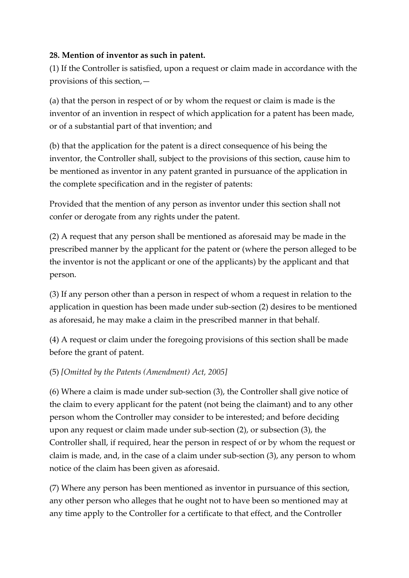### **28. Mention of inventor as such in patent.**

(1) If the Controller is satisfied, upon a request or claim made in accordance with the provisions of this section,—

(a) that the person in respect of or by whom the request or claim is made is the inventor of an invention in respect of which application for a patent has been made, or of a substantial part of that invention; and

(b) that the application for the patent is a direct consequence of his being the inventor, the Controller shall, subject to the provisions of this section, cause him to be mentioned as inventor in any patent granted in pursuance of the application in the complete specification and in the register of patents:

Provided that the mention of any person as inventor under this section shall not confer or derogate from any rights under the patent.

(2) A request that any person shall be mentioned as aforesaid may be made in the prescribed manner by the applicant for the patent or (where the person alleged to be the inventor is not the applicant or one of the applicants) by the applicant and that person.

(3) If any person other than a person in respect of whom a request in relation to the application in question has been made under sub-section (2) desires to be mentioned as aforesaid, he may make a claim in the prescribed manner in that behalf.

(4) A request or claim under the foregoing provisions of this section shall be made before the grant of patent.

#### (5) *[Omitted by the Patents (Amendment) Act, 2005]*

(6) Where a claim is made under sub-section (3), the Controller shall give notice of the claim to every applicant for the patent (not being the claimant) and to any other person whom the Controller may consider to be interested; and before deciding upon any request or claim made under sub-section (2), or subsection (3), the Controller shall, if required, hear the person in respect of or by whom the request or claim is made, and, in the case of a claim under sub-section (3), any person to whom notice of the claim has been given as aforesaid.

(7) Where any person has been mentioned as inventor in pursuance of this section, any other person who alleges that he ought not to have been so mentioned may at any time apply to the Controller for a certificate to that effect, and the Controller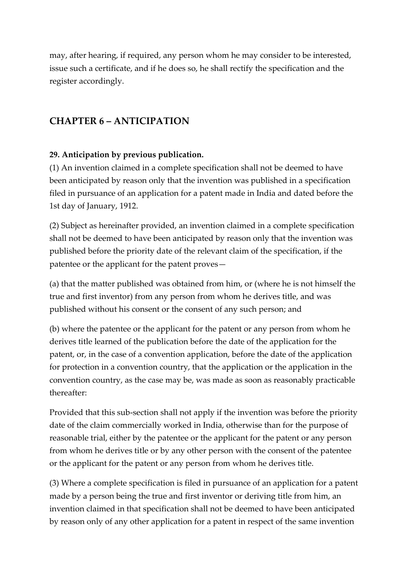may, after hearing, if required, any person whom he may consider to be interested, issue such a certificate, and if he does so, he shall rectify the specification and the register accordingly.

# **CHAPTER 6 – ANTICIPATION**

#### **29. Anticipation by previous publication.**

(1) An invention claimed in a complete specification shall not be deemed to have been anticipated by reason only that the invention was published in a specification filed in pursuance of an application for a patent made in India and dated before the 1st day of January, 1912.

(2) Subject as hereinafter provided, an invention claimed in a complete specification shall not be deemed to have been anticipated by reason only that the invention was published before the priority date of the relevant claim of the specification, if the patentee or the applicant for the patent proves—

(a) that the matter published was obtained from him, or (where he is not himself the true and first inventor) from any person from whom he derives title, and was published without his consent or the consent of any such person; and

(b) where the patentee or the applicant for the patent or any person from whom he derives title learned of the publication before the date of the application for the patent, or, in the case of a convention application, before the date of the application for protection in a convention country, that the application or the application in the convention country, as the case may be, was made as soon as reasonably practicable thereafter:

Provided that this sub-section shall not apply if the invention was before the priority date of the claim commercially worked in India, otherwise than for the purpose of reasonable trial, either by the patentee or the applicant for the patent or any person from whom he derives title or by any other person with the consent of the patentee or the applicant for the patent or any person from whom he derives title.

(3) Where a complete specification is filed in pursuance of an application for a patent made by a person being the true and first inventor or deriving title from him, an invention claimed in that specification shall not be deemed to have been anticipated by reason only of any other application for a patent in respect of the same invention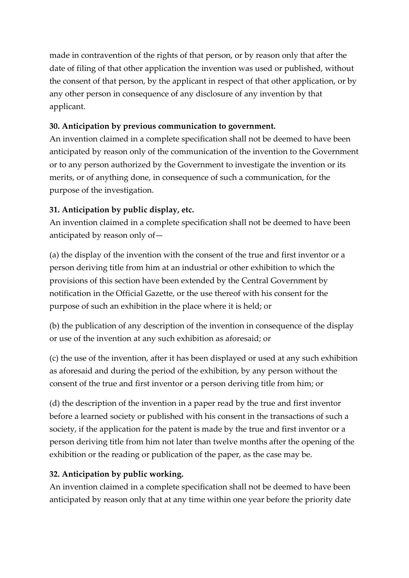made in contravention of the rights of that person, or by reason only that after the date of filing of that other application the invention was used or published, without the consent of that person, by the applicant in respect of that other application, or by any other person in consequence of any disclosure of any invention by that applicant.

# **30. Anticipation by previous communication to government.**

An invention claimed in a complete specification shall not be deemed to have been anticipated by reason only of the communication of the invention to the Government or to any person authorized by the Government to investigate the invention or its merits, or of anything done, in consequence of such a communication, for the purpose of the investigation.

# **31. Anticipation by public display, etc.**

An invention claimed in a complete specification shall not be deemed to have been anticipated by reason only of—

(a) the display of the invention with the consent of the true and first inventor or a person deriving title from him at an industrial or other exhibition to which the provisions of this section have been extended by the Central Government by notification in the Official Gazette, or the use thereof with his consent for the purpose of such an exhibition in the place where it is held; or

(b) the publication of any description of the invention in consequence of the display or use of the invention at any such exhibition as aforesaid; or

(c) the use of the invention, after it has been displayed or used at any such exhibition as aforesaid and during the period of the exhibition, by any person without the consent of the true and first inventor or a person deriving title from him; or

(d) the description of the invention in a paper read by the true and first inventor before a learned society or published with his consent in the transactions of such a society, if the application for the patent is made by the true and first inventor or a person deriving title from him not later than twelve months after the opening of the exhibition or the reading or publication of the paper, as the case may be.

# **32. Anticipation by public working.**

An invention claimed in a complete specification shall not be deemed to have been anticipated by reason only that at any time within one year before the priority date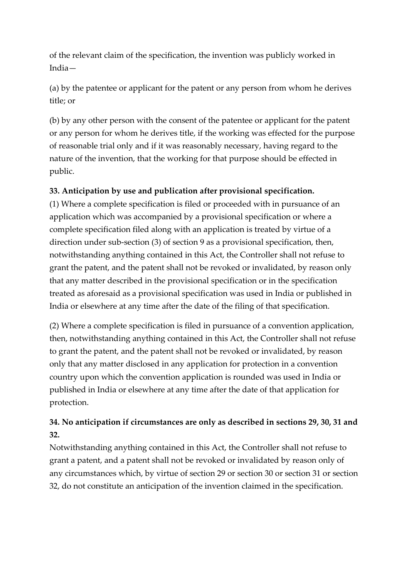of the relevant claim of the specification, the invention was publicly worked in India—

(a) by the patentee or applicant for the patent or any person from whom he derives title; or

(b) by any other person with the consent of the patentee or applicant for the patent or any person for whom he derives title, if the working was effected for the purpose of reasonable trial only and if it was reasonably necessary, having regard to the nature of the invention, that the working for that purpose should be effected in public.

#### **33. Anticipation by use and publication after provisional specification.**

(1) Where a complete specification is filed or proceeded with in pursuance of an application which was accompanied by a provisional specification or where a complete specification filed along with an application is treated by virtue of a direction under sub-section (3) of section 9 as a provisional specification, then, notwithstanding anything contained in this Act, the Controller shall not refuse to grant the patent, and the patent shall not be revoked or invalidated, by reason only that any matter described in the provisional specification or in the specification treated as aforesaid as a provisional specification was used in India or published in India or elsewhere at any time after the date of the filing of that specification.

(2) Where a complete specification is filed in pursuance of a convention application, then, notwithstanding anything contained in this Act, the Controller shall not refuse to grant the patent, and the patent shall not be revoked or invalidated, by reason only that any matter disclosed in any application for protection in a convention country upon which the convention application is rounded was used in India or published in India or elsewhere at any time after the date of that application for protection.

# **34. No anticipation if circumstances are only as described in sections 29, 30, 31 and 32.**

Notwithstanding anything contained in this Act, the Controller shall not refuse to grant a patent, and a patent shall not be revoked or invalidated by reason only of any circumstances which, by virtue of section 29 or section 30 or section 31 or section 32, do not constitute an anticipation of the invention claimed in the specification.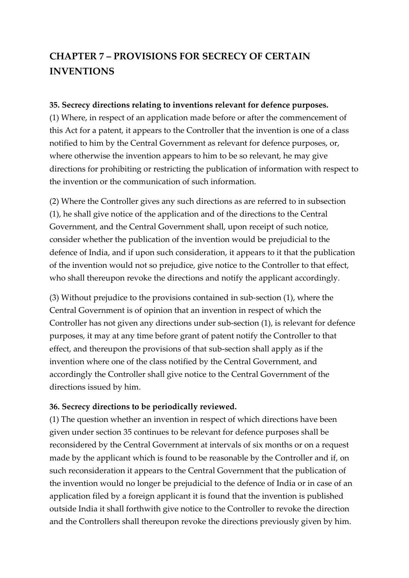# **CHAPTER 7 – PROVISIONS FOR SECRECY OF CERTAIN INVENTIONS**

#### **35. Secrecy directions relating to inventions relevant for defence purposes.**

(1) Where, in respect of an application made before or after the commencement of this Act for a patent, it appears to the Controller that the invention is one of a class notified to him by the Central Government as relevant for defence purposes, or, where otherwise the invention appears to him to be so relevant, he may give directions for prohibiting or restricting the publication of information with respect to the invention or the communication of such information.

(2) Where the Controller gives any such directions as are referred to in subsection (1), he shall give notice of the application and of the directions to the Central Government, and the Central Government shall, upon receipt of such notice, consider whether the publication of the invention would be prejudicial to the defence of India, and if upon such consideration, it appears to it that the publication of the invention would not so prejudice, give notice to the Controller to that effect, who shall thereupon revoke the directions and notify the applicant accordingly.

(3) Without prejudice to the provisions contained in sub-section (1), where the Central Government is of opinion that an invention in respect of which the Controller has not given any directions under sub-section (1), is relevant for defence purposes, it may at any time before grant of patent notify the Controller to that effect, and thereupon the provisions of that sub-section shall apply as if the invention where one of the class notified by the Central Government, and accordingly the Controller shall give notice to the Central Government of the directions issued by him.

#### **36. Secrecy directions to be periodically reviewed.**

(1) The question whether an invention in respect of which directions have been given under section 35 continues to be relevant for defence purposes shall be reconsidered by the Central Government at intervals of six months or on a request made by the applicant which is found to be reasonable by the Controller and if, on such reconsideration it appears to the Central Government that the publication of the invention would no longer be prejudicial to the defence of India or in case of an application filed by a foreign applicant it is found that the invention is published outside India it shall forthwith give notice to the Controller to revoke the direction and the Controllers shall thereupon revoke the directions previously given by him.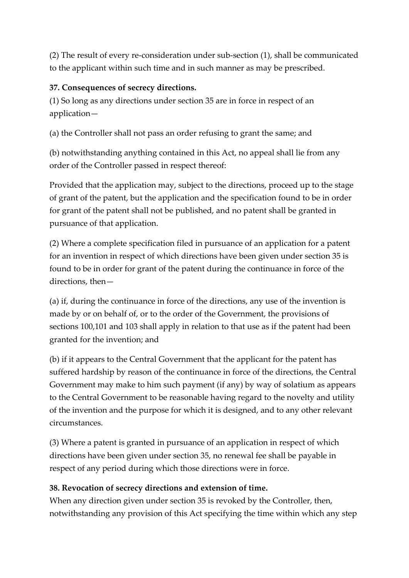(2) The result of every re-consideration under sub-section (1), shall be communicated to the applicant within such time and in such manner as may be prescribed.

#### **37. Consequences of secrecy directions.**

(1) So long as any directions under section 35 are in force in respect of an application—

(a) the Controller shall not pass an order refusing to grant the same; and

(b) notwithstanding anything contained in this Act, no appeal shall lie from any order of the Controller passed in respect thereof:

Provided that the application may, subject to the directions, proceed up to the stage of grant of the patent, but the application and the specification found to be in order for grant of the patent shall not be published, and no patent shall be granted in pursuance of that application.

(2) Where a complete specification filed in pursuance of an application for a patent for an invention in respect of which directions have been given under section 35 is found to be in order for grant of the patent during the continuance in force of the directions, then—

(a) if, during the continuance in force of the directions, any use of the invention is made by or on behalf of, or to the order of the Government, the provisions of sections 100,101 and 103 shall apply in relation to that use as if the patent had been granted for the invention; and

(b) if it appears to the Central Government that the applicant for the patent has suffered hardship by reason of the continuance in force of the directions, the Central Government may make to him such payment (if any) by way of solatium as appears to the Central Government to be reasonable having regard to the novelty and utility of the invention and the purpose for which it is designed, and to any other relevant circumstances.

(3) Where a patent is granted in pursuance of an application in respect of which directions have been given under section 35, no renewal fee shall be payable in respect of any period during which those directions were in force.

# **38. Revocation of secrecy directions and extension of time.**

When any direction given under section 35 is revoked by the Controller, then, notwithstanding any provision of this Act specifying the time within which any step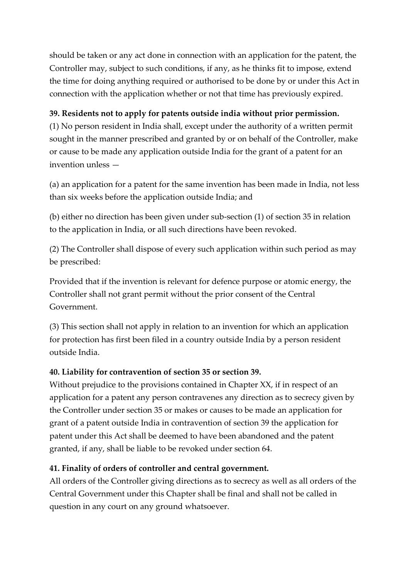should be taken or any act done in connection with an application for the patent, the Controller may, subject to such conditions, if any, as he thinks fit to impose, extend the time for doing anything required or authorised to be done by or under this Act in connection with the application whether or not that time has previously expired.

### **39. Residents not to apply for patents outside india without prior permission.**

(1) No person resident in India shall, except under the authority of a written permit sought in the manner prescribed and granted by or on behalf of the Controller, make or cause to be made any application outside India for the grant of a patent for an invention unless —

(a) an application for a patent for the same invention has been made in India, not less than six weeks before the application outside India; and

(b) either no direction has been given under sub-section (1) of section 35 in relation to the application in India, or all such directions have been revoked.

(2) The Controller shall dispose of every such application within such period as may be prescribed:

Provided that if the invention is relevant for defence purpose or atomic energy, the Controller shall not grant permit without the prior consent of the Central Government.

(3) This section shall not apply in relation to an invention for which an application for protection has first been filed in a country outside India by a person resident outside India.

#### **40. Liability for contravention of section 35 or section 39.**

Without prejudice to the provisions contained in Chapter XX, if in respect of an application for a patent any person contravenes any direction as to secrecy given by the Controller under section 35 or makes or causes to be made an application for grant of a patent outside India in contravention of section 39 the application for patent under this Act shall be deemed to have been abandoned and the patent granted, if any, shall be liable to be revoked under section 64.

# **41. Finality of orders of controller and central government.**

All orders of the Controller giving directions as to secrecy as well as all orders of the Central Government under this Chapter shall be final and shall not be called in question in any court on any ground whatsoever.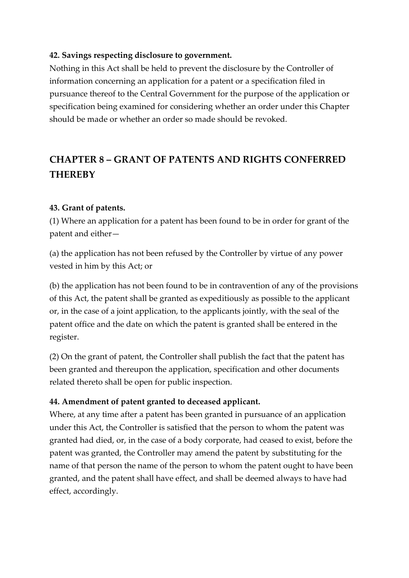### **42. Savings respecting disclosure to government.**

Nothing in this Act shall be held to prevent the disclosure by the Controller of information concerning an application for a patent or a specification filed in pursuance thereof to the Central Government for the purpose of the application or specification being examined for considering whether an order under this Chapter should be made or whether an order so made should be revoked.

# **CHAPTER 8 – GRANT OF PATENTS AND RIGHTS CONFERRED THEREBY**

#### **43. Grant of patents.**

(1) Where an application for a patent has been found to be in order for grant of the patent and either—

(a) the application has not been refused by the Controller by virtue of any power vested in him by this Act; or

(b) the application has not been found to be in contravention of any of the provisions of this Act, the patent shall be granted as expeditiously as possible to the applicant or, in the case of a joint application, to the applicants jointly, with the seal of the patent office and the date on which the patent is granted shall be entered in the register.

(2) On the grant of patent, the Controller shall publish the fact that the patent has been granted and thereupon the application, specification and other documents related thereto shall be open for public inspection.

# **44. Amendment of patent granted to deceased applicant.**

Where, at any time after a patent has been granted in pursuance of an application under this Act, the Controller is satisfied that the person to whom the patent was granted had died, or, in the case of a body corporate, had ceased to exist, before the patent was granted, the Controller may amend the patent by substituting for the name of that person the name of the person to whom the patent ought to have been granted, and the patent shall have effect, and shall be deemed always to have had effect, accordingly.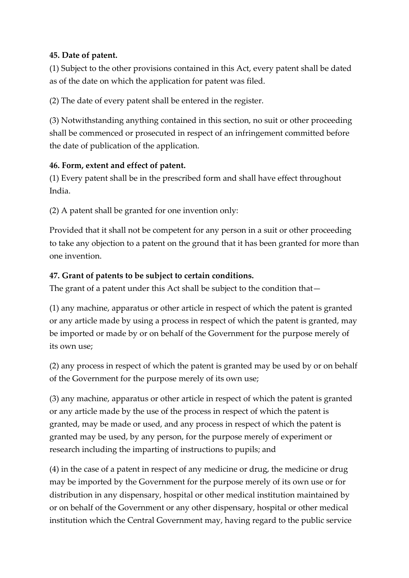### **45. Date of patent.**

(1) Subject to the other provisions contained in this Act, every patent shall be dated as of the date on which the application for patent was filed.

(2) The date of every patent shall be entered in the register.

(3) Notwithstanding anything contained in this section, no suit or other proceeding shall be commenced or prosecuted in respect of an infringement committed before the date of publication of the application.

#### **46. Form, extent and effect of patent.**

(1) Every patent shall be in the prescribed form and shall have effect throughout India.

(2) A patent shall be granted for one invention only:

Provided that it shall not be competent for any person in a suit or other proceeding to take any objection to a patent on the ground that it has been granted for more than one invention.

#### **47. Grant of patents to be subject to certain conditions.**

The grant of a patent under this Act shall be subject to the condition that—

(1) any machine, apparatus or other article in respect of which the patent is granted or any article made by using a process in respect of which the patent is granted, may be imported or made by or on behalf of the Government for the purpose merely of its own use;

(2) any process in respect of which the patent is granted may be used by or on behalf of the Government for the purpose merely of its own use;

(3) any machine, apparatus or other article in respect of which the patent is granted or any article made by the use of the process in respect of which the patent is granted, may be made or used, and any process in respect of which the patent is granted may be used, by any person, for the purpose merely of experiment or research including the imparting of instructions to pupils; and

(4) in the case of a patent in respect of any medicine or drug, the medicine or drug may be imported by the Government for the purpose merely of its own use or for distribution in any dispensary, hospital or other medical institution maintained by or on behalf of the Government or any other dispensary, hospital or other medical institution which the Central Government may, having regard to the public service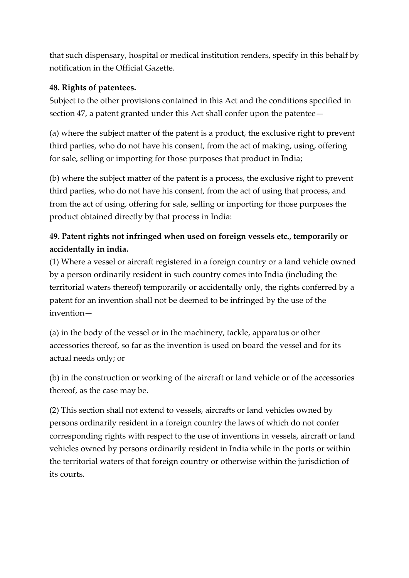that such dispensary, hospital or medical institution renders, specify in this behalf by notification in the Official Gazette.

# **48. Rights of patentees.**

Subject to the other provisions contained in this Act and the conditions specified in section 47, a patent granted under this Act shall confer upon the patentee—

(a) where the subject matter of the patent is a product, the exclusive right to prevent third parties, who do not have his consent, from the act of making, using, offering for sale, selling or importing for those purposes that product in India;

(b) where the subject matter of the patent is a process, the exclusive right to prevent third parties, who do not have his consent, from the act of using that process, and from the act of using, offering for sale, selling or importing for those purposes the product obtained directly by that process in India:

# **49. Patent rights not infringed when used on foreign vessels etc., temporarily or accidentally in india.**

(1) Where a vessel or aircraft registered in a foreign country or a land vehicle owned by a person ordinarily resident in such country comes into India (including the territorial waters thereof) temporarily or accidentally only, the rights conferred by a patent for an invention shall not be deemed to be infringed by the use of the invention—

(a) in the body of the vessel or in the machinery, tackle, apparatus or other accessories thereof, so far as the invention is used on board the vessel and for its actual needs only; or

(b) in the construction or working of the aircraft or land vehicle or of the accessories thereof, as the case may be.

(2) This section shall not extend to vessels, aircrafts or land vehicles owned by persons ordinarily resident in a foreign country the laws of which do not confer corresponding rights with respect to the use of inventions in vessels, aircraft or land vehicles owned by persons ordinarily resident in India while in the ports or within the territorial waters of that foreign country or otherwise within the jurisdiction of its courts.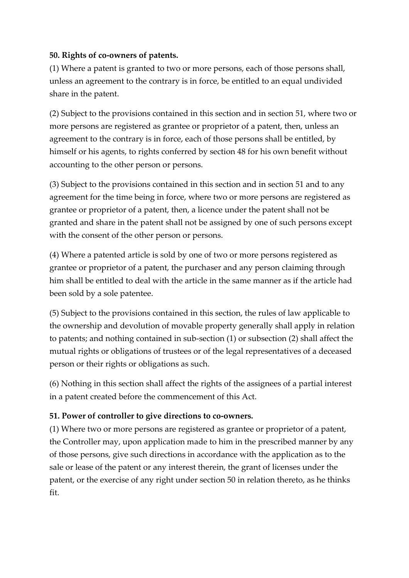### **50. Rights of co-owners of patents.**

(1) Where a patent is granted to two or more persons, each of those persons shall, unless an agreement to the contrary is in force, be entitled to an equal undivided share in the patent.

(2) Subject to the provisions contained in this section and in section 51, where two or more persons are registered as grantee or proprietor of a patent, then, unless an agreement to the contrary is in force, each of those persons shall be entitled, by himself or his agents, to rights conferred by section 48 for his own benefit without accounting to the other person or persons.

(3) Subject to the provisions contained in this section and in section 51 and to any agreement for the time being in force, where two or more persons are registered as grantee or proprietor of a patent, then, a licence under the patent shall not be granted and share in the patent shall not be assigned by one of such persons except with the consent of the other person or persons.

(4) Where a patented article is sold by one of two or more persons registered as grantee or proprietor of a patent, the purchaser and any person claiming through him shall be entitled to deal with the article in the same manner as if the article had been sold by a sole patentee.

(5) Subject to the provisions contained in this section, the rules of law applicable to the ownership and devolution of movable property generally shall apply in relation to patents; and nothing contained in sub-section (1) or subsection (2) shall affect the mutual rights or obligations of trustees or of the legal representatives of a deceased person or their rights or obligations as such.

(6) Nothing in this section shall affect the rights of the assignees of a partial interest in a patent created before the commencement of this Act.

#### **51. Power of controller to give directions to co-owners.**

(1) Where two or more persons are registered as grantee or proprietor of a patent, the Controller may, upon application made to him in the prescribed manner by any of those persons, give such directions in accordance with the application as to the sale or lease of the patent or any interest therein, the grant of licenses under the patent, or the exercise of any right under section 50 in relation thereto, as he thinks fit.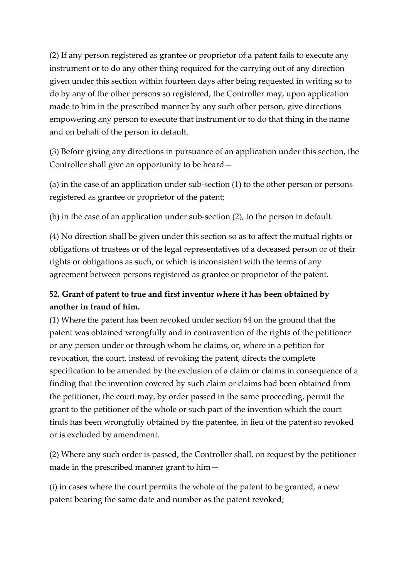(2) If any person registered as grantee or proprietor of a patent fails to execute any instrument or to do any other thing required for the carrying out of any direction given under this section within fourteen days after being requested in writing so to do by any of the other persons so registered, the Controller may, upon application made to him in the prescribed manner by any such other person, give directions empowering any person to execute that instrument or to do that thing in the name and on behalf of the person in default.

(3) Before giving any directions in pursuance of an application under this section, the Controller shall give an opportunity to be heard—

(a) in the case of an application under sub-section (1) to the other person or persons registered as grantee or proprietor of the patent;

(b) in the case of an application under sub-section (2), to the person in default.

(4) No direction shall be given under this section so as to affect the mutual rights or obligations of trustees or of the legal representatives of a deceased person or of their rights or obligations as such, or which is inconsistent with the terms of any agreement between persons registered as grantee or proprietor of the patent.

# **52. Grant of patent to true and first inventor where it has been obtained by another in fraud of him.**

(1) Where the patent has been revoked under section 64 on the ground that the patent was obtained wrongfully and in contravention of the rights of the petitioner or any person under or through whom he claims, or, where in a petition for revocation, the court, instead of revoking the patent, directs the complete specification to be amended by the exclusion of a claim or claims in consequence of a finding that the invention covered by such claim or claims had been obtained from the petitioner, the court may, by order passed in the same proceeding, permit the grant to the petitioner of the whole or such part of the invention which the court finds has been wrongfully obtained by the patentee, in lieu of the patent so revoked or is excluded by amendment.

(2) Where any such order is passed, the Controller shall, on request by the petitioner made in the prescribed manner grant to him—

(i) in cases where the court permits the whole of the patent to be granted, a new patent bearing the same date and number as the patent revoked;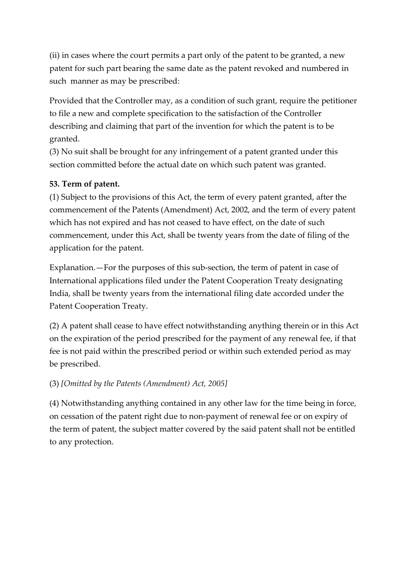(ii) in cases where the court permits a part only of the patent to be granted, a new patent for such part bearing the same date as the patent revoked and numbered in such manner as may be prescribed:

Provided that the Controller may, as a condition of such grant, require the petitioner to file a new and complete specification to the satisfaction of the Controller describing and claiming that part of the invention for which the patent is to be granted.

(3) No suit shall be brought for any infringement of a patent granted under this section committed before the actual date on which such patent was granted.

# **53. Term of patent.**

(1) Subject to the provisions of this Act, the term of every patent granted, after the commencement of the Patents (Amendment) Act, 2002, and the term of every patent which has not expired and has not ceased to have effect, on the date of such commencement, under this Act, shall be twenty years from the date of filing of the application for the patent.

Explanation.—For the purposes of this sub-section, the term of patent in case of International applications filed under the Patent Cooperation Treaty designating India, shall be twenty years from the international filing date accorded under the Patent Cooperation Treaty.

(2) A patent shall cease to have effect notwithstanding anything therein or in this Act on the expiration of the period prescribed for the payment of any renewal fee, if that fee is not paid within the prescribed period or within such extended period as may be prescribed.

# (3) *[Omitted by the Patents (Amendment) Act, 2005]*

(4) Notwithstanding anything contained in any other law for the time being in force, on cessation of the patent right due to non-payment of renewal fee or on expiry of the term of patent, the subject matter covered by the said patent shall not be entitled to any protection.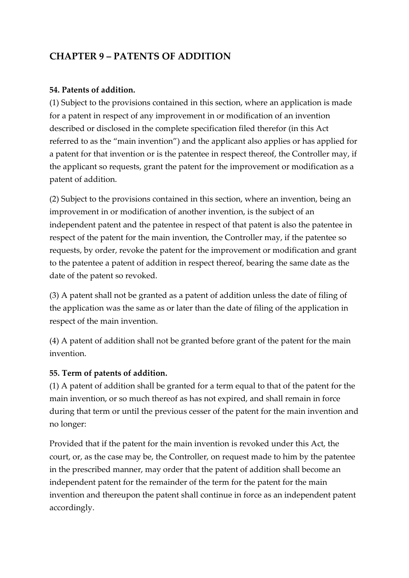# **CHAPTER 9 – PATENTS OF ADDITION**

#### **54. Patents of addition.**

(1) Subject to the provisions contained in this section, where an application is made for a patent in respect of any improvement in or modification of an invention described or disclosed in the complete specification filed therefor (in this Act referred to as the "main invention") and the applicant also applies or has applied for a patent for that invention or is the patentee in respect thereof, the Controller may, if the applicant so requests, grant the patent for the improvement or modification as a patent of addition.

(2) Subject to the provisions contained in this section, where an invention, being an improvement in or modification of another invention, is the subject of an independent patent and the patentee in respect of that patent is also the patentee in respect of the patent for the main invention, the Controller may, if the patentee so requests, by order, revoke the patent for the improvement or modification and grant to the patentee a patent of addition in respect thereof, bearing the same date as the date of the patent so revoked.

(3) A patent shall not be granted as a patent of addition unless the date of filing of the application was the same as or later than the date of filing of the application in respect of the main invention.

(4) A patent of addition shall not be granted before grant of the patent for the main invention.

#### **55. Term of patents of addition.**

(1) A patent of addition shall be granted for a term equal to that of the patent for the main invention, or so much thereof as has not expired, and shall remain in force during that term or until the previous cesser of the patent for the main invention and no longer:

Provided that if the patent for the main invention is revoked under this Act, the court, or, as the case may be, the Controller, on request made to him by the patentee in the prescribed manner, may order that the patent of addition shall become an independent patent for the remainder of the term for the patent for the main invention and thereupon the patent shall continue in force as an independent patent accordingly.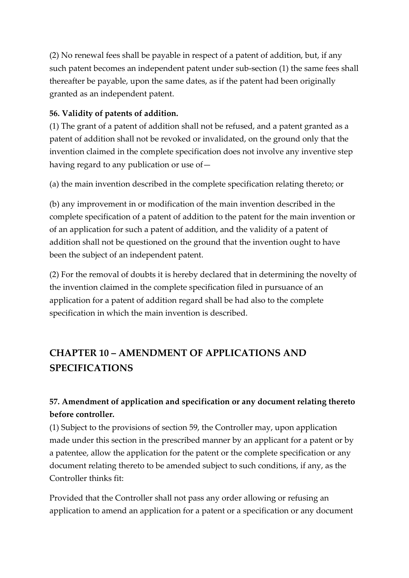(2) No renewal fees shall be payable in respect of a patent of addition, but, if any such patent becomes an independent patent under sub-section (1) the same fees shall thereafter be payable, upon the same dates, as if the patent had been originally granted as an independent patent.

# **56. Validity of patents of addition.**

(1) The grant of a patent of addition shall not be refused, and a patent granted as a patent of addition shall not be revoked or invalidated, on the ground only that the invention claimed in the complete specification does not involve any inventive step having regard to any publication or use of—

(a) the main invention described in the complete specification relating thereto; or

(b) any improvement in or modification of the main invention described in the complete specification of a patent of addition to the patent for the main invention or of an application for such a patent of addition, and the validity of a patent of addition shall not be questioned on the ground that the invention ought to have been the subject of an independent patent.

(2) For the removal of doubts it is hereby declared that in determining the novelty of the invention claimed in the complete specification filed in pursuance of an application for a patent of addition regard shall be had also to the complete specification in which the main invention is described.

# **CHAPTER 10 – AMENDMENT OF APPLICATIONS AND SPECIFICATIONS**

# **57. Amendment of application and specification or any document relating thereto before controller.**

(1) Subject to the provisions of section 59, the Controller may, upon application made under this section in the prescribed manner by an applicant for a patent or by a patentee, allow the application for the patent or the complete specification or any document relating thereto to be amended subject to such conditions, if any, as the Controller thinks fit:

Provided that the Controller shall not pass any order allowing or refusing an application to amend an application for a patent or a specification or any document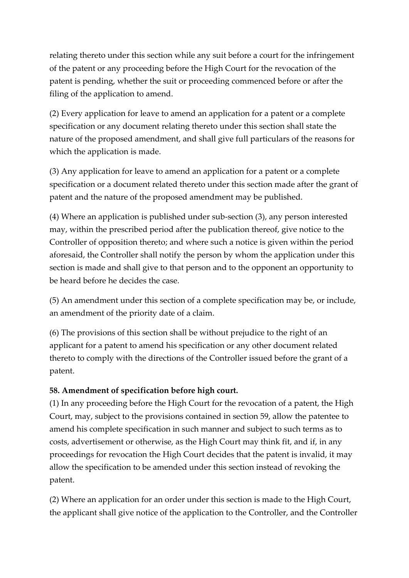relating thereto under this section while any suit before a court for the infringement of the patent or any proceeding before the High Court for the revocation of the patent is pending, whether the suit or proceeding commenced before or after the filing of the application to amend.

(2) Every application for leave to amend an application for a patent or a complete specification or any document relating thereto under this section shall state the nature of the proposed amendment, and shall give full particulars of the reasons for which the application is made.

(3) Any application for leave to amend an application for a patent or a complete specification or a document related thereto under this section made after the grant of patent and the nature of the proposed amendment may be published.

(4) Where an application is published under sub-section (3), any person interested may, within the prescribed period after the publication thereof, give notice to the Controller of opposition thereto; and where such a notice is given within the period aforesaid, the Controller shall notify the person by whom the application under this section is made and shall give to that person and to the opponent an opportunity to be heard before he decides the case.

(5) An amendment under this section of a complete specification may be, or include, an amendment of the priority date of a claim.

(6) The provisions of this section shall be without prejudice to the right of an applicant for a patent to amend his specification or any other document related thereto to comply with the directions of the Controller issued before the grant of a patent.

#### **58. Amendment of specification before high court.**

(1) In any proceeding before the High Court for the revocation of a patent, the High Court, may, subject to the provisions contained in section 59, allow the patentee to amend his complete specification in such manner and subject to such terms as to costs, advertisement or otherwise, as the High Court may think fit, and if, in any proceedings for revocation the High Court decides that the patent is invalid, it may allow the specification to be amended under this section instead of revoking the patent.

(2) Where an application for an order under this section is made to the High Court, the applicant shall give notice of the application to the Controller, and the Controller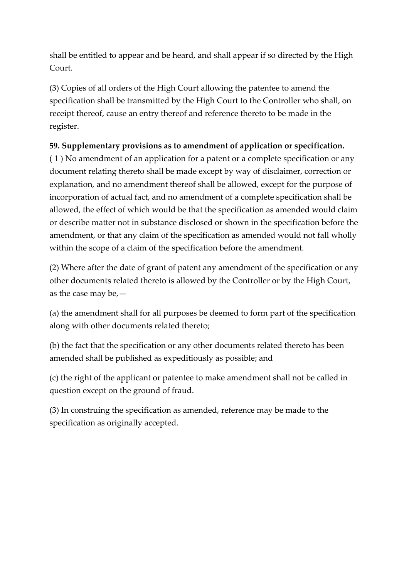shall be entitled to appear and be heard, and shall appear if so directed by the High Court.

(3) Copies of all orders of the High Court allowing the patentee to amend the specification shall be transmitted by the High Court to the Controller who shall, on receipt thereof, cause an entry thereof and reference thereto to be made in the register.

# **59. Supplementary provisions as to amendment of application or specification.**

( 1 ) No amendment of an application for a patent or a complete specification or any document relating thereto shall be made except by way of disclaimer, correction or explanation, and no amendment thereof shall be allowed, except for the purpose of incorporation of actual fact, and no amendment of a complete specification shall be allowed, the effect of which would be that the specification as amended would claim or describe matter not in substance disclosed or shown in the specification before the amendment, or that any claim of the specification as amended would not fall wholly within the scope of a claim of the specification before the amendment.

(2) Where after the date of grant of patent any amendment of the specification or any other documents related thereto is allowed by the Controller or by the High Court, as the case may be,—

(a) the amendment shall for all purposes be deemed to form part of the specification along with other documents related thereto;

(b) the fact that the specification or any other documents related thereto has been amended shall be published as expeditiously as possible; and

(c) the right of the applicant or patentee to make amendment shall not be called in question except on the ground of fraud.

(3) In construing the specification as amended, reference may be made to the specification as originally accepted.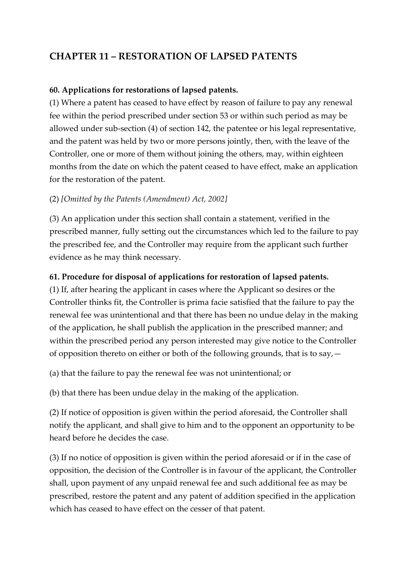# **CHAPTER 11 – RESTORATION OF LAPSED PATENTS**

## **60. Applications for restorations of lapsed patents.**

(1) Where a patent has ceased to have effect by reason of failure to pay any renewal fee within the period prescribed under section 53 or within such period as may be allowed under sub-section (4) of section 142, the patentee or his legal representative, and the patent was held by two or more persons jointly, then, with the leave of the Controller, one or more of them without joining the others, may, within eighteen months from the date on which the patent ceased to have effect, make an application for the restoration of the patent.

#### (2) *[Omitted by the Patents (Amendment) Act, 2002]*

(3) An application under this section shall contain a statement, verified in the prescribed manner, fully setting out the circumstances which led to the failure to pay the prescribed fee, and the Controller may require from the applicant such further evidence as he may think necessary.

## **61. Procedure for disposal of applications for restoration of lapsed patents.**

(1) If, after hearing the applicant in cases where the Applicant so desires or the Controller thinks fit, the Controller is prima facie satisfied that the failure to pay the renewal fee was unintentional and that there has been no undue delay in the making of the application, he shall publish the application in the prescribed manner; and within the prescribed period any person interested may give notice to the Controller of opposition thereto on either or both of the following grounds, that is to say,—

(a) that the failure to pay the renewal fee was not unintentional; or

(b) that there has been undue delay in the making of the application.

(2) If notice of opposition is given within the period aforesaid, the Controller shall notify the applicant, and shall give to him and to the opponent an opportunity to be heard before he decides the case.

(3) If no notice of opposition is given within the period aforesaid or if in the case of opposition, the decision of the Controller is in favour of the applicant, the Controller shall, upon payment of any unpaid renewal fee and such additional fee as may be prescribed, restore the patent and any patent of addition specified in the application which has ceased to have effect on the cesser of that patent.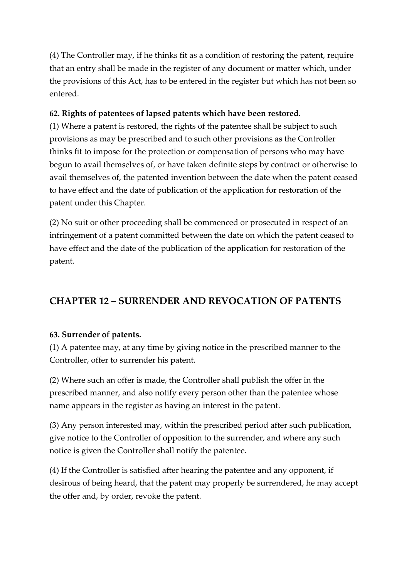(4) The Controller may, if he thinks fit as a condition of restoring the patent, require that an entry shall be made in the register of any document or matter which, under the provisions of this Act, has to be entered in the register but which has not been so entered.

### **62. Rights of patentees of lapsed patents which have been restored.**

(1) Where a patent is restored, the rights of the patentee shall be subject to such provisions as may be prescribed and to such other provisions as the Controller thinks fit to impose for the protection or compensation of persons who may have begun to avail themselves of, or have taken definite steps by contract or otherwise to avail themselves of, the patented invention between the date when the patent ceased to have effect and the date of publication of the application for restoration of the patent under this Chapter.

(2) No suit or other proceeding shall be commenced or prosecuted in respect of an infringement of a patent committed between the date on which the patent ceased to have effect and the date of the publication of the application for restoration of the patent.

# **CHAPTER 12 – SURRENDER AND REVOCATION OF PATENTS**

#### **63. Surrender of patents.**

(1) A patentee may, at any time by giving notice in the prescribed manner to the Controller, offer to surrender his patent.

(2) Where such an offer is made, the Controller shall publish the offer in the prescribed manner, and also notify every person other than the patentee whose name appears in the register as having an interest in the patent.

(3) Any person interested may, within the prescribed period after such publication, give notice to the Controller of opposition to the surrender, and where any such notice is given the Controller shall notify the patentee.

(4) If the Controller is satisfied after hearing the patentee and any opponent, if desirous of being heard, that the patent may properly be surrendered, he may accept the offer and, by order, revoke the patent.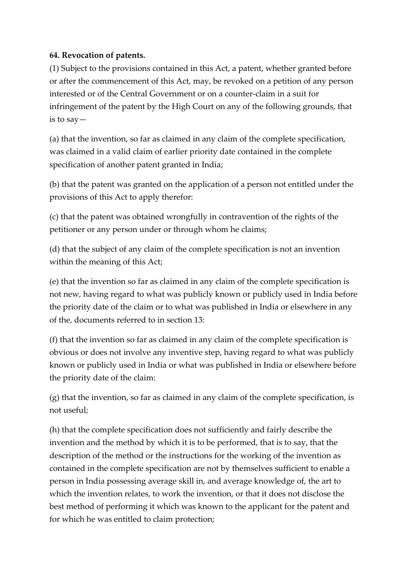## **64. Revocation of patents.**

(1) Subject to the provisions contained in this Act, a patent, whether granted before or after the commencement of this Act, may, be revoked on a petition of any person interested or of the Central Government or on a counter-claim in a suit for infringement of the patent by the High Court on any of the following grounds, that is to say—

(a) that the invention, so far as claimed in any claim of the complete specification, was claimed in a valid claim of earlier priority date contained in the complete specification of another patent granted in India;

(b) that the patent was granted on the application of a person not entitled under the provisions of this Act to apply therefor:

(c) that the patent was obtained wrongfully in contravention of the rights of the petitioner or any person under or through whom he claims;

(d) that the subject of any claim of the complete specification is not an invention within the meaning of this Act;

(e) that the invention so far as claimed in any claim of the complete specification is not new, having regard to what was publicly known or publicly used in India before the priority date of the claim or to what was published in India or elsewhere in any of the, documents referred to in section 13:

(f) that the invention so far as claimed in any claim of the complete specification is obvious or does not involve any inventive step, having regard to what was publicly known or publicly used in India or what was published in India or elsewhere before the priority date of the claim:

(g) that the invention, so far as claimed in any claim of the complete specification, is not useful;

(h) that the complete specification does not sufficiently and fairly describe the invention and the method by which it is to be performed, that is to say, that the description of the method or the instructions for the working of the invention as contained in the complete specification are not by themselves sufficient to enable a person in India possessing average skill in, and average knowledge of, the art to which the invention relates, to work the invention, or that it does not disclose the best method of performing it which was known to the applicant for the patent and for which he was entitled to claim protection;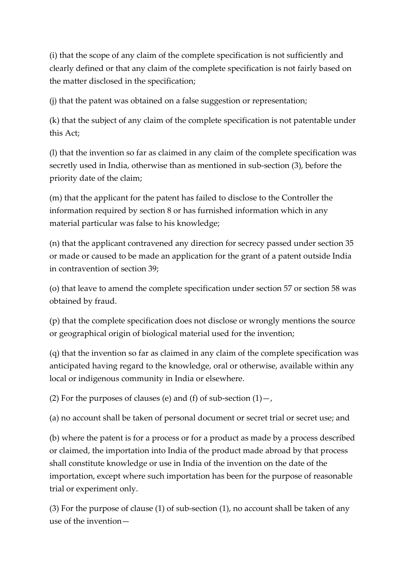(i) that the scope of any claim of the complete specification is not sufficiently and clearly defined or that any claim of the complete specification is not fairly based on the matter disclosed in the specification;

(j) that the patent was obtained on a false suggestion or representation;

(k) that the subject of any claim of the complete specification is not patentable under this Act;

(l) that the invention so far as claimed in any claim of the complete specification was secretly used in India, otherwise than as mentioned in sub-section (3), before the priority date of the claim;

(m) that the applicant for the patent has failed to disclose to the Controller the information required by section 8 or has furnished information which in any material particular was false to his knowledge;

(n) that the applicant contravened any direction for secrecy passed under section 35 or made or caused to be made an application for the grant of a patent outside India in contravention of section 39;

(o) that leave to amend the complete specification under section 57 or section 58 was obtained by fraud.

(p) that the complete specification does not disclose or wrongly mentions the source or geographical origin of biological material used for the invention;

(q) that the invention so far as claimed in any claim of the complete specification was anticipated having regard to the knowledge, oral or otherwise, available within any local or indigenous community in India or elsewhere.

(2) For the purposes of clauses (e) and (f) of sub-section  $(1)$  –,

(a) no account shall be taken of personal document or secret trial or secret use; and

(b) where the patent is for a process or for a product as made by a process described or claimed, the importation into India of the product made abroad by that process shall constitute knowledge or use in India of the invention on the date of the importation, except where such importation has been for the purpose of reasonable trial or experiment only.

(3) For the purpose of clause (1) of sub-section (1), no account shall be taken of any use of the invention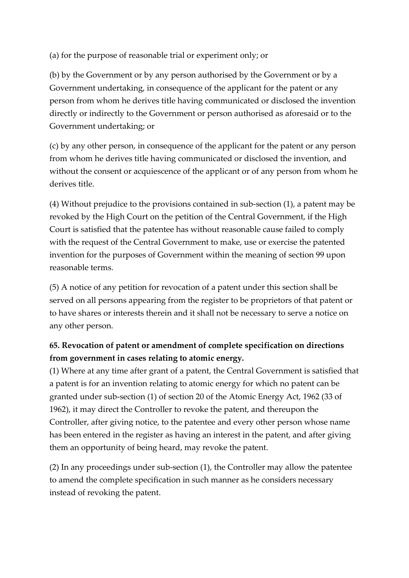(a) for the purpose of reasonable trial or experiment only; or

(b) by the Government or by any person authorised by the Government or by a Government undertaking, in consequence of the applicant for the patent or any person from whom he derives title having communicated or disclosed the invention directly or indirectly to the Government or person authorised as aforesaid or to the Government undertaking; or

(c) by any other person, in consequence of the applicant for the patent or any person from whom he derives title having communicated or disclosed the invention, and without the consent or acquiescence of the applicant or of any person from whom he derives title.

(4) Without prejudice to the provisions contained in sub-section (1), a patent may be revoked by the High Court on the petition of the Central Government, if the High Court is satisfied that the patentee has without reasonable cause failed to comply with the request of the Central Government to make, use or exercise the patented invention for the purposes of Government within the meaning of section 99 upon reasonable terms.

(5) A notice of any petition for revocation of a patent under this section shall be served on all persons appearing from the register to be proprietors of that patent or to have shares or interests therein and it shall not be necessary to serve a notice on any other person.

# **65. Revocation of patent or amendment of complete specification on directions from government in cases relating to atomic energy.**

(1) Where at any time after grant of a patent, the Central Government is satisfied that a patent is for an invention relating to atomic energy for which no patent can be granted under sub-section (1) of section 20 of the Atomic Energy Act, 1962 (33 of 1962), it may direct the Controller to revoke the patent, and thereupon the Controller, after giving notice, to the patentee and every other person whose name has been entered in the register as having an interest in the patent, and after giving them an opportunity of being heard, may revoke the patent.

(2) In any proceedings under sub-section (1), the Controller may allow the patentee to amend the complete specification in such manner as he considers necessary instead of revoking the patent.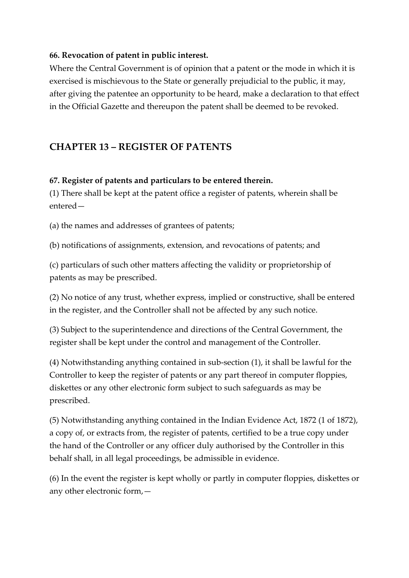### **66. Revocation of patent in public interest.**

Where the Central Government is of opinion that a patent or the mode in which it is exercised is mischievous to the State or generally prejudicial to the public, it may, after giving the patentee an opportunity to be heard, make a declaration to that effect in the Official Gazette and thereupon the patent shall be deemed to be revoked.

# **CHAPTER 13 – REGISTER OF PATENTS**

## **67. Register of patents and particulars to be entered therein.**

(1) There shall be kept at the patent office a register of patents, wherein shall be entered—

(a) the names and addresses of grantees of patents;

(b) notifications of assignments, extension, and revocations of patents; and

(c) particulars of such other matters affecting the validity or proprietorship of patents as may be prescribed.

(2) No notice of any trust, whether express, implied or constructive, shall be entered in the register, and the Controller shall not be affected by any such notice.

(3) Subject to the superintendence and directions of the Central Government, the register shall be kept under the control and management of the Controller.

(4) Notwithstanding anything contained in sub-section (1), it shall be lawful for the Controller to keep the register of patents or any part thereof in computer floppies, diskettes or any other electronic form subject to such safeguards as may be prescribed.

(5) Notwithstanding anything contained in the Indian Evidence Act, 1872 (1 of 1872), a copy of, or extracts from, the register of patents, certified to be a true copy under the hand of the Controller or any officer duly authorised by the Controller in this behalf shall, in all legal proceedings, be admissible in evidence.

(6) In the event the register is kept wholly or partly in computer floppies, diskettes or any other electronic form,—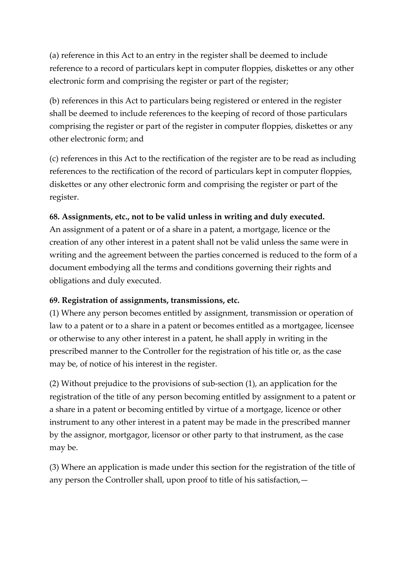(a) reference in this Act to an entry in the register shall be deemed to include reference to a record of particulars kept in computer floppies, diskettes or any other electronic form and comprising the register or part of the register;

(b) references in this Act to particulars being registered or entered in the register shall be deemed to include references to the keeping of record of those particulars comprising the register or part of the register in computer floppies, diskettes or any other electronic form; and

(c) references in this Act to the rectification of the register are to be read as including references to the rectification of the record of particulars kept in computer floppies, diskettes or any other electronic form and comprising the register or part of the register.

## **68. Assignments, etc., not to be valid unless in writing and duly executed.**

An assignment of a patent or of a share in a patent, a mortgage, licence or the creation of any other interest in a patent shall not be valid unless the same were in writing and the agreement between the parties concerned is reduced to the form of a document embodying all the terms and conditions governing their rights and obligations and duly executed.

# **69. Registration of assignments, transmissions, etc.**

(1) Where any person becomes entitled by assignment, transmission or operation of law to a patent or to a share in a patent or becomes entitled as a mortgagee, licensee or otherwise to any other interest in a patent, he shall apply in writing in the prescribed manner to the Controller for the registration of his title or, as the case may be, of notice of his interest in the register.

(2) Without prejudice to the provisions of sub-section (1), an application for the registration of the title of any person becoming entitled by assignment to a patent or a share in a patent or becoming entitled by virtue of a mortgage, licence or other instrument to any other interest in a patent may be made in the prescribed manner by the assignor, mortgagor, licensor or other party to that instrument, as the case may be.

(3) Where an application is made under this section for the registration of the title of any person the Controller shall, upon proof to title of his satisfaction,—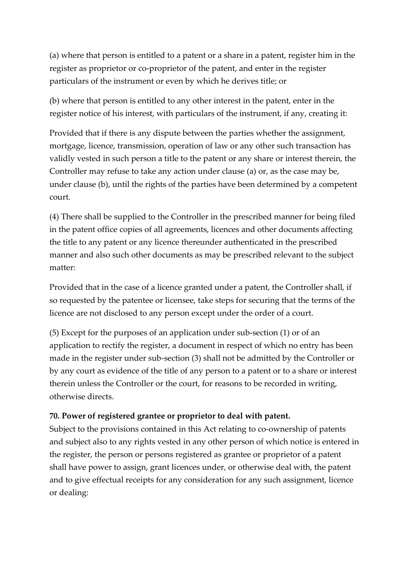(a) where that person is entitled to a patent or a share in a patent, register him in the register as proprietor or co-proprietor of the patent, and enter in the register particulars of the instrument or even by which he derives title; or

(b) where that person is entitled to any other interest in the patent, enter in the register notice of his interest, with particulars of the instrument, if any, creating it:

Provided that if there is any dispute between the parties whether the assignment, mortgage, licence, transmission, operation of law or any other such transaction has validly vested in such person a title to the patent or any share or interest therein, the Controller may refuse to take any action under clause (a) or, as the case may be, under clause (b), until the rights of the parties have been determined by a competent court.

(4) There shall be supplied to the Controller in the prescribed manner for being filed in the patent office copies of all agreements, licences and other documents affecting the title to any patent or any licence thereunder authenticated in the prescribed manner and also such other documents as may be prescribed relevant to the subject matter:

Provided that in the case of a licence granted under a patent, the Controller shall, if so requested by the patentee or licensee, take steps for securing that the terms of the licence are not disclosed to any person except under the order of a court.

(5) Except for the purposes of an application under sub-section (1) or of an application to rectify the register, a document in respect of which no entry has been made in the register under sub-section (3) shall not be admitted by the Controller or by any court as evidence of the title of any person to a patent or to a share or interest therein unless the Controller or the court, for reasons to be recorded in writing, otherwise directs.

#### **70. Power of registered grantee or proprietor to deal with patent.**

Subject to the provisions contained in this Act relating to co-ownership of patents and subject also to any rights vested in any other person of which notice is entered in the register, the person or persons registered as grantee or proprietor of a patent shall have power to assign, grant licences under, or otherwise deal with, the patent and to give effectual receipts for any consideration for any such assignment, licence or dealing: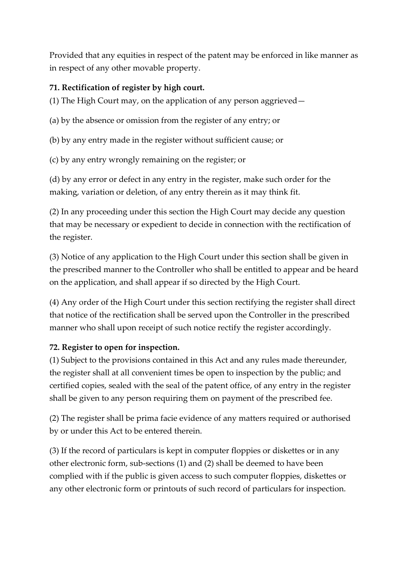Provided that any equities in respect of the patent may be enforced in like manner as in respect of any other movable property.

## **71. Rectification of register by high court.**

(1) The High Court may, on the application of any person aggrieved—

(a) by the absence or omission from the register of any entry; or

(b) by any entry made in the register without sufficient cause; or

(c) by any entry wrongly remaining on the register; or

(d) by any error or defect in any entry in the register, make such order for the making, variation or deletion, of any entry therein as it may think fit.

(2) In any proceeding under this section the High Court may decide any question that may be necessary or expedient to decide in connection with the rectification of the register.

(3) Notice of any application to the High Court under this section shall be given in the prescribed manner to the Controller who shall be entitled to appear and be heard on the application, and shall appear if so directed by the High Court.

(4) Any order of the High Court under this section rectifying the register shall direct that notice of the rectification shall be served upon the Controller in the prescribed manner who shall upon receipt of such notice rectify the register accordingly.

# **72. Register to open for inspection.**

(1) Subject to the provisions contained in this Act and any rules made thereunder, the register shall at all convenient times be open to inspection by the public; and certified copies, sealed with the seal of the patent office, of any entry in the register shall be given to any person requiring them on payment of the prescribed fee.

(2) The register shall be prima facie evidence of any matters required or authorised by or under this Act to be entered therein.

(3) If the record of particulars is kept in computer floppies or diskettes or in any other electronic form, sub-sections (1) and (2) shall be deemed to have been complied with if the public is given access to such computer floppies, diskettes or any other electronic form or printouts of such record of particulars for inspection.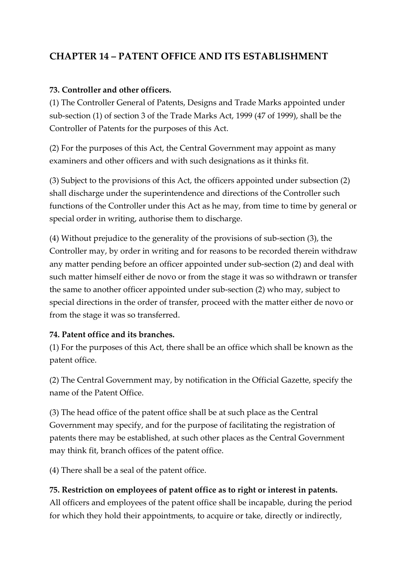# **CHAPTER 14 – PATENT OFFICE AND ITS ESTABLISHMENT**

### **73. Controller and other officers.**

(1) The Controller General of Patents, Designs and Trade Marks appointed under sub-section (1) of section 3 of the Trade Marks Act, 1999 (47 of 1999), shall be the Controller of Patents for the purposes of this Act.

(2) For the purposes of this Act, the Central Government may appoint as many examiners and other officers and with such designations as it thinks fit.

(3) Subject to the provisions of this Act, the officers appointed under subsection (2) shall discharge under the superintendence and directions of the Controller such functions of the Controller under this Act as he may, from time to time by general or special order in writing, authorise them to discharge.

(4) Without prejudice to the generality of the provisions of sub-section (3), the Controller may, by order in writing and for reasons to be recorded therein withdraw any matter pending before an officer appointed under sub-section (2) and deal with such matter himself either de novo or from the stage it was so withdrawn or transfer the same to another officer appointed under sub-section (2) who may, subject to special directions in the order of transfer, proceed with the matter either de novo or from the stage it was so transferred.

#### **74. Patent office and its branches.**

(1) For the purposes of this Act, there shall be an office which shall be known as the patent office.

(2) The Central Government may, by notification in the Official Gazette, specify the name of the Patent Office.

(3) The head office of the patent office shall be at such place as the Central Government may specify, and for the purpose of facilitating the registration of patents there may be established, at such other places as the Central Government may think fit, branch offices of the patent office.

(4) There shall be a seal of the patent office.

# **75. Restriction on employees of patent office as to right or interest in patents.**

All officers and employees of the patent office shall be incapable, during the period for which they hold their appointments, to acquire or take, directly or indirectly,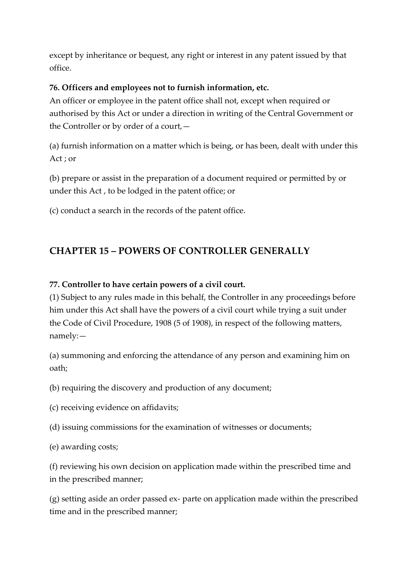except by inheritance or bequest, any right or interest in any patent issued by that office.

## **76. Officers and employees not to furnish information, etc.**

An officer or employee in the patent office shall not, except when required or authorised by this Act or under a direction in writing of the Central Government or the Controller or by order of a court,—

(a) furnish information on a matter which is being, or has been, dealt with under this Act ; or

(b) prepare or assist in the preparation of a document required or permitted by or under this Act , to be lodged in the patent office; or

(c) conduct a search in the records of the patent office.

# **CHAPTER 15 – POWERS OF CONTROLLER GENERALLY**

## **77. Controller to have certain powers of a civil court.**

(1) Subject to any rules made in this behalf, the Controller in any proceedings before him under this Act shall have the powers of a civil court while trying a suit under the Code of Civil Procedure, 1908 (5 of 1908), in respect of the following matters, namely:—

(a) summoning and enforcing the attendance of any person and examining him on oath;

(b) requiring the discovery and production of any document;

(c) receiving evidence on affidavits;

(d) issuing commissions for the examination of witnesses or documents;

(e) awarding costs;

(f) reviewing his own decision on application made within the prescribed time and in the prescribed manner;

(g) setting aside an order passed ex- parte on application made within the prescribed time and in the prescribed manner;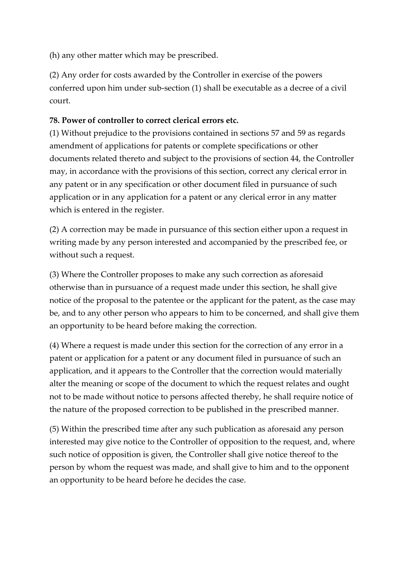(h) any other matter which may be prescribed.

(2) Any order for costs awarded by the Controller in exercise of the powers conferred upon him under sub-section (1) shall be executable as a decree of a civil court.

## **78. Power of controller to correct clerical errors etc.**

(1) Without prejudice to the provisions contained in sections 57 and 59 as regards amendment of applications for patents or complete specifications or other documents related thereto and subject to the provisions of section 44, the Controller may, in accordance with the provisions of this section, correct any clerical error in any patent or in any specification or other document filed in pursuance of such application or in any application for a patent or any clerical error in any matter which is entered in the register.

(2) A correction may be made in pursuance of this section either upon a request in writing made by any person interested and accompanied by the prescribed fee, or without such a request.

(3) Where the Controller proposes to make any such correction as aforesaid otherwise than in pursuance of a request made under this section, he shall give notice of the proposal to the patentee or the applicant for the patent, as the case may be, and to any other person who appears to him to be concerned, and shall give them an opportunity to be heard before making the correction.

(4) Where a request is made under this section for the correction of any error in a patent or application for a patent or any document filed in pursuance of such an application, and it appears to the Controller that the correction would materially alter the meaning or scope of the document to which the request relates and ought not to be made without notice to persons affected thereby, he shall require notice of the nature of the proposed correction to be published in the prescribed manner.

(5) Within the prescribed time after any such publication as aforesaid any person interested may give notice to the Controller of opposition to the request, and, where such notice of opposition is given, the Controller shall give notice thereof to the person by whom the request was made, and shall give to him and to the opponent an opportunity to be heard before he decides the case.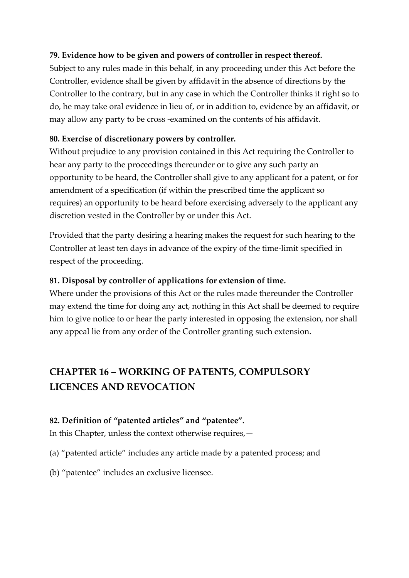#### **79. Evidence how to be given and powers of controller in respect thereof.**

Subject to any rules made in this behalf, in any proceeding under this Act before the Controller, evidence shall be given by affidavit in the absence of directions by the Controller to the contrary, but in any case in which the Controller thinks it right so to do, he may take oral evidence in lieu of, or in addition to, evidence by an affidavit, or may allow any party to be cross -examined on the contents of his affidavit.

### **80. Exercise of discretionary powers by controller.**

Without prejudice to any provision contained in this Act requiring the Controller to hear any party to the proceedings thereunder or to give any such party an opportunity to be heard, the Controller shall give to any applicant for a patent, or for amendment of a specification (if within the prescribed time the applicant so requires) an opportunity to be heard before exercising adversely to the applicant any discretion vested in the Controller by or under this Act.

Provided that the party desiring a hearing makes the request for such hearing to the Controller at least ten days in advance of the expiry of the time-limit specified in respect of the proceeding.

#### **81. Disposal by controller of applications for extension of time.**

Where under the provisions of this Act or the rules made thereunder the Controller may extend the time for doing any act, nothing in this Act shall be deemed to require him to give notice to or hear the party interested in opposing the extension, nor shall any appeal lie from any order of the Controller granting such extension.

# **CHAPTER 16 – WORKING OF PATENTS, COMPULSORY LICENCES AND REVOCATION**

# **82. Definition of "patented articles" and "patentee".**

In this Chapter, unless the context otherwise requires,—

(a) "patented article" includes any article made by a patented process; and

(b) "patentee" includes an exclusive licensee.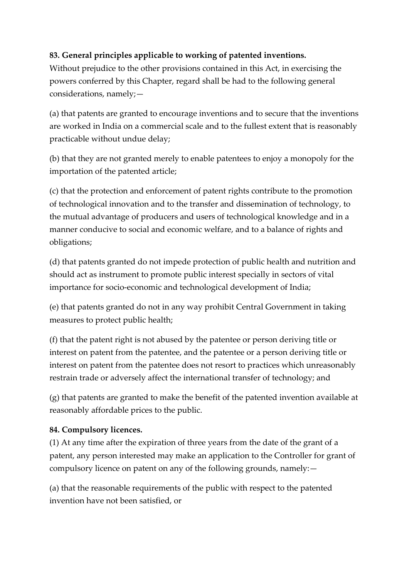# **83. General principles applicable to working of patented inventions.**

Without prejudice to the other provisions contained in this Act, in exercising the powers conferred by this Chapter, regard shall be had to the following general considerations, namely;—

(a) that patents are granted to encourage inventions and to secure that the inventions are worked in India on a commercial scale and to the fullest extent that is reasonably practicable without undue delay;

(b) that they are not granted merely to enable patentees to enjoy a monopoly for the importation of the patented article;

(c) that the protection and enforcement of patent rights contribute to the promotion of technological innovation and to the transfer and dissemination of technology, to the mutual advantage of producers and users of technological knowledge and in a manner conducive to social and economic welfare, and to a balance of rights and obligations;

(d) that patents granted do not impede protection of public health and nutrition and should act as instrument to promote public interest specially in sectors of vital importance for socio-economic and technological development of India;

(e) that patents granted do not in any way prohibit Central Government in taking measures to protect public health;

(f) that the patent right is not abused by the patentee or person deriving title or interest on patent from the patentee, and the patentee or a person deriving title or interest on patent from the patentee does not resort to practices which unreasonably restrain trade or adversely affect the international transfer of technology; and

(g) that patents are granted to make the benefit of the patented invention available at reasonably affordable prices to the public.

# **84. Compulsory licences.**

(1) At any time after the expiration of three years from the date of the grant of a patent, any person interested may make an application to the Controller for grant of compulsory licence on patent on any of the following grounds, namely:—

(a) that the reasonable requirements of the public with respect to the patented invention have not been satisfied, or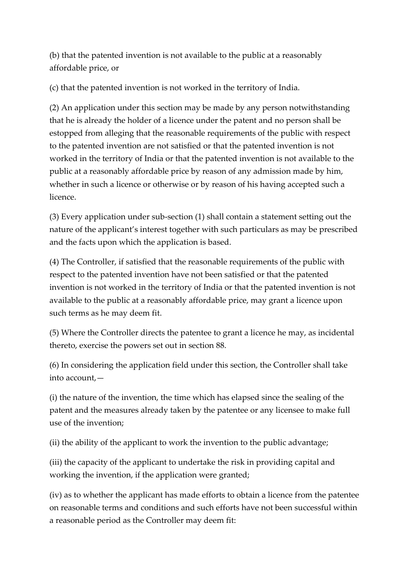(b) that the patented invention is not available to the public at a reasonably affordable price, or

(c) that the patented invention is not worked in the territory of India.

(2) An application under this section may be made by any person notwithstanding that he is already the holder of a licence under the patent and no person shall be estopped from alleging that the reasonable requirements of the public with respect to the patented invention are not satisfied or that the patented invention is not worked in the territory of India or that the patented invention is not available to the public at a reasonably affordable price by reason of any admission made by him, whether in such a licence or otherwise or by reason of his having accepted such a licence.

(3) Every application under sub-section (1) shall contain a statement setting out the nature of the applicant's interest together with such particulars as may be prescribed and the facts upon which the application is based.

(4) The Controller, if satisfied that the reasonable requirements of the public with respect to the patented invention have not been satisfied or that the patented invention is not worked in the territory of India or that the patented invention is not available to the public at a reasonably affordable price, may grant a licence upon such terms as he may deem fit.

(5) Where the Controller directs the patentee to grant a licence he may, as incidental thereto, exercise the powers set out in section 88.

(6) In considering the application field under this section, the Controller shall take into account,—

(i) the nature of the invention, the time which has elapsed since the sealing of the patent and the measures already taken by the patentee or any licensee to make full use of the invention;

(ii) the ability of the applicant to work the invention to the public advantage;

(iii) the capacity of the applicant to undertake the risk in providing capital and working the invention, if the application were granted;

(iv) as to whether the applicant has made efforts to obtain a licence from the patentee on reasonable terms and conditions and such efforts have not been successful within a reasonable period as the Controller may deem fit: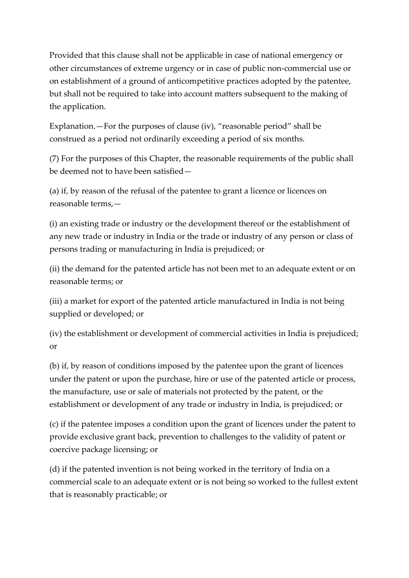Provided that this clause shall not be applicable in case of national emergency or other circumstances of extreme urgency or in case of public non-commercial use or on establishment of a ground of anticompetitive practices adopted by the patentee, but shall not be required to take into account matters subsequent to the making of the application.

Explanation.—For the purposes of clause (iv), "reasonable period" shall be construed as a period not ordinarily exceeding a period of six months.

(7) For the purposes of this Chapter, the reasonable requirements of the public shall be deemed not to have been satisfied—

(a) if, by reason of the refusal of the patentee to grant a licence or licences on reasonable terms,—

(i) an existing trade or industry or the development thereof or the establishment of any new trade or industry in India or the trade or industry of any person or class of persons trading or manufacturing in India is prejudiced; or

(ii) the demand for the patented article has not been met to an adequate extent or on reasonable terms; or

(iii) a market for export of the patented article manufactured in India is not being supplied or developed; or

(iv) the establishment or development of commercial activities in India is prejudiced; or

(b) if, by reason of conditions imposed by the patentee upon the grant of licences under the patent or upon the purchase, hire or use of the patented article or process, the manufacture, use or sale of materials not protected by the patent, or the establishment or development of any trade or industry in India, is prejudiced; or

(c) if the patentee imposes a condition upon the grant of licences under the patent to provide exclusive grant back, prevention to challenges to the validity of patent or coercive package licensing; or

(d) if the patented invention is not being worked in the territory of India on a commercial scale to an adequate extent or is not being so worked to the fullest extent that is reasonably practicable; or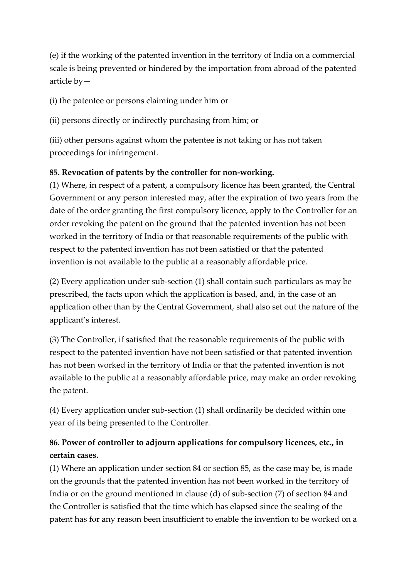(e) if the working of the patented invention in the territory of India on a commercial scale is being prevented or hindered by the importation from abroad of the patented article by—

(i) the patentee or persons claiming under him or

(ii) persons directly or indirectly purchasing from him; or

(iii) other persons against whom the patentee is not taking or has not taken proceedings for infringement.

# **85. Revocation of patents by the controller for non-working.**

(1) Where, in respect of a patent, a compulsory licence has been granted, the Central Government or any person interested may, after the expiration of two years from the date of the order granting the first compulsory licence, apply to the Controller for an order revoking the patent on the ground that the patented invention has not been worked in the territory of India or that reasonable requirements of the public with respect to the patented invention has not been satisfied or that the patented invention is not available to the public at a reasonably affordable price.

(2) Every application under sub-section (1) shall contain such particulars as may be prescribed, the facts upon which the application is based, and, in the case of an application other than by the Central Government, shall also set out the nature of the applicant's interest.

(3) The Controller, if satisfied that the reasonable requirements of the public with respect to the patented invention have not been satisfied or that patented invention has not been worked in the territory of India or that the patented invention is not available to the public at a reasonably affordable price, may make an order revoking the patent.

(4) Every application under sub-section (1) shall ordinarily be decided within one year of its being presented to the Controller.

# **86. Power of controller to adjourn applications for compulsory licences, etc., in certain cases.**

(1) Where an application under section 84 or section 85, as the case may be, is made on the grounds that the patented invention has not been worked in the territory of India or on the ground mentioned in clause (d) of sub-section (7) of section 84 and the Controller is satisfied that the time which has elapsed since the sealing of the patent has for any reason been insufficient to enable the invention to be worked on a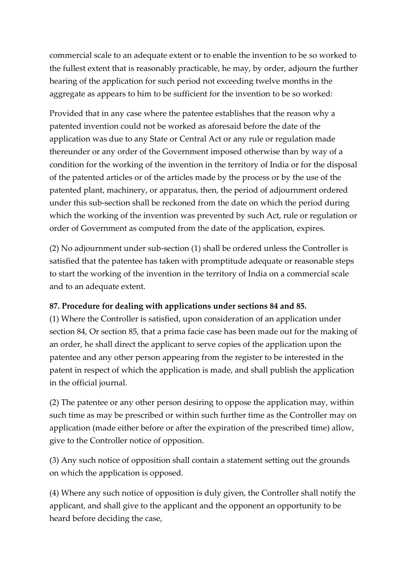commercial scale to an adequate extent or to enable the invention to be so worked to the fullest extent that is reasonably practicable, he may, by order, adjourn the further hearing of the application for such period not exceeding twelve months in the aggregate as appears to him to be sufficient for the invention to be so worked:

Provided that in any case where the patentee establishes that the reason why a patented invention could not be worked as aforesaid before the date of the application was due to any State or Central Act or any rule or regulation made thereunder or any order of the Government imposed otherwise than by way of a condition for the working of the invention in the territory of India or for the disposal of the patented articles or of the articles made by the process or by the use of the patented plant, machinery, or apparatus, then, the period of adjournment ordered under this sub-section shall be reckoned from the date on which the period during which the working of the invention was prevented by such Act, rule or regulation or order of Government as computed from the date of the application, expires.

(2) No adjournment under sub-section (1) shall be ordered unless the Controller is satisfied that the patentee has taken with promptitude adequate or reasonable steps to start the working of the invention in the territory of India on a commercial scale and to an adequate extent.

#### **87. Procedure for dealing with applications under sections 84 and 85.**

(1) Where the Controller is satisfied, upon consideration of an application under section 84, Or section 85, that a prima facie case has been made out for the making of an order, he shall direct the applicant to serve copies of the application upon the patentee and any other person appearing from the register to be interested in the patent in respect of which the application is made, and shall publish the application in the official journal.

(2) The patentee or any other person desiring to oppose the application may, within such time as may be prescribed or within such further time as the Controller may on application (made either before or after the expiration of the prescribed time) allow, give to the Controller notice of opposition.

(3) Any such notice of opposition shall contain a statement setting out the grounds on which the application is opposed.

(4) Where any such notice of opposition is duly given, the Controller shall notify the applicant, and shall give to the applicant and the opponent an opportunity to be heard before deciding the case,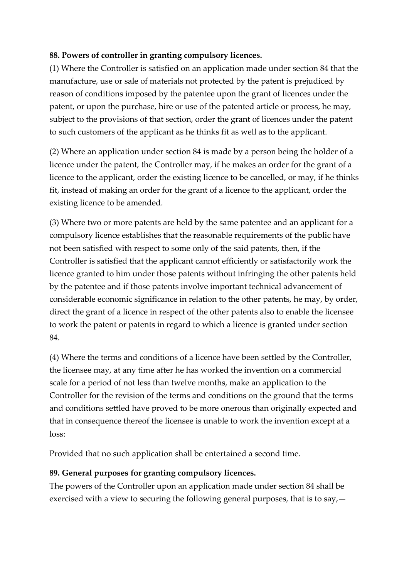## **88. Powers of controller in granting compulsory licences.**

(1) Where the Controller is satisfied on an application made under section 84 that the manufacture, use or sale of materials not protected by the patent is prejudiced by reason of conditions imposed by the patentee upon the grant of licences under the patent, or upon the purchase, hire or use of the patented article or process, he may, subject to the provisions of that section, order the grant of licences under the patent to such customers of the applicant as he thinks fit as well as to the applicant.

(2) Where an application under section 84 is made by a person being the holder of a licence under the patent, the Controller may, if he makes an order for the grant of a licence to the applicant, order the existing licence to be cancelled, or may, if he thinks fit, instead of making an order for the grant of a licence to the applicant, order the existing licence to be amended.

(3) Where two or more patents are held by the same patentee and an applicant for a compulsory licence establishes that the reasonable requirements of the public have not been satisfied with respect to some only of the said patents, then, if the Controller is satisfied that the applicant cannot efficiently or satisfactorily work the licence granted to him under those patents without infringing the other patents held by the patentee and if those patents involve important technical advancement of considerable economic significance in relation to the other patents, he may, by order, direct the grant of a licence in respect of the other patents also to enable the licensee to work the patent or patents in regard to which a licence is granted under section 84.

(4) Where the terms and conditions of a licence have been settled by the Controller, the licensee may, at any time after he has worked the invention on a commercial scale for a period of not less than twelve months, make an application to the Controller for the revision of the terms and conditions on the ground that the terms and conditions settled have proved to be more onerous than originally expected and that in consequence thereof the licensee is unable to work the invention except at a loss:

Provided that no such application shall be entertained a second time.

#### **89. General purposes for granting compulsory licences.**

The powers of the Controller upon an application made under section 84 shall be exercised with a view to securing the following general purposes, that is to say,—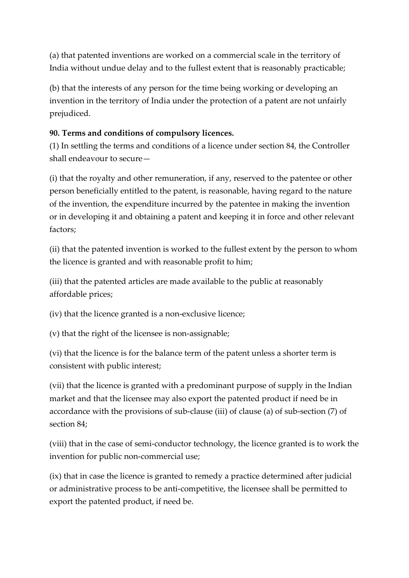(a) that patented inventions are worked on a commercial scale in the territory of India without undue delay and to the fullest extent that is reasonably practicable;

(b) that the interests of any person for the time being working or developing an invention in the territory of India under the protection of a patent are not unfairly prejudiced.

## **90. Terms and conditions of compulsory licences.**

(1) In settling the terms and conditions of a licence under section 84, the Controller shall endeavour to secure—

(i) that the royalty and other remuneration, if any, reserved to the patentee or other person beneficially entitled to the patent, is reasonable, having regard to the nature of the invention, the expenditure incurred by the patentee in making the invention or in developing it and obtaining a patent and keeping it in force and other relevant factors;

(ii) that the patented invention is worked to the fullest extent by the person to whom the licence is granted and with reasonable profit to him;

(iii) that the patented articles are made available to the public at reasonably affordable prices;

(iv) that the licence granted is a non-exclusive licence;

(v) that the right of the licensee is non-assignable;

(vi) that the licence is for the balance term of the patent unless a shorter term is consistent with public interest;

(vii) that the licence is granted with a predominant purpose of supply in the Indian market and that the licensee may also export the patented product if need be in accordance with the provisions of sub-clause (iii) of clause (a) of sub-section (7) of section 84;

(viii) that in the case of semi-conductor technology, the licence granted is to work the invention for public non-commercial use;

(ix) that in case the licence is granted to remedy a practice determined after judicial or administrative process to be anti-competitive, the licensee shall be permitted to export the patented product, if need be.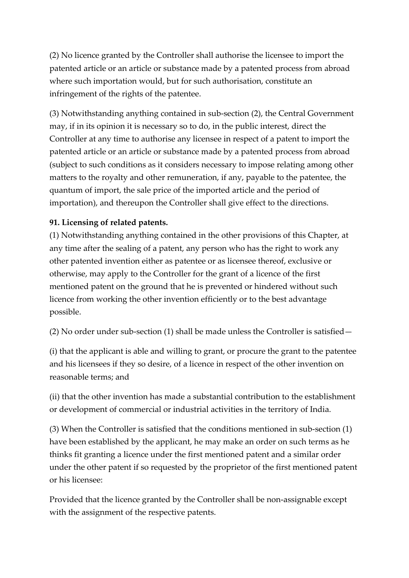(2) No licence granted by the Controller shall authorise the licensee to import the patented article or an article or substance made by a patented process from abroad where such importation would, but for such authorisation, constitute an infringement of the rights of the patentee.

(3) Notwithstanding anything contained in sub-section (2), the Central Government may, if in its opinion it is necessary so to do, in the public interest, direct the Controller at any time to authorise any licensee in respect of a patent to import the patented article or an article or substance made by a patented process from abroad (subject to such conditions as it considers necessary to impose relating among other matters to the royalty and other remuneration, if any, payable to the patentee, the quantum of import, the sale price of the imported article and the period of importation), and thereupon the Controller shall give effect to the directions.

## **91. Licensing of related patents.**

(1) Notwithstanding anything contained in the other provisions of this Chapter, at any time after the sealing of a patent, any person who has the right to work any other patented invention either as patentee or as licensee thereof, exclusive or otherwise, may apply to the Controller for the grant of a licence of the first mentioned patent on the ground that he is prevented or hindered without such licence from working the other invention efficiently or to the best advantage possible.

(2) No order under sub-section (1) shall be made unless the Controller is satisfied—

(i) that the applicant is able and willing to grant, or procure the grant to the patentee and his licensees if they so desire, of a licence in respect of the other invention on reasonable terms; and

(ii) that the other invention has made a substantial contribution to the establishment or development of commercial or industrial activities in the territory of India.

(3) When the Controller is satisfied that the conditions mentioned in sub-section (1) have been established by the applicant, he may make an order on such terms as he thinks fit granting a licence under the first mentioned patent and a similar order under the other patent if so requested by the proprietor of the first mentioned patent or his licensee:

Provided that the licence granted by the Controller shall be non-assignable except with the assignment of the respective patents.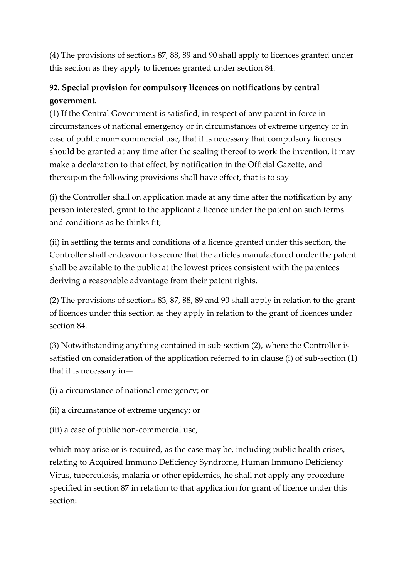(4) The provisions of sections 87, 88, 89 and 90 shall apply to licences granted under this section as they apply to licences granted under section 84.

# **92. Special provision for compulsory licences on notifications by central government.**

(1) If the Central Government is satisfied, in respect of any patent in force in circumstances of national emergency or in circumstances of extreme urgency or in case of public non¬ commercial use, that it is necessary that compulsory licenses should be granted at any time after the sealing thereof to work the invention, it may make a declaration to that effect, by notification in the Official Gazette, and thereupon the following provisions shall have effect, that is to say  $-$ 

(i) the Controller shall on application made at any time after the notification by any person interested, grant to the applicant a licence under the patent on such terms and conditions as he thinks fit;

(ii) in settling the terms and conditions of a licence granted under this section, the Controller shall endeavour to secure that the articles manufactured under the patent shall be available to the public at the lowest prices consistent with the patentees deriving a reasonable advantage from their patent rights.

(2) The provisions of sections 83, 87, 88, 89 and 90 shall apply in relation to the grant of licences under this section as they apply in relation to the grant of licences under section 84.

(3) Notwithstanding anything contained in sub-section (2), where the Controller is satisfied on consideration of the application referred to in clause (i) of sub-section (1) that it is necessary in—

(i) a circumstance of national emergency; or

(ii) a circumstance of extreme urgency; or

(iii) a case of public non-commercial use,

which may arise or is required, as the case may be, including public health crises, relating to Acquired Immuno Deficiency Syndrome, Human Immuno Deficiency Virus, tuberculosis, malaria or other epidemics, he shall not apply any procedure specified in section 87 in relation to that application for grant of licence under this section: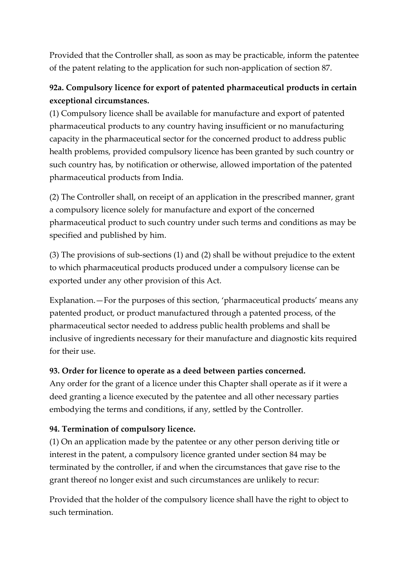Provided that the Controller shall, as soon as may be practicable, inform the patentee of the patent relating to the application for such non-application of section 87.

# **92a. Compulsory licence for export of patented pharmaceutical products in certain exceptional circumstances.**

(1) Compulsory licence shall be available for manufacture and export of patented pharmaceutical products to any country having insufficient or no manufacturing capacity in the pharmaceutical sector for the concerned product to address public health problems, provided compulsory licence has been granted by such country or such country has, by notification or otherwise, allowed importation of the patented pharmaceutical products from India.

(2) The Controller shall, on receipt of an application in the prescribed manner, grant a compulsory licence solely for manufacture and export of the concerned pharmaceutical product to such country under such terms and conditions as may be specified and published by him.

(3) The provisions of sub-sections (1) and (2) shall be without prejudice to the extent to which pharmaceutical products produced under a compulsory license can be exported under any other provision of this Act.

Explanation.—For the purposes of this section, 'pharmaceutical products' means any patented product, or product manufactured through a patented process, of the pharmaceutical sector needed to address public health problems and shall be inclusive of ingredients necessary for their manufacture and diagnostic kits required for their use.

# **93. Order for licence to operate as a deed between parties concerned.**

Any order for the grant of a licence under this Chapter shall operate as if it were a deed granting a licence executed by the patentee and all other necessary parties embodying the terms and conditions, if any, settled by the Controller.

# **94. Termination of compulsory licence.**

(1) On an application made by the patentee or any other person deriving title or interest in the patent, a compulsory licence granted under section 84 may be terminated by the controller, if and when the circumstances that gave rise to the grant thereof no longer exist and such circumstances are unlikely to recur:

Provided that the holder of the compulsory licence shall have the right to object to such termination.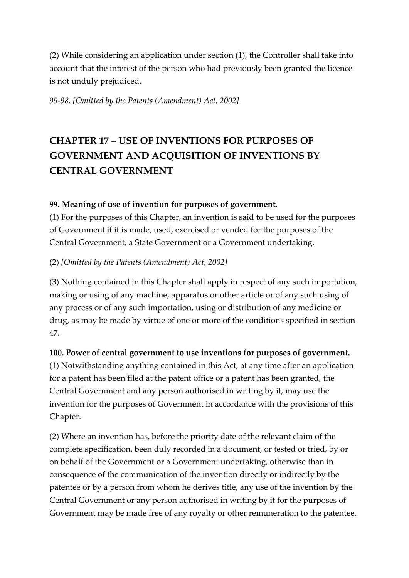(2) While considering an application under section (1), the Controller shall take into account that the interest of the person who had previously been granted the licence is not unduly prejudiced.

*95-98. [Omitted by the Patents (Amendment) Act, 2002]*

# **CHAPTER 17 – USE OF INVENTIONS FOR PURPOSES OF GOVERNMENT AND ACQUISITION OF INVENTIONS BY CENTRAL GOVERNMENT**

#### **99. Meaning of use of invention for purposes of government.**

(1) For the purposes of this Chapter, an invention is said to be used for the purposes of Government if it is made, used, exercised or vended for the purposes of the Central Government, a State Government or a Government undertaking.

#### (2) *[Omitted by the Patents (Amendment) Act, 2002]*

(3) Nothing contained in this Chapter shall apply in respect of any such importation, making or using of any machine, apparatus or other article or of any such using of any process or of any such importation, using or distribution of any medicine or drug, as may be made by virtue of one or more of the conditions specified in section 47.

#### **100. Power of central government to use inventions for purposes of government.**

(1) Notwithstanding anything contained in this Act, at any time after an application for a patent has been filed at the patent office or a patent has been granted, the Central Government and any person authorised in writing by it, may use the invention for the purposes of Government in accordance with the provisions of this Chapter.

(2) Where an invention has, before the priority date of the relevant claim of the complete specification, been duly recorded in a document, or tested or tried, by or on behalf of the Government or a Government undertaking, otherwise than in consequence of the communication of the invention directly or indirectly by the patentee or by a person from whom he derives title, any use of the invention by the Central Government or any person authorised in writing by it for the purposes of Government may be made free of any royalty or other remuneration to the patentee.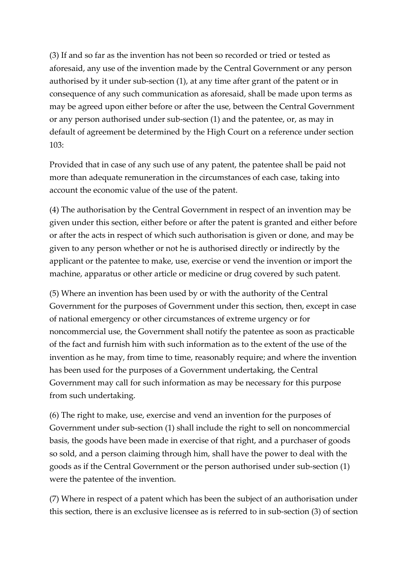(3) If and so far as the invention has not been so recorded or tried or tested as aforesaid, any use of the invention made by the Central Government or any person authorised by it under sub-section (1), at any time after grant of the patent or in consequence of any such communication as aforesaid, shall be made upon terms as may be agreed upon either before or after the use, between the Central Government or any person authorised under sub-section (1) and the patentee, or, as may in default of agreement be determined by the High Court on a reference under section 103:

Provided that in case of any such use of any patent, the patentee shall be paid not more than adequate remuneration in the circumstances of each case, taking into account the economic value of the use of the patent.

(4) The authorisation by the Central Government in respect of an invention may be given under this section, either before or after the patent is granted and either before or after the acts in respect of which such authorisation is given or done, and may be given to any person whether or not he is authorised directly or indirectly by the applicant or the patentee to make, use, exercise or vend the invention or import the machine, apparatus or other article or medicine or drug covered by such patent.

(5) Where an invention has been used by or with the authority of the Central Government for the purposes of Government under this section, then, except in case of national emergency or other circumstances of extreme urgency or for noncommercial use, the Government shall notify the patentee as soon as practicable of the fact and furnish him with such information as to the extent of the use of the invention as he may, from time to time, reasonably require; and where the invention has been used for the purposes of a Government undertaking, the Central Government may call for such information as may be necessary for this purpose from such undertaking.

(6) The right to make, use, exercise and vend an invention for the purposes of Government under sub-section (1) shall include the right to sell on noncommercial basis, the goods have been made in exercise of that right, and a purchaser of goods so sold, and a person claiming through him, shall have the power to deal with the goods as if the Central Government or the person authorised under sub-section (1) were the patentee of the invention.

(7) Where in respect of a patent which has been the subject of an authorisation under this section, there is an exclusive licensee as is referred to in sub-section (3) of section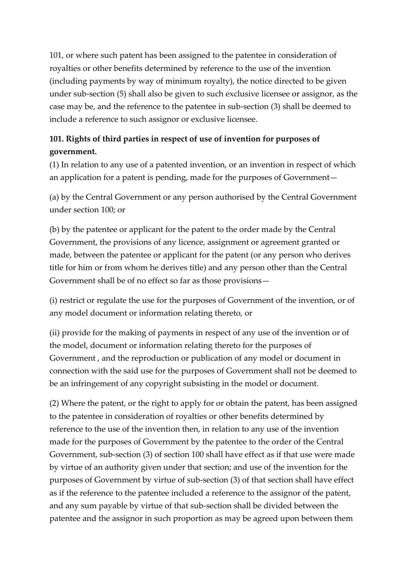101, or where such patent has been assigned to the patentee in consideration of royalties or other benefits determined by reference to the use of the invention (including payments by way of minimum royalty), the notice directed to be given under sub-section (5) shall also be given to such exclusive licensee or assignor, as the case may be, and the reference to the patentee in sub-section (3) shall be deemed to include a reference to such assignor or exclusive licensee.

# **101. Rights of third parties in respect of use of invention for purposes of government.**

(1) In relation to any use of a patented invention, or an invention in respect of which an application for a patent is pending, made for the purposes of Government—

(a) by the Central Government or any person authorised by the Central Government under section 100; or

(b) by the patentee or applicant for the patent to the order made by the Central Government, the provisions of any licence, assignment or agreement granted or made, between the patentee or applicant for the patent (or any person who derives title for him or from whom he derives title) and any person other than the Central Government shall be of no effect so far as those provisions—

(i) restrict or regulate the use for the purposes of Government of the invention, or of any model document or information relating thereto, or

(ii) provide for the making of payments in respect of any use of the invention or of the model, document or information relating thereto for the purposes of Government , and the reproduction or publication of any model or document in connection with the said use for the purposes of Government shall not be deemed to be an infringement of any copyright subsisting in the model or document.

(2) Where the patent, or the right to apply for or obtain the patent, has been assigned to the patentee in consideration of royalties or other benefits determined by reference to the use of the invention then, in relation to any use of the invention made for the purposes of Government by the patentee to the order of the Central Government, sub-section (3) of section 100 shall have effect as if that use were made by virtue of an authority given under that section; and use of the invention for the purposes of Government by virtue of sub-section (3) of that section shall have effect as if the reference to the patentee included a reference to the assignor of the patent, and any sum payable by virtue of that sub-section shall be divided between the patentee and the assignor in such proportion as may be agreed upon between them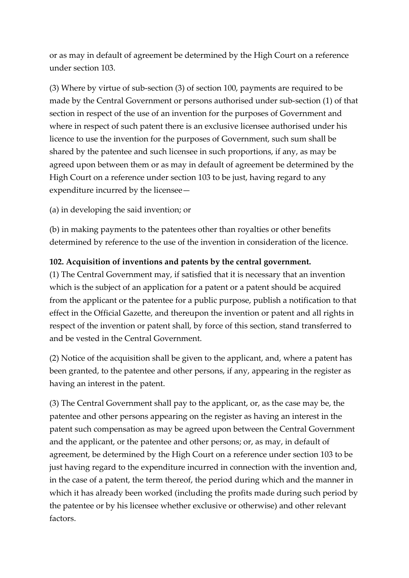or as may in default of agreement be determined by the High Court on a reference under section 103.

(3) Where by virtue of sub-section (3) of section 100, payments are required to be made by the Central Government or persons authorised under sub-section (1) of that section in respect of the use of an invention for the purposes of Government and where in respect of such patent there is an exclusive licensee authorised under his licence to use the invention for the purposes of Government, such sum shall be shared by the patentee and such licensee in such proportions, if any, as may be agreed upon between them or as may in default of agreement be determined by the High Court on a reference under section 103 to be just, having regard to any expenditure incurred by the licensee—

(a) in developing the said invention; or

(b) in making payments to the patentees other than royalties or other benefits determined by reference to the use of the invention in consideration of the licence.

# **102. Acquisition of inventions and patents by the central government.**

(1) The Central Government may, if satisfied that it is necessary that an invention which is the subject of an application for a patent or a patent should be acquired from the applicant or the patentee for a public purpose, publish a notification to that effect in the Official Gazette, and thereupon the invention or patent and all rights in respect of the invention or patent shall, by force of this section, stand transferred to and be vested in the Central Government.

(2) Notice of the acquisition shall be given to the applicant, and, where a patent has been granted, to the patentee and other persons, if any, appearing in the register as having an interest in the patent.

(3) The Central Government shall pay to the applicant, or, as the case may be, the patentee and other persons appearing on the register as having an interest in the patent such compensation as may be agreed upon between the Central Government and the applicant, or the patentee and other persons; or, as may, in default of agreement, be determined by the High Court on a reference under section 103 to be just having regard to the expenditure incurred in connection with the invention and, in the case of a patent, the term thereof, the period during which and the manner in which it has already been worked (including the profits made during such period by the patentee or by his licensee whether exclusive or otherwise) and other relevant factors.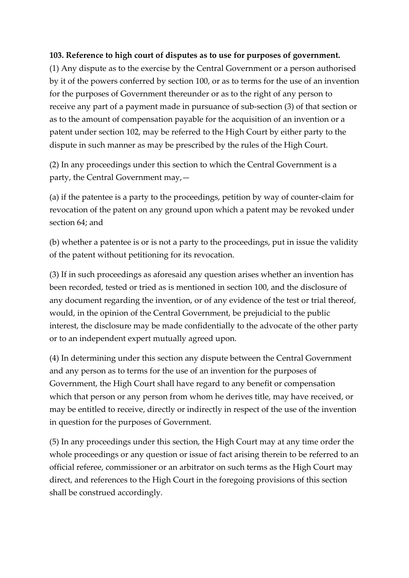#### **103. Reference to high court of disputes as to use for purposes of government.**

(1) Any dispute as to the exercise by the Central Government or a person authorised by it of the powers conferred by section 100, or as to terms for the use of an invention for the purposes of Government thereunder or as to the right of any person to receive any part of a payment made in pursuance of sub-section (3) of that section or as to the amount of compensation payable for the acquisition of an invention or a patent under section 102, may be referred to the High Court by either party to the dispute in such manner as may be prescribed by the rules of the High Court.

(2) In any proceedings under this section to which the Central Government is a party, the Central Government may,—

(a) if the patentee is a party to the proceedings, petition by way of counter-claim for revocation of the patent on any ground upon which a patent may be revoked under section 64; and

(b) whether a patentee is or is not a party to the proceedings, put in issue the validity of the patent without petitioning for its revocation.

(3) If in such proceedings as aforesaid any question arises whether an invention has been recorded, tested or tried as is mentioned in section 100, and the disclosure of any document regarding the invention, or of any evidence of the test or trial thereof, would, in the opinion of the Central Government, be prejudicial to the public interest, the disclosure may be made confidentially to the advocate of the other party or to an independent expert mutually agreed upon.

(4) In determining under this section any dispute between the Central Government and any person as to terms for the use of an invention for the purposes of Government, the High Court shall have regard to any benefit or compensation which that person or any person from whom he derives title, may have received, or may be entitled to receive, directly or indirectly in respect of the use of the invention in question for the purposes of Government.

(5) In any proceedings under this section, the High Court may at any time order the whole proceedings or any question or issue of fact arising therein to be referred to an official referee, commissioner or an arbitrator on such terms as the High Court may direct, and references to the High Court in the foregoing provisions of this section shall be construed accordingly.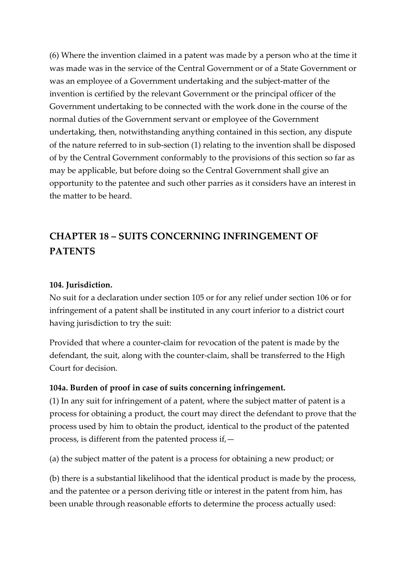(6) Where the invention claimed in a patent was made by a person who at the time it was made was in the service of the Central Government or of a State Government or was an employee of a Government undertaking and the subject-matter of the invention is certified by the relevant Government or the principal officer of the Government undertaking to be connected with the work done in the course of the normal duties of the Government servant or employee of the Government undertaking, then, notwithstanding anything contained in this section, any dispute of the nature referred to in sub-section (1) relating to the invention shall be disposed of by the Central Government conformably to the provisions of this section so far as may be applicable, but before doing so the Central Government shall give an opportunity to the patentee and such other parries as it considers have an interest in the matter to be heard.

# **CHAPTER 18 – SUITS CONCERNING INFRINGEMENT OF PATENTS**

#### **104. Jurisdiction.**

No suit for a declaration under section 105 or for any relief under section 106 or for infringement of a patent shall be instituted in any court inferior to a district court having jurisdiction to try the suit:

Provided that where a counter-claim for revocation of the patent is made by the defendant, the suit, along with the counter-claim, shall be transferred to the High Court for decision.

#### **104a. Burden of proof in case of suits concerning infringement.**

(1) In any suit for infringement of a patent, where the subject matter of patent is a process for obtaining a product, the court may direct the defendant to prove that the process used by him to obtain the product, identical to the product of the patented process, is different from the patented process if,—

(a) the subject matter of the patent is a process for obtaining a new product; or

(b) there is a substantial likelihood that the identical product is made by the process, and the patentee or a person deriving title or interest in the patent from him, has been unable through reasonable efforts to determine the process actually used: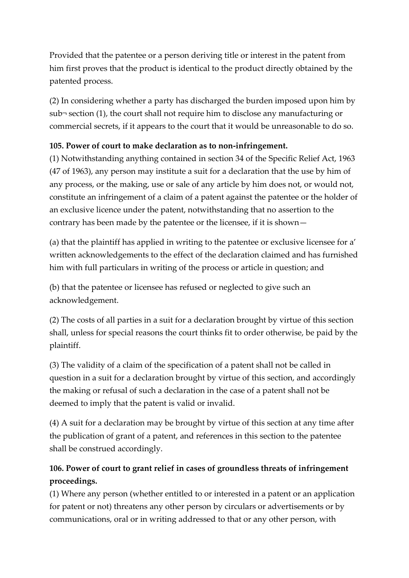Provided that the patentee or a person deriving title or interest in the patent from him first proves that the product is identical to the product directly obtained by the patented process.

(2) In considering whether a party has discharged the burden imposed upon him by sub¬ section (1), the court shall not require him to disclose any manufacturing or commercial secrets, if it appears to the court that it would be unreasonable to do so.

# **105. Power of court to make declaration as to non-infringement.**

(1) Notwithstanding anything contained in section 34 of the Specific Relief Act, 1963 (47 of 1963), any person may institute a suit for a declaration that the use by him of any process, or the making, use or sale of any article by him does not, or would not, constitute an infringement of a claim of a patent against the patentee or the holder of an exclusive licence under the patent, notwithstanding that no assertion to the contrary has been made by the patentee or the licensee, if it is shown—

(a) that the plaintiff has applied in writing to the patentee or exclusive licensee for a' written acknowledgements to the effect of the declaration claimed and has furnished him with full particulars in writing of the process or article in question; and

(b) that the patentee or licensee has refused or neglected to give such an acknowledgement.

(2) The costs of all parties in a suit for a declaration brought by virtue of this section shall, unless for special reasons the court thinks fit to order otherwise, be paid by the plaintiff.

(3) The validity of a claim of the specification of a patent shall not be called in question in a suit for a declaration brought by virtue of this section, and accordingly the making or refusal of such a declaration in the case of a patent shall not be deemed to imply that the patent is valid or invalid.

(4) A suit for a declaration may be brought by virtue of this section at any time after the publication of grant of a patent, and references in this section to the patentee shall be construed accordingly.

# **106. Power of court to grant relief in cases of groundless threats of infringement proceedings.**

(1) Where any person (whether entitled to or interested in a patent or an application for patent or not) threatens any other person by circulars or advertisements or by communications, oral or in writing addressed to that or any other person, with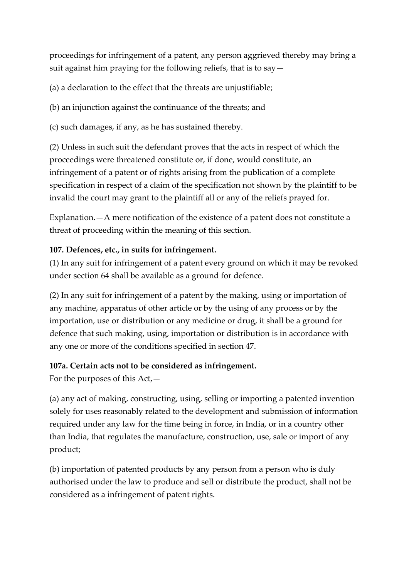proceedings for infringement of a patent, any person aggrieved thereby may bring a suit against him praying for the following reliefs, that is to say—

(a) a declaration to the effect that the threats are unjustifiable;

(b) an injunction against the continuance of the threats; and

(c) such damages, if any, as he has sustained thereby.

(2) Unless in such suit the defendant proves that the acts in respect of which the proceedings were threatened constitute or, if done, would constitute, an infringement of a patent or of rights arising from the publication of a complete specification in respect of a claim of the specification not shown by the plaintiff to be invalid the court may grant to the plaintiff all or any of the reliefs prayed for.

Explanation.—A mere notification of the existence of a patent does not constitute a threat of proceeding within the meaning of this section.

## **107. Defences, etc., in suits for infringement.**

(1) In any suit for infringement of a patent every ground on which it may be revoked under section 64 shall be available as a ground for defence.

(2) In any suit for infringement of a patent by the making, using or importation of any machine, apparatus of other article or by the using of any process or by the importation, use or distribution or any medicine or drug, it shall be a ground for defence that such making, using, importation or distribution is in accordance with any one or more of the conditions specified in section 47.

## **107a. Certain acts not to be considered as infringement.**

For the purposes of this Act,—

(a) any act of making, constructing, using, selling or importing a patented invention solely for uses reasonably related to the development and submission of information required under any law for the time being in force, in India, or in a country other than India, that regulates the manufacture, construction, use, sale or import of any product;

(b) importation of patented products by any person from a person who is duly authorised under the law to produce and sell or distribute the product, shall not be considered as a infringement of patent rights.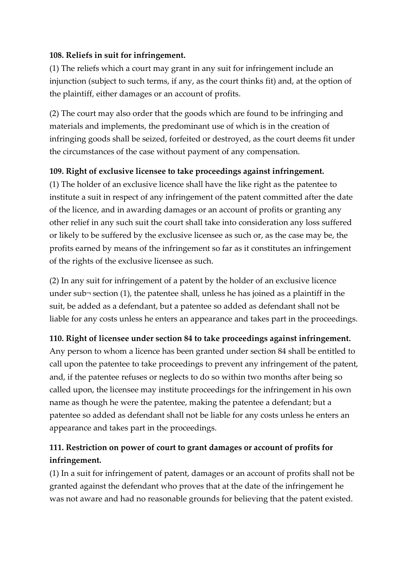### **108. Reliefs in suit for infringement.**

(1) The reliefs which a court may grant in any suit for infringement include an injunction (subject to such terms, if any, as the court thinks fit) and, at the option of the plaintiff, either damages or an account of profits.

(2) The court may also order that the goods which are found to be infringing and materials and implements, the predominant use of which is in the creation of infringing goods shall be seized, forfeited or destroyed, as the court deems fit under the circumstances of the case without payment of any compensation.

### **109. Right of exclusive licensee to take proceedings against infringement.**

(1) The holder of an exclusive licence shall have the like right as the patentee to institute a suit in respect of any infringement of the patent committed after the date of the licence, and in awarding damages or an account of profits or granting any other relief in any such suit the court shall take into consideration any loss suffered or likely to be suffered by the exclusive licensee as such or, as the case may be, the profits earned by means of the infringement so far as it constitutes an infringement of the rights of the exclusive licensee as such.

(2) In any suit for infringement of a patent by the holder of an exclusive licence under sub¬ section (1), the patentee shall, unless he has joined as a plaintiff in the suit, be added as a defendant, but a patentee so added as defendant shall not be liable for any costs unless he enters an appearance and takes part in the proceedings.

## **110. Right of licensee under section 84 to take proceedings against infringement.**

Any person to whom a licence has been granted under section 84 shall be entitled to call upon the patentee to take proceedings to prevent any infringement of the patent, and, if the patentee refuses or neglects to do so within two months after being so called upon, the licensee may institute proceedings for the infringement in his own name as though he were the patentee, making the patentee a defendant; but a patentee so added as defendant shall not be liable for any costs unless he enters an appearance and takes part in the proceedings.

## **111. Restriction on power of court to grant damages or account of profits for infringement.**

(1) In a suit for infringement of patent, damages or an account of profits shall not be granted against the defendant who proves that at the date of the infringement he was not aware and had no reasonable grounds for believing that the patent existed.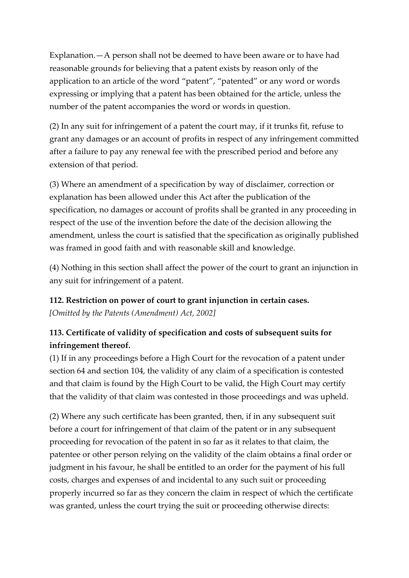Explanation.—A person shall not be deemed to have been aware or to have had reasonable grounds for believing that a patent exists by reason only of the application to an article of the word "patent", "patented" or any word or words expressing or implying that a patent has been obtained for the article, unless the number of the patent accompanies the word or words in question.

(2) In any suit for infringement of a patent the court may, if it trunks fit, refuse to grant any damages or an account of profits in respect of any infringement committed after a failure to pay any renewal fee with the prescribed period and before any extension of that period.

(3) Where an amendment of a specification by way of disclaimer, correction or explanation has been allowed under this Act after the publication of the specification, no damages or account of profits shall be granted in any proceeding in respect of the use of the invention before the date of the decision allowing the amendment, unless the court is satisfied that the specification as originally published was framed in good faith and with reasonable skill and knowledge.

(4) Nothing in this section shall affect the power of the court to grant an injunction in any suit for infringement of a patent.

## **112. Restriction on power of court to grant injunction in certain cases.**  *[Omitted by the Patents (Amendment) Act, 2002]*

# **113. Certificate of validity of specification and costs of subsequent suits for infringement thereof.**

(1) If in any proceedings before a High Court for the revocation of a patent under section 64 and section 104, the validity of any claim of a specification is contested and that claim is found by the High Court to be valid, the High Court may certify that the validity of that claim was contested in those proceedings and was upheld.

(2) Where any such certificate has been granted, then, if in any subsequent suit before a court for infringement of that claim of the patent or in any subsequent proceeding for revocation of the patent in so far as it relates to that claim, the patentee or other person relying on the validity of the claim obtains a final order or judgment in his favour, he shall be entitled to an order for the payment of his full costs, charges and expenses of and incidental to any such suit or proceeding properly incurred so far as they concern the claim in respect of which the certificate was granted, unless the court trying the suit or proceeding otherwise directs: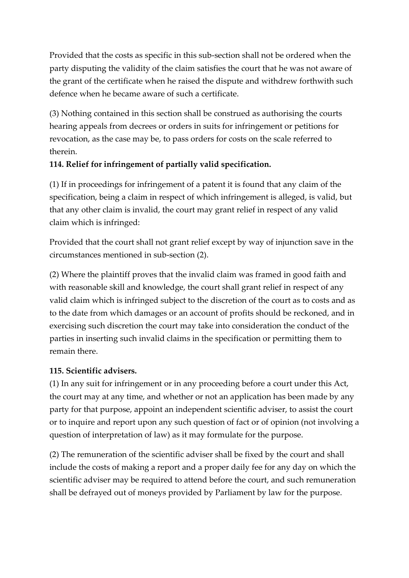Provided that the costs as specific in this sub-section shall not be ordered when the party disputing the validity of the claim satisfies the court that he was not aware of the grant of the certificate when he raised the dispute and withdrew forthwith such defence when he became aware of such a certificate.

(3) Nothing contained in this section shall be construed as authorising the courts hearing appeals from decrees or orders in suits for infringement or petitions for revocation, as the case may be, to pass orders for costs on the scale referred to therein.

### **114. Relief for infringement of partially valid specification.**

(1) If in proceedings for infringement of a patent it is found that any claim of the specification, being a claim in respect of which infringement is alleged, is valid, but that any other claim is invalid, the court may grant relief in respect of any valid claim which is infringed:

Provided that the court shall not grant relief except by way of injunction save in the circumstances mentioned in sub-section (2).

(2) Where the plaintiff proves that the invalid claim was framed in good faith and with reasonable skill and knowledge, the court shall grant relief in respect of any valid claim which is infringed subject to the discretion of the court as to costs and as to the date from which damages or an account of profits should be reckoned, and in exercising such discretion the court may take into consideration the conduct of the parties in inserting such invalid claims in the specification or permitting them to remain there.

#### **115. Scientific advisers.**

(1) In any suit for infringement or in any proceeding before a court under this Act, the court may at any time, and whether or not an application has been made by any party for that purpose, appoint an independent scientific adviser, to assist the court or to inquire and report upon any such question of fact or of opinion (not involving a question of interpretation of law) as it may formulate for the purpose.

(2) The remuneration of the scientific adviser shall be fixed by the court and shall include the costs of making a report and a proper daily fee for any day on which the scientific adviser may be required to attend before the court, and such remuneration shall be defrayed out of moneys provided by Parliament by law for the purpose.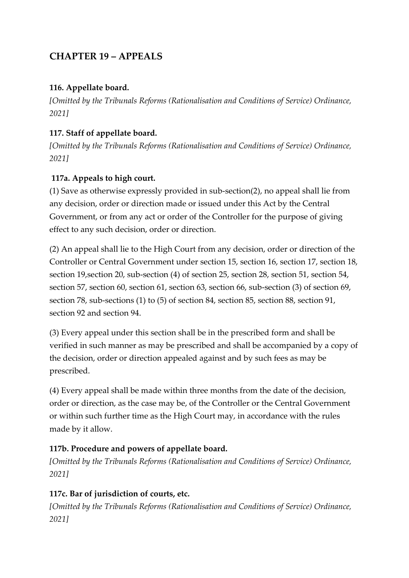# **CHAPTER 19 – APPEALS**

### **116. Appellate board.**

*[Omitted by the Tribunals Reforms (Rationalisation and Conditions of Service) Ordinance, 2021]*

### **117. Staff of appellate board.**

*[Omitted by the Tribunals Reforms (Rationalisation and Conditions of Service) Ordinance, 2021]*

## **117a. Appeals to high court.**

(1) Save as otherwise expressly provided in sub-section(2), no appeal shall lie from any decision, order or direction made or issued under this Act by the Central Government, or from any act or order of the Controller for the purpose of giving effect to any such decision, order or direction.

(2) An appeal shall lie to the High Court from any decision, order or direction of the Controller or Central Government under section 15, section 16, section 17, section 18, section 19,section 20, sub-section (4) of section 25, section 28, section 51, section 54, section 57, section 60, section 61, section 63, section 66, sub-section (3) of section 69, section 78, sub-sections (1) to (5) of section 84, section 85, section 88, section 91, section 92 and section 94.

(3) Every appeal under this section shall be in the prescribed form and shall be verified in such manner as may be prescribed and shall be accompanied by a copy of the decision, order or direction appealed against and by such fees as may be prescribed.

(4) Every appeal shall be made within three months from the date of the decision, order or direction, as the case may be, of the Controller or the Central Government or within such further time as the High Court may, in accordance with the rules made by it allow.

## **117b. Procedure and powers of appellate board.**

*[Omitted by the Tribunals Reforms (Rationalisation and Conditions of Service) Ordinance, 2021]*

## **117c. Bar of jurisdiction of courts, etc.**

*[Omitted by the Tribunals Reforms (Rationalisation and Conditions of Service) Ordinance, 2021]*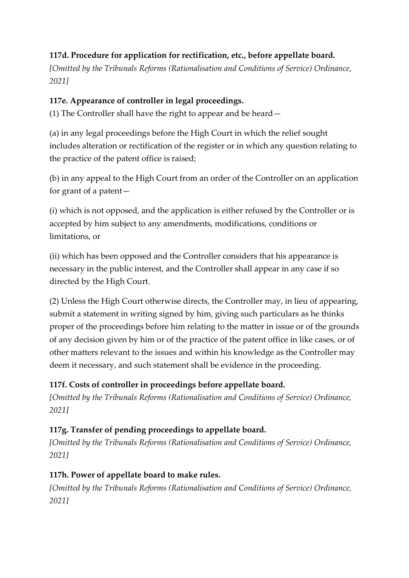## **117d. Procedure for application for rectification, etc., before appellate board.**

*[Omitted by the Tribunals Reforms (Rationalisation and Conditions of Service) Ordinance, 2021]*

## **117e. Appearance of controller in legal proceedings.**

(1) The Controller shall have the right to appear and be heard—

(a) in any legal proceedings before the High Court in which the relief sought includes alteration or rectification of the register or in which any question relating to the practice of the patent office is raised;

(b) in any appeal to the High Court from an order of the Controller on an application for grant of a patent—

(i) which is not opposed, and the application is either refused by the Controller or is accepted by him subject to any amendments, modifications, conditions or limitations, or

(ii) which has been opposed and the Controller considers that his appearance is necessary in the public interest, and the Controller shall appear in any case if so directed by the High Court.

(2) Unless the High Court otherwise directs, the Controller may, in lieu of appearing, submit a statement in writing signed by him, giving such particulars as he thinks proper of the proceedings before him relating to the matter in issue or of the grounds of any decision given by him or of the practice of the patent office in like cases, or of other matters relevant to the issues and within his knowledge as the Controller may deem it necessary, and such statement shall be evidence in the proceeding.

## **117f. Costs of controller in proceedings before appellate board.**

*[Omitted by the Tribunals Reforms (Rationalisation and Conditions of Service) Ordinance, 2021]*

## **117g. Transfer of pending proceedings to appellate board.**

*[Omitted by the Tribunals Reforms (Rationalisation and Conditions of Service) Ordinance, 2021]*

## **117h. Power of appellate board to make rules.**

*[Omitted by the Tribunals Reforms (Rationalisation and Conditions of Service) Ordinance, 2021]*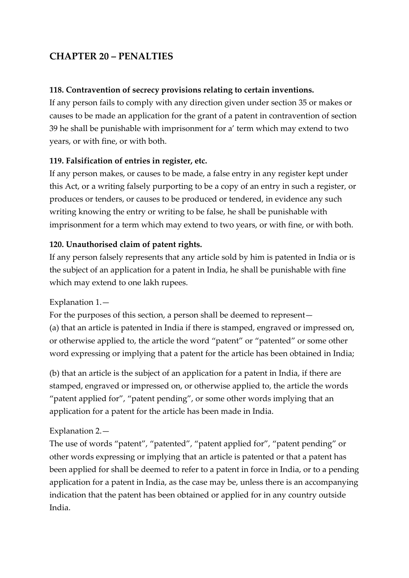# **CHAPTER 20 – PENALTIES**

#### **118. Contravention of secrecy provisions relating to certain inventions.**

If any person fails to comply with any direction given under section 35 or makes or causes to be made an application for the grant of a patent in contravention of section 39 he shall be punishable with imprisonment for a' term which may extend to two years, or with fine, or with both.

### **119. Falsification of entries in register, etc.**

If any person makes, or causes to be made, a false entry in any register kept under this Act, or a writing falsely purporting to be a copy of an entry in such a register, or produces or tenders, or causes to be produced or tendered, in evidence any such writing knowing the entry or writing to be false, he shall be punishable with imprisonment for a term which may extend to two years, or with fine, or with both.

### **120. Unauthorised claim of patent rights.**

If any person falsely represents that any article sold by him is patented in India or is the subject of an application for a patent in India, he shall be punishable with fine which may extend to one lakh rupees.

## Explanation 1.—

For the purposes of this section, a person shall be deemed to represent— (a) that an article is patented in India if there is stamped, engraved or impressed on, or otherwise applied to, the article the word "patent" or "patented" or some other word expressing or implying that a patent for the article has been obtained in India;

(b) that an article is the subject of an application for a patent in India, if there are stamped, engraved or impressed on, or otherwise applied to, the article the words "patent applied for", "patent pending", or some other words implying that an application for a patent for the article has been made in India.

## Explanation 2.—

The use of words "patent", "patented", "patent applied for", "patent pending" or other words expressing or implying that an article is patented or that a patent has been applied for shall be deemed to refer to a patent in force in India, or to a pending application for a patent in India, as the case may be, unless there is an accompanying indication that the patent has been obtained or applied for in any country outside India.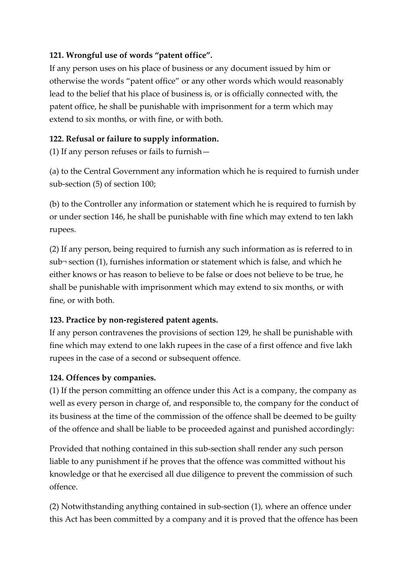## **121. Wrongful use of words "patent office".**

If any person uses on his place of business or any document issued by him or otherwise the words "patent office" or any other words which would reasonably lead to the belief that his place of business is, or is officially connected with, the patent office, he shall be punishable with imprisonment for a term which may extend to six months, or with fine, or with both.

## **122. Refusal or failure to supply information.**

(1) If any person refuses or fails to furnish—

(a) to the Central Government any information which he is required to furnish under sub-section (5) of section 100;

(b) to the Controller any information or statement which he is required to furnish by or under section 146, he shall be punishable with fine which may extend to ten lakh rupees.

(2) If any person, being required to furnish any such information as is referred to in sub¬ section (1), furnishes information or statement which is false, and which he either knows or has reason to believe to be false or does not believe to be true, he shall be punishable with imprisonment which may extend to six months, or with fine, or with both.

## **123. Practice by non-registered patent agents.**

If any person contravenes the provisions of section 129, he shall be punishable with fine which may extend to one lakh rupees in the case of a first offence and five lakh rupees in the case of a second or subsequent offence.

## **124. Offences by companies.**

(1) If the person committing an offence under this Act is a company, the company as well as every person in charge of, and responsible to, the company for the conduct of its business at the time of the commission of the offence shall be deemed to be guilty of the offence and shall be liable to be proceeded against and punished accordingly:

Provided that nothing contained in this sub-section shall render any such person liable to any punishment if he proves that the offence was committed without his knowledge or that he exercised all due diligence to prevent the commission of such offence.

(2) Notwithstanding anything contained in sub-section (1), where an offence under this Act has been committed by a company and it is proved that the offence has been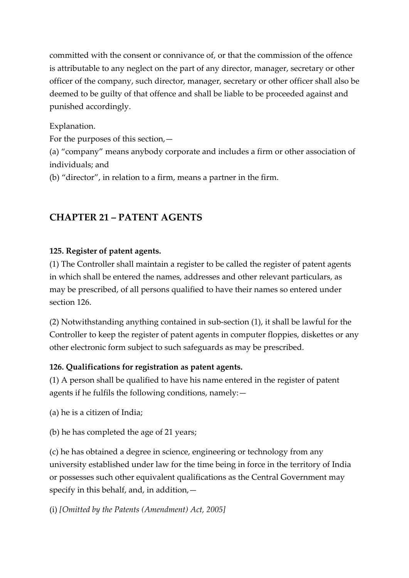committed with the consent or connivance of, or that the commission of the offence is attributable to any neglect on the part of any director, manager, secretary or other officer of the company, such director, manager, secretary or other officer shall also be deemed to be guilty of that offence and shall be liable to be proceeded against and punished accordingly.

## Explanation.

For the purposes of this section,—

(a) "company" means anybody corporate and includes a firm or other association of individuals; and

(b) "director", in relation to a firm, means a partner in the firm.

# **CHAPTER 21 – PATENT AGENTS**

## **125. Register of patent agents.**

(1) The Controller shall maintain a register to be called the register of patent agents in which shall be entered the names, addresses and other relevant particulars, as may be prescribed, of all persons qualified to have their names so entered under section 126.

(2) Notwithstanding anything contained in sub-section (1), it shall be lawful for the Controller to keep the register of patent agents in computer floppies, diskettes or any other electronic form subject to such safeguards as may be prescribed.

## **126. Qualifications for registration as patent agents.**

(1) A person shall be qualified to have his name entered in the register of patent agents if he fulfils the following conditions, namely:—

(a) he is a citizen of India;

(b) he has completed the age of 21 years;

(c) he has obtained a degree in science, engineering or technology from any university established under law for the time being in force in the territory of India or possesses such other equivalent qualifications as the Central Government may specify in this behalf, and, in addition,—

(i) *[Omitted by the Patents (Amendment) Act, 2005]*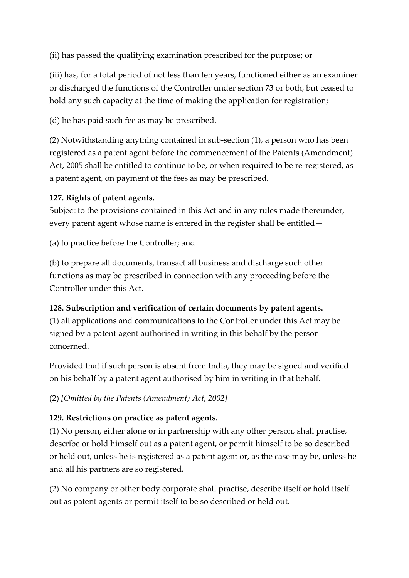(ii) has passed the qualifying examination prescribed for the purpose; or

(iii) has, for a total period of not less than ten years, functioned either as an examiner or discharged the functions of the Controller under section 73 or both, but ceased to hold any such capacity at the time of making the application for registration;

(d) he has paid such fee as may be prescribed.

(2) Notwithstanding anything contained in sub-section (1), a person who has been registered as a patent agent before the commencement of the Patents (Amendment) Act, 2005 shall be entitled to continue to be, or when required to be re-registered, as a patent agent, on payment of the fees as may be prescribed.

## **127. Rights of patent agents.**

Subject to the provisions contained in this Act and in any rules made thereunder, every patent agent whose name is entered in the register shall be entitled—

(a) to practice before the Controller; and

(b) to prepare all documents, transact all business and discharge such other functions as may be prescribed in connection with any proceeding before the Controller under this Act.

## **128. Subscription and verification of certain documents by patent agents.**

(1) all applications and communications to the Controller under this Act may be signed by a patent agent authorised in writing in this behalf by the person concerned.

Provided that if such person is absent from India, they may be signed and verified on his behalf by a patent agent authorised by him in writing in that behalf.

(2) *[Omitted by the Patents (Amendment) Act, 2002]*

## **129. Restrictions on practice as patent agents.**

(1) No person, either alone or in partnership with any other person, shall practise, describe or hold himself out as a patent agent, or permit himself to be so described or held out, unless he is registered as a patent agent or, as the case may be, unless he and all his partners are so registered.

(2) No company or other body corporate shall practise, describe itself or hold itself out as patent agents or permit itself to be so described or held out.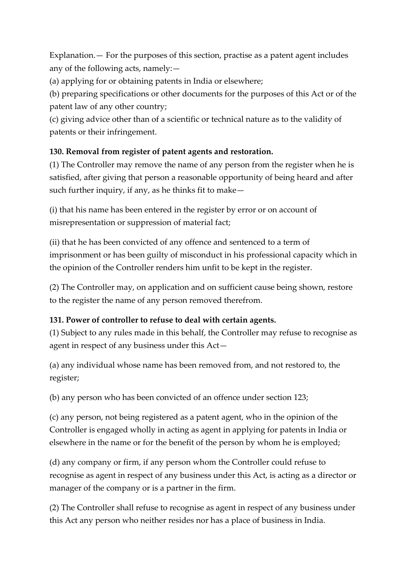Explanation.— For the purposes of this section, practise as a patent agent includes any of the following acts, namely:—

(a) applying for or obtaining patents in India or elsewhere;

(b) preparing specifications or other documents for the purposes of this Act or of the patent law of any other country;

(c) giving advice other than of a scientific or technical nature as to the validity of patents or their infringement.

## **130. Removal from register of patent agents and restoration.**

(1) The Controller may remove the name of any person from the register when he is satisfied, after giving that person a reasonable opportunity of being heard and after such further inquiry, if any, as he thinks fit to make—

(i) that his name has been entered in the register by error or on account of misrepresentation or suppression of material fact;

(ii) that he has been convicted of any offence and sentenced to a term of imprisonment or has been guilty of misconduct in his professional capacity which in the opinion of the Controller renders him unfit to be kept in the register.

(2) The Controller may, on application and on sufficient cause being shown, restore to the register the name of any person removed therefrom.

## **131. Power of controller to refuse to deal with certain agents.**

(1) Subject to any rules made in this behalf, the Controller may refuse to recognise as agent in respect of any business under this Act—

(a) any individual whose name has been removed from, and not restored to, the register;

(b) any person who has been convicted of an offence under section 123;

(c) any person, not being registered as a patent agent, who in the opinion of the Controller is engaged wholly in acting as agent in applying for patents in India or elsewhere in the name or for the benefit of the person by whom he is employed;

(d) any company or firm, if any person whom the Controller could refuse to recognise as agent in respect of any business under this Act, is acting as a director or manager of the company or is a partner in the firm.

(2) The Controller shall refuse to recognise as agent in respect of any business under this Act any person who neither resides nor has a place of business in India.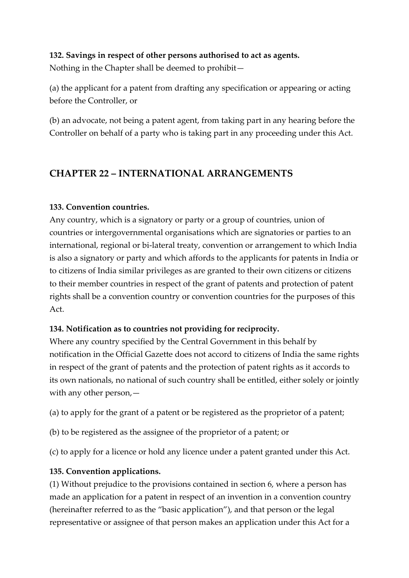### **132. Savings in respect of other persons authorised to act as agents.**

Nothing in the Chapter shall be deemed to prohibit—

(a) the applicant for a patent from drafting any specification or appearing or acting before the Controller, or

(b) an advocate, not being a patent agent, from taking part in any hearing before the Controller on behalf of a party who is taking part in any proceeding under this Act.

## **CHAPTER 22 – INTERNATIONAL ARRANGEMENTS**

#### **133. Convention countries.**

Any country, which is a signatory or party or a group of countries, union of countries or intergovernmental organisations which are signatories or parties to an international, regional or bi-lateral treaty, convention or arrangement to which India is also a signatory or party and which affords to the applicants for patents in India or to citizens of India similar privileges as are granted to their own citizens or citizens to their member countries in respect of the grant of patents and protection of patent rights shall be a convention country or convention countries for the purposes of this Act.

## **134. Notification as to countries not providing for reciprocity.**

Where any country specified by the Central Government in this behalf by notification in the Official Gazette does not accord to citizens of India the same rights in respect of the grant of patents and the protection of patent rights as it accords to its own nationals, no national of such country shall be entitled, either solely or jointly with any other person,—

(a) to apply for the grant of a patent or be registered as the proprietor of a patent;

(b) to be registered as the assignee of the proprietor of a patent; or

(c) to apply for a licence or hold any licence under a patent granted under this Act.

## **135. Convention applications.**

(1) Without prejudice to the provisions contained in section 6, where a person has made an application for a patent in respect of an invention in a convention country (hereinafter referred to as the "basic application"), and that person or the legal representative or assignee of that person makes an application under this Act for a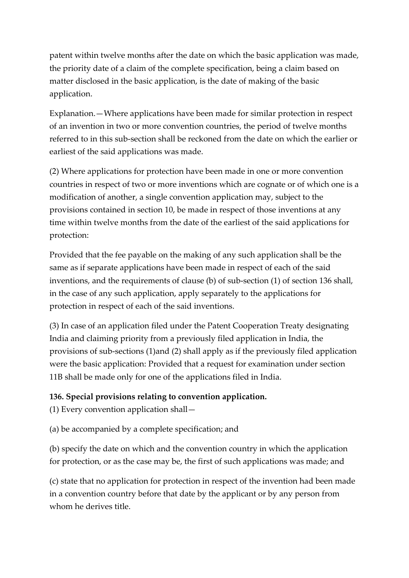patent within twelve months after the date on which the basic application was made, the priority date of a claim of the complete specification, being a claim based on matter disclosed in the basic application, is the date of making of the basic application.

Explanation.—Where applications have been made for similar protection in respect of an invention in two or more convention countries, the period of twelve months referred to in this sub-section shall be reckoned from the date on which the earlier or earliest of the said applications was made.

(2) Where applications for protection have been made in one or more convention countries in respect of two or more inventions which are cognate or of which one is a modification of another, a single convention application may, subject to the provisions contained in section 10, be made in respect of those inventions at any time within twelve months from the date of the earliest of the said applications for protection:

Provided that the fee payable on the making of any such application shall be the same as if separate applications have been made in respect of each of the said inventions, and the requirements of clause (b) of sub-section (1) of section 136 shall, in the case of any such application, apply separately to the applications for protection in respect of each of the said inventions.

(3) In case of an application filed under the Patent Cooperation Treaty designating India and claiming priority from a previously filed application in India, the provisions of sub-sections (1)and (2) shall apply as if the previously filed application were the basic application: Provided that a request for examination under section 11B shall be made only for one of the applications filed in India.

## **136. Special provisions relating to convention application.**

(1) Every convention application shall—

(a) be accompanied by a complete specification; and

(b) specify the date on which and the convention country in which the application for protection, or as the case may be, the first of such applications was made; and

(c) state that no application for protection in respect of the invention had been made in a convention country before that date by the applicant or by any person from whom he derives title.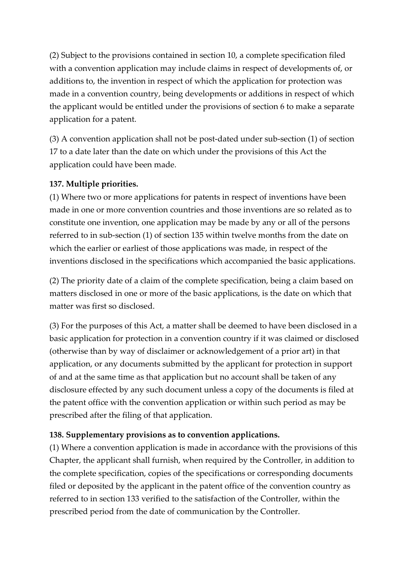(2) Subject to the provisions contained in section 10, a complete specification filed with a convention application may include claims in respect of developments of, or additions to, the invention in respect of which the application for protection was made in a convention country, being developments or additions in respect of which the applicant would be entitled under the provisions of section 6 to make a separate application for a patent.

(3) A convention application shall not be post-dated under sub-section (1) of section 17 to a date later than the date on which under the provisions of this Act the application could have been made.

### **137. Multiple priorities.**

(1) Where two or more applications for patents in respect of inventions have been made in one or more convention countries and those inventions are so related as to constitute one invention, one application may be made by any or all of the persons referred to in sub-section (1) of section 135 within twelve months from the date on which the earlier or earliest of those applications was made, in respect of the inventions disclosed in the specifications which accompanied the basic applications.

(2) The priority date of a claim of the complete specification, being a claim based on matters disclosed in one or more of the basic applications, is the date on which that matter was first so disclosed.

(3) For the purposes of this Act, a matter shall be deemed to have been disclosed in a basic application for protection in a convention country if it was claimed or disclosed (otherwise than by way of disclaimer or acknowledgement of a prior art) in that application, or any documents submitted by the applicant for protection in support of and at the same time as that application but no account shall be taken of any disclosure effected by any such document unless a copy of the documents is filed at the patent office with the convention application or within such period as may be prescribed after the filing of that application.

#### **138. Supplementary provisions as to convention applications.**

(1) Where a convention application is made in accordance with the provisions of this Chapter, the applicant shall furnish, when required by the Controller, in addition to the complete specification, copies of the specifications or corresponding documents filed or deposited by the applicant in the patent office of the convention country as referred to in section 133 verified to the satisfaction of the Controller, within the prescribed period from the date of communication by the Controller.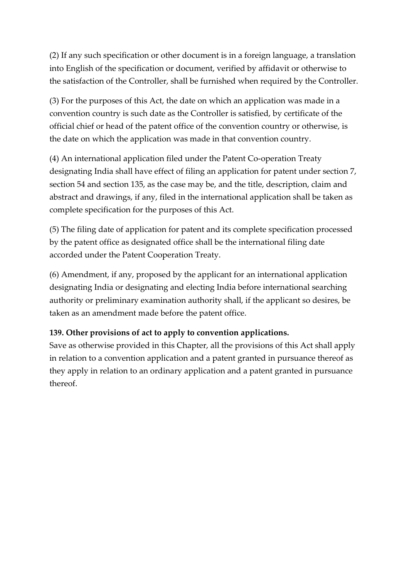(2) If any such specification or other document is in a foreign language, a translation into English of the specification or document, verified by affidavit or otherwise to the satisfaction of the Controller, shall be furnished when required by the Controller.

(3) For the purposes of this Act, the date on which an application was made in a convention country is such date as the Controller is satisfied, by certificate of the official chief or head of the patent office of the convention country or otherwise, is the date on which the application was made in that convention country.

(4) An international application filed under the Patent Co-operation Treaty designating India shall have effect of filing an application for patent under section 7, section 54 and section 135, as the case may be, and the title, description, claim and abstract and drawings, if any, filed in the international application shall be taken as complete specification for the purposes of this Act.

(5) The filing date of application for patent and its complete specification processed by the patent office as designated office shall be the international filing date accorded under the Patent Cooperation Treaty.

(6) Amendment, if any, proposed by the applicant for an international application designating India or designating and electing India before international searching authority or preliminary examination authority shall, if the applicant so desires, be taken as an amendment made before the patent office.

## **139. Other provisions of act to apply to convention applications.**

Save as otherwise provided in this Chapter, all the provisions of this Act shall apply in relation to a convention application and a patent granted in pursuance thereof as they apply in relation to an ordinary application and a patent granted in pursuance thereof.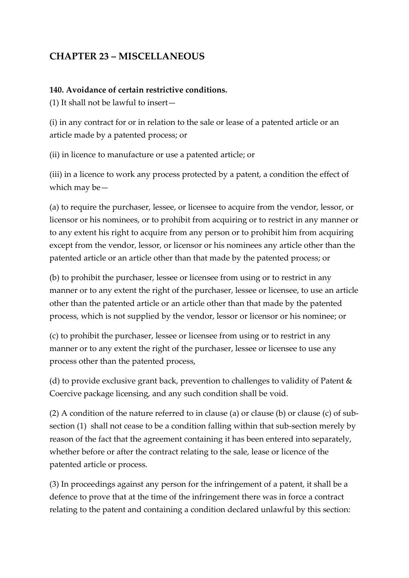# **CHAPTER 23 – MISCELLANEOUS**

#### **140. Avoidance of certain restrictive conditions.**

(1) It shall not be lawful to insert—

(i) in any contract for or in relation to the sale or lease of a patented article or an article made by a patented process; or

(ii) in licence to manufacture or use a patented article; or

(iii) in a licence to work any process protected by a patent, a condition the effect of which may be—

(a) to require the purchaser, lessee, or licensee to acquire from the vendor, lessor, or licensor or his nominees, or to prohibit from acquiring or to restrict in any manner or to any extent his right to acquire from any person or to prohibit him from acquiring except from the vendor, lessor, or licensor or his nominees any article other than the patented article or an article other than that made by the patented process; or

(b) to prohibit the purchaser, lessee or licensee from using or to restrict in any manner or to any extent the right of the purchaser, lessee or licensee, to use an article other than the patented article or an article other than that made by the patented process, which is not supplied by the vendor, lessor or licensor or his nominee; or

(c) to prohibit the purchaser, lessee or licensee from using or to restrict in any manner or to any extent the right of the purchaser, lessee or licensee to use any process other than the patented process,

(d) to provide exclusive grant back, prevention to challenges to validity of Patent & Coercive package licensing, and any such condition shall be void.

(2) A condition of the nature referred to in clause (a) or clause (b) or clause (c) of subsection (1) shall not cease to be a condition falling within that sub-section merely by reason of the fact that the agreement containing it has been entered into separately, whether before or after the contract relating to the sale, lease or licence of the patented article or process.

(3) In proceedings against any person for the infringement of a patent, it shall be a defence to prove that at the time of the infringement there was in force a contract relating to the patent and containing a condition declared unlawful by this section: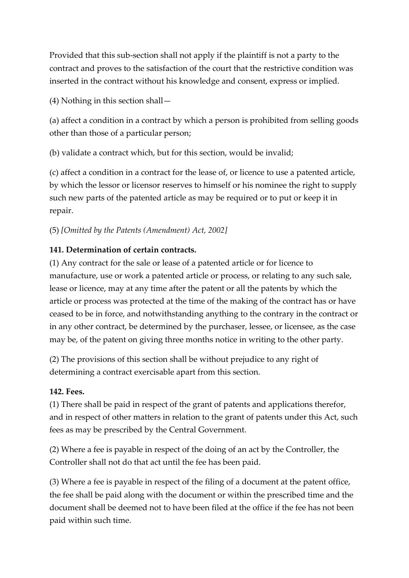Provided that this sub-section shall not apply if the plaintiff is not a party to the contract and proves to the satisfaction of the court that the restrictive condition was inserted in the contract without his knowledge and consent, express or implied.

(4) Nothing in this section shall—

(a) affect a condition in a contract by which a person is prohibited from selling goods other than those of a particular person;

(b) validate a contract which, but for this section, would be invalid;

(c) affect a condition in a contract for the lease of, or licence to use a patented article, by which the lessor or licensor reserves to himself or his nominee the right to supply such new parts of the patented article as may be required or to put or keep it in repair.

(5) *[Omitted by the Patents (Amendment) Act, 2002]*

### **141. Determination of certain contracts.**

(1) Any contract for the sale or lease of a patented article or for licence to manufacture, use or work a patented article or process, or relating to any such sale, lease or licence, may at any time after the patent or all the patents by which the article or process was protected at the time of the making of the contract has or have ceased to be in force, and notwithstanding anything to the contrary in the contract or in any other contract, be determined by the purchaser, lessee, or licensee, as the case may be, of the patent on giving three months notice in writing to the other party.

(2) The provisions of this section shall be without prejudice to any right of determining a contract exercisable apart from this section.

#### **142. Fees.**

(1) There shall be paid in respect of the grant of patents and applications therefor, and in respect of other matters in relation to the grant of patents under this Act, such fees as may be prescribed by the Central Government.

(2) Where a fee is payable in respect of the doing of an act by the Controller, the Controller shall not do that act until the fee has been paid.

(3) Where a fee is payable in respect of the filing of a document at the patent office, the fee shall be paid along with the document or within the prescribed time and the document shall be deemed not to have been filed at the office if the fee has not been paid within such time.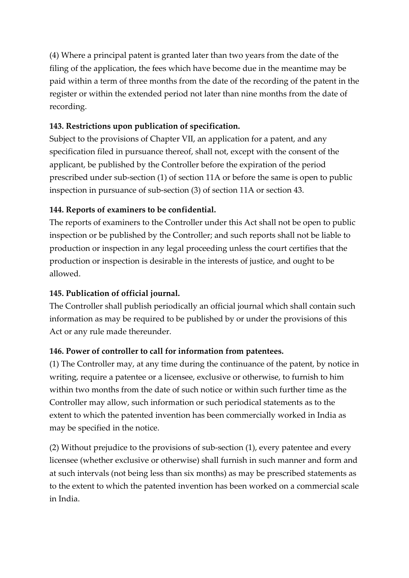(4) Where a principal patent is granted later than two years from the date of the filing of the application, the fees which have become due in the meantime may be paid within a term of three months from the date of the recording of the patent in the register or within the extended period not later than nine months from the date of recording.

## **143. Restrictions upon publication of specification.**

Subject to the provisions of Chapter VII, an application for a patent, and any specification filed in pursuance thereof, shall not, except with the consent of the applicant, be published by the Controller before the expiration of the period prescribed under sub-section (1) of section 11A or before the same is open to public inspection in pursuance of sub-section (3) of section 11A or section 43.

## **144. Reports of examiners to be confidential.**

The reports of examiners to the Controller under this Act shall not be open to public inspection or be published by the Controller; and such reports shall not be liable to production or inspection in any legal proceeding unless the court certifies that the production or inspection is desirable in the interests of justice, and ought to be allowed.

## **145. Publication of official journal.**

The Controller shall publish periodically an official journal which shall contain such information as may be required to be published by or under the provisions of this Act or any rule made thereunder.

## **146. Power of controller to call for information from patentees.**

(1) The Controller may, at any time during the continuance of the patent, by notice in writing, require a patentee or a licensee, exclusive or otherwise, to furnish to him within two months from the date of such notice or within such further time as the Controller may allow, such information or such periodical statements as to the extent to which the patented invention has been commercially worked in India as may be specified in the notice.

(2) Without prejudice to the provisions of sub-section (1), every patentee and every licensee (whether exclusive or otherwise) shall furnish in such manner and form and at such intervals (not being less than six months) as may be prescribed statements as to the extent to which the patented invention has been worked on a commercial scale in India.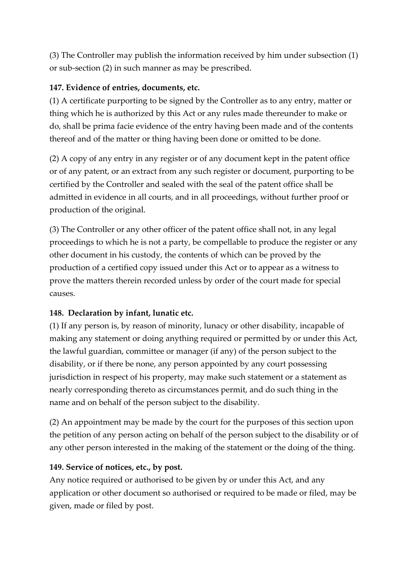(3) The Controller may publish the information received by him under subsection (1) or sub-section (2) in such manner as may be prescribed.

### **147. Evidence of entries, documents, etc.**

(1) A certificate purporting to be signed by the Controller as to any entry, matter or thing which he is authorized by this Act or any rules made thereunder to make or do, shall be prima facie evidence of the entry having been made and of the contents thereof and of the matter or thing having been done or omitted to be done.

(2) A copy of any entry in any register or of any document kept in the patent office or of any patent, or an extract from any such register or document, purporting to be certified by the Controller and sealed with the seal of the patent office shall be admitted in evidence in all courts, and in all proceedings, without further proof or production of the original.

(3) The Controller or any other officer of the patent office shall not, in any legal proceedings to which he is not a party, be compellable to produce the register or any other document in his custody, the contents of which can be proved by the production of a certified copy issued under this Act or to appear as a witness to prove the matters therein recorded unless by order of the court made for special causes.

## **148. Declaration by infant, lunatic etc.**

(1) If any person is, by reason of minority, lunacy or other disability, incapable of making any statement or doing anything required or permitted by or under this Act, the lawful guardian, committee or manager (if any) of the person subject to the disability, or if there be none, any person appointed by any court possessing jurisdiction in respect of his property, may make such statement or a statement as nearly corresponding thereto as circumstances permit, and do such thing in the name and on behalf of the person subject to the disability.

(2) An appointment may be made by the court for the purposes of this section upon the petition of any person acting on behalf of the person subject to the disability or of any other person interested in the making of the statement or the doing of the thing.

#### **149. Service of notices, etc., by post.**

Any notice required or authorised to be given by or under this Act, and any application or other document so authorised or required to be made or filed, may be given, made or filed by post.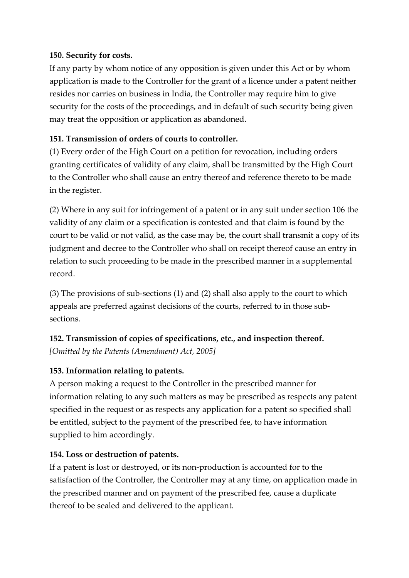#### **150. Security for costs.**

If any party by whom notice of any opposition is given under this Act or by whom application is made to the Controller for the grant of a licence under a patent neither resides nor carries on business in India, the Controller may require him to give security for the costs of the proceedings, and in default of such security being given may treat the opposition or application as abandoned.

### **151. Transmission of orders of courts to controller.**

(1) Every order of the High Court on a petition for revocation, including orders granting certificates of validity of any claim, shall be transmitted by the High Court to the Controller who shall cause an entry thereof and reference thereto to be made in the register.

(2) Where in any suit for infringement of a patent or in any suit under section 106 the validity of any claim or a specification is contested and that claim is found by the court to be valid or not valid, as the case may be, the court shall transmit a copy of its judgment and decree to the Controller who shall on receipt thereof cause an entry in relation to such proceeding to be made in the prescribed manner in a supplemental record.

(3) The provisions of sub-sections (1) and (2) shall also apply to the court to which appeals are preferred against decisions of the courts, referred to in those subsections.

## **152. Transmission of copies of specifications, etc., and inspection thereof.** *[Omitted by the Patents (Amendment) Act, 2005]*

## **153. Information relating to patents.**

A person making a request to the Controller in the prescribed manner for information relating to any such matters as may be prescribed as respects any patent specified in the request or as respects any application for a patent so specified shall be entitled, subject to the payment of the prescribed fee, to have information supplied to him accordingly.

#### **154. Loss or destruction of patents.**

If a patent is lost or destroyed, or its non-production is accounted for to the satisfaction of the Controller, the Controller may at any time, on application made in the prescribed manner and on payment of the prescribed fee, cause a duplicate thereof to be sealed and delivered to the applicant.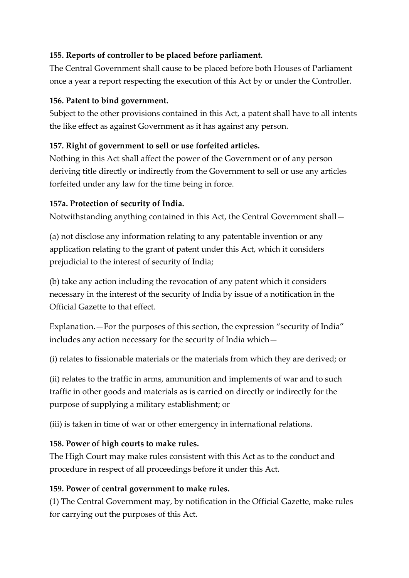## **155. Reports of controller to be placed before parliament.**

The Central Government shall cause to be placed before both Houses of Parliament once a year a report respecting the execution of this Act by or under the Controller.

## **156. Patent to bind government.**

Subject to the other provisions contained in this Act, a patent shall have to all intents the like effect as against Government as it has against any person.

## **157. Right of government to sell or use forfeited articles.**

Nothing in this Act shall affect the power of the Government or of any person deriving title directly or indirectly from the Government to sell or use any articles forfeited under any law for the time being in force.

## **157a. Protection of security of India.**

Notwithstanding anything contained in this Act, the Central Government shall—

(a) not disclose any information relating to any patentable invention or any application relating to the grant of patent under this Act, which it considers prejudicial to the interest of security of India;

(b) take any action including the revocation of any patent which it considers necessary in the interest of the security of India by issue of a notification in the Official Gazette to that effect.

Explanation.—For the purposes of this section, the expression "security of India" includes any action necessary for the security of India which—

(i) relates to fissionable materials or the materials from which they are derived; or

(ii) relates to the traffic in arms, ammunition and implements of war and to such traffic in other goods and materials as is carried on directly or indirectly for the purpose of supplying a military establishment; or

(iii) is taken in time of war or other emergency in international relations.

## **158. Power of high courts to make rules.**

The High Court may make rules consistent with this Act as to the conduct and procedure in respect of all proceedings before it under this Act.

## **159. Power of central government to make rules.**

(1) The Central Government may, by notification in the Official Gazette, make rules for carrying out the purposes of this Act.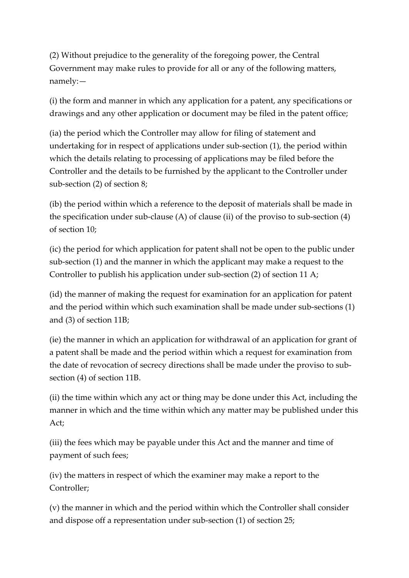(2) Without prejudice to the generality of the foregoing power, the Central Government may make rules to provide for all or any of the following matters, namely:—

(i) the form and manner in which any application for a patent, any specifications or drawings and any other application or document may be filed in the patent office;

(ia) the period which the Controller may allow for filing of statement and undertaking for in respect of applications under sub-section (1), the period within which the details relating to processing of applications may be filed before the Controller and the details to be furnished by the applicant to the Controller under sub-section (2) of section 8;

(ib) the period within which a reference to the deposit of materials shall be made in the specification under sub-clause (A) of clause (ii) of the proviso to sub-section (4) of section 10;

(ic) the period for which application for patent shall not be open to the public under sub-section (1) and the manner in which the applicant may make a request to the Controller to publish his application under sub-section (2) of section 11 A;

(id) the manner of making the request for examination for an application for patent and the period within which such examination shall be made under sub-sections (1) and (3) of section 11B;

(ie) the manner in which an application for withdrawal of an application for grant of a patent shall be made and the period within which a request for examination from the date of revocation of secrecy directions shall be made under the proviso to subsection (4) of section 11B.

(ii) the time within which any act or thing may be done under this Act, including the manner in which and the time within which any matter may be published under this Act;

(iii) the fees which may be payable under this Act and the manner and time of payment of such fees;

(iv) the matters in respect of which the examiner may make a report to the Controller;

(v) the manner in which and the period within which the Controller shall consider and dispose off a representation under sub-section (1) of section 25;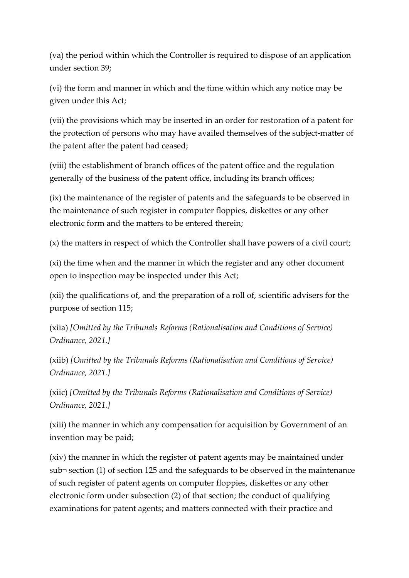(va) the period within which the Controller is required to dispose of an application under section 39;

(vi) the form and manner in which and the time within which any notice may be given under this Act;

(vii) the provisions which may be inserted in an order for restoration of a patent for the protection of persons who may have availed themselves of the subject-matter of the patent after the patent had ceased;

(viii) the establishment of branch offices of the patent office and the regulation generally of the business of the patent office, including its branch offices;

(ix) the maintenance of the register of patents and the safeguards to be observed in the maintenance of such register in computer floppies, diskettes or any other electronic form and the matters to be entered therein;

(x) the matters in respect of which the Controller shall have powers of a civil court;

(xi) the time when and the manner in which the register and any other document open to inspection may be inspected under this Act;

(xii) the qualifications of, and the preparation of a roll of, scientific advisers for the purpose of section 115;

(xiia) *[Omitted by the Tribunals Reforms (Rationalisation and Conditions of Service) Ordinance, 2021.]*

(xiib) *[Omitted by the Tribunals Reforms (Rationalisation and Conditions of Service) Ordinance, 2021.]*

(xiic) *[Omitted by the Tribunals Reforms (Rationalisation and Conditions of Service) Ordinance, 2021.]*

(xiii) the manner in which any compensation for acquisition by Government of an invention may be paid;

(xiv) the manner in which the register of patent agents may be maintained under sub¬ section (1) of section 125 and the safeguards to be observed in the maintenance of such register of patent agents on computer floppies, diskettes or any other electronic form under subsection (2) of that section; the conduct of qualifying examinations for patent agents; and matters connected with their practice and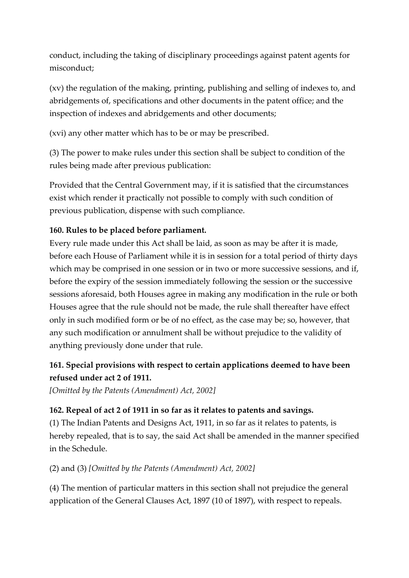conduct, including the taking of disciplinary proceedings against patent agents for misconduct;

(xv) the regulation of the making, printing, publishing and selling of indexes to, and abridgements of, specifications and other documents in the patent office; and the inspection of indexes and abridgements and other documents;

(xvi) any other matter which has to be or may be prescribed.

(3) The power to make rules under this section shall be subject to condition of the rules being made after previous publication:

Provided that the Central Government may, if it is satisfied that the circumstances exist which render it practically not possible to comply with such condition of previous publication, dispense with such compliance.

### **160. Rules to be placed before parliament.**

Every rule made under this Act shall be laid, as soon as may be after it is made, before each House of Parliament while it is in session for a total period of thirty days which may be comprised in one session or in two or more successive sessions, and if, before the expiry of the session immediately following the session or the successive sessions aforesaid, both Houses agree in making any modification in the rule or both Houses agree that the rule should not be made, the rule shall thereafter have effect only in such modified form or be of no effect, as the case may be; so, however, that any such modification or annulment shall be without prejudice to the validity of anything previously done under that rule.

## **161. Special provisions with respect to certain applications deemed to have been refused under act 2 of 1911.**

*[Omitted by the Patents (Amendment) Act, 2002]*

#### **162. Repeal of act 2 of 1911 in so far as it relates to patents and savings.**

(1) The Indian Patents and Designs Act, 1911, in so far as it relates to patents, is hereby repealed, that is to say, the said Act shall be amended in the manner specified in the Schedule.

(2) and (3) *[Omitted by the Patents (Amendment) Act, 2002]*

(4) The mention of particular matters in this section shall not prejudice the general application of the General Clauses Act, 1897 (10 of 1897), with respect to repeals.